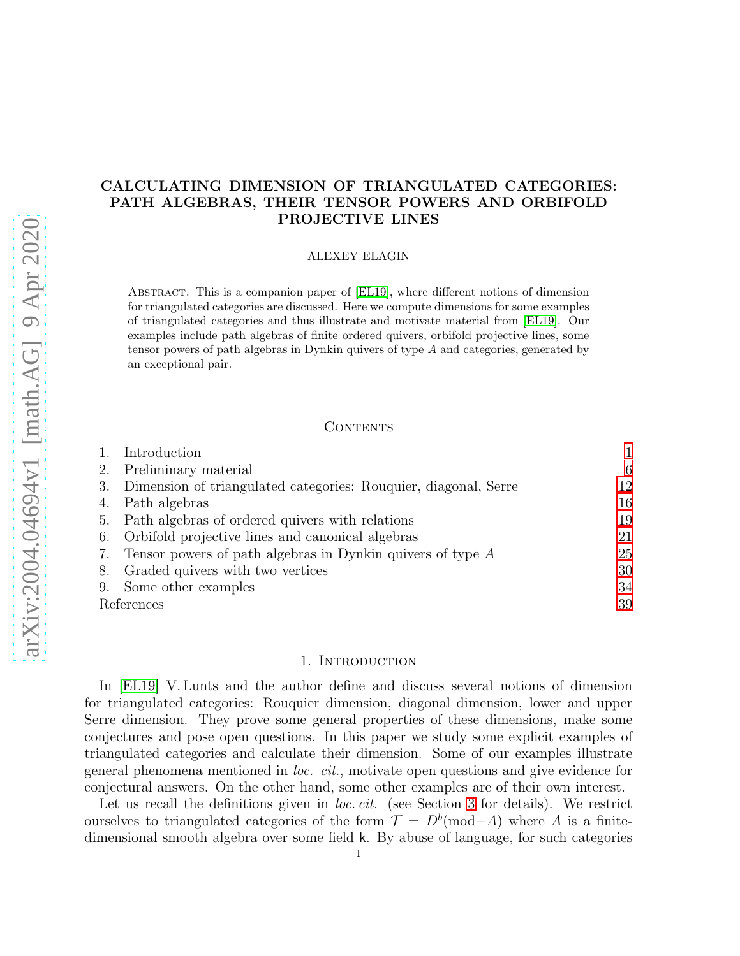## CALCULATING DIMENSION OF TRIANGULATED CATEGORIES: PATH ALGEBRAS, THEIR TENSOR POWERS AND ORBIFOLD PROJECTIVE LINES

## ALEXEY ELAGIN

Abstract. This is a companion paper of [\[EL19\]](#page-38-0), where different notions of dimension for triangulated categories are discussed. Here we compute dimensions for some examples of triangulated categories and thus illustrate and motivate material from [\[EL19\]](#page-38-0). Our examples include path algebras of finite ordered quivers, orbifold projective lines, some tensor powers of path algebras in Dynkin quivers of type A and categories, generated by an exceptional pair.

## **CONTENTS**

| Introduction                                                    |    |
|-----------------------------------------------------------------|----|
| Preliminary material                                            | 6  |
| Dimension of triangulated categories: Rouquier, diagonal, Serre | 12 |
| Path algebras                                                   | 16 |
| Path algebras of ordered quivers with relations                 | 19 |
| Orbifold projective lines and canonical algebras<br>6.          | 21 |
| Tensor powers of path algebras in Dynkin quivers of type $A$    | 25 |
| Graded quivers with two vertices                                | 30 |
| Some other examples                                             | 34 |
| References                                                      | 39 |
|                                                                 |    |

## 1. INTRODUCTION

<span id="page-0-0"></span>In [\[EL19\]](#page-38-0) V. Lunts and the author define and discuss several notions of dimension for triangulated categories: Rouquier dimension, diagonal dimension, lower and upper Serre dimension. They prove some general properties of these dimensions, make some conjectures and pose open questions. In this paper we study some explicit examples of triangulated categories and calculate their dimension. Some of our examples illustrate general phenomena mentioned in loc. cit., motivate open questions and give evidence for conjectural answers. On the other hand, some other examples are of their own interest.

Let us recall the definitions given in *loc. cit.* (see Section [3](#page-11-0) for details). We restrict ourselves to triangulated categories of the form  $\mathcal{T} = D^b(\text{mod}-A)$  where A is a finitedimensional smooth algebra over some field k. By abuse of language, for such categories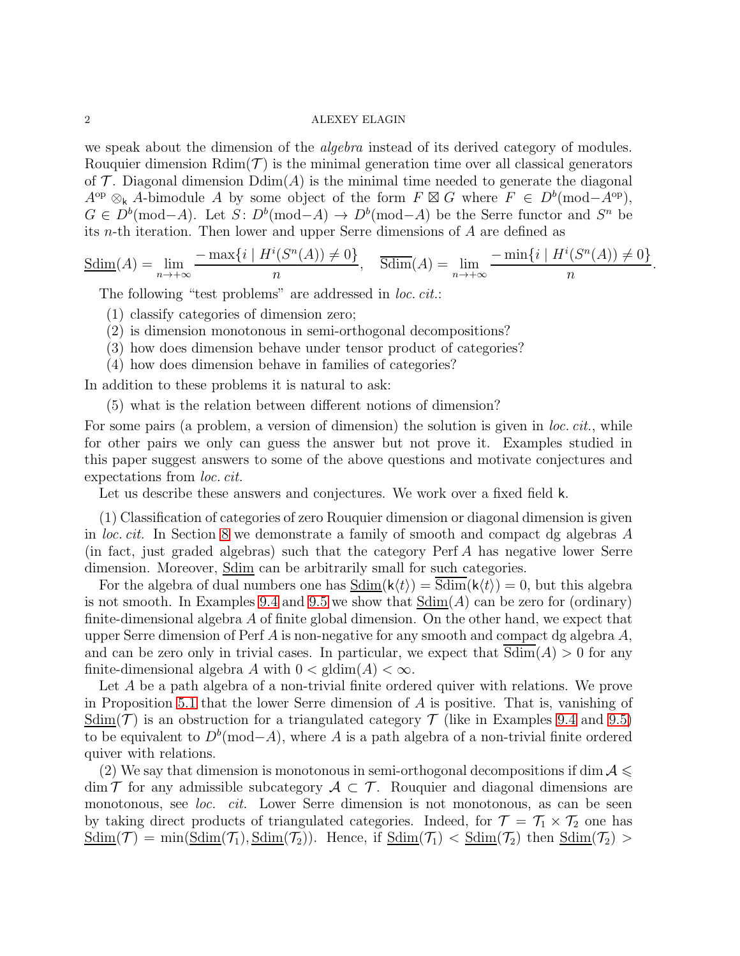we speak about the dimension of the *algebra* instead of its derived category of modules. Rouquier dimension  $\text{Rdim}(\mathcal{T})$  is the minimal generation time over all classical generators of  $\mathcal T$ . Diagonal dimension  $\text{Ddim}(A)$  is the minimal time needed to generate the diagonal  $A^{\rm op} \otimes_{\mathsf{k}} A$ -bimodule A by some object of the form  $F \boxtimes G$  where  $F \in D^b(\text{mod}-A^{\rm op}),$  $G \in D^b(\text{mod}-A)$ . Let  $S: D^b(\text{mod}-A) \to D^b(\text{mod}-A)$  be the Serre functor and  $S^n$  be its n-th iteration. Then lower and upper Serre dimensions of A are defined as

$$
\underline{\text{Sdim}}(A) = \lim_{n \to +\infty} \frac{-\max\{i \mid H^i(S^n(A)) \neq 0\}}{n}, \quad \overline{\text{Sdim}}(A) = \lim_{n \to +\infty} \frac{-\min\{i \mid H^i(S^n(A)) \neq 0\}}{n}.
$$

The following "test problems" are addressed in *loc. cit.*:

- (1) classify categories of dimension zero;
- (2) is dimension monotonous in semi-orthogonal decompositions?
- (3) how does dimension behave under tensor product of categories?
- (4) how does dimension behave in families of categories?

In addition to these problems it is natural to ask:

(5) what is the relation between different notions of dimension?

For some pairs (a problem, a version of dimension) the solution is given in *loc. cit.*, while for other pairs we only can guess the answer but not prove it. Examples studied in this paper suggest answers to some of the above questions and motivate conjectures and expectations from loc. cit.

Let us describe these answers and conjectures. We work over a fixed field k.

(1) Classification of categories of zero Rouquier dimension or diagonal dimension is given in loc. cit. In Section [8](#page-29-0) we demonstrate a family of smooth and compact dg algebras A (in fact, just graded algebras) such that the category Perf A has negative lower Serre dimension. Moreover,  $\underline{\text{Sdim}}$  can be arbitrarily small for such categories.

For the algebra of dual numbers one has  $Sdim(k(t)) = Sdim(k(t)) = 0$ , but this algebra is not smooth. In Examples [9.4](#page-36-0) and [9.5](#page-37-0) we show that  $\underline{Sdim}(A)$  can be zero for (ordinary) finite-dimensional algebra A of finite global dimension. On the other hand, we expect that upper Serre dimension of Perf A is non-negative for any smooth and compact dg algebra  $A$ , and can be zero only in trivial cases. In particular, we expect that  $Sdim(A) > 0$  for any finite-dimensional algebra A with  $0 < \text{gldim}(A) < \infty$ .

Let A be a path algebra of a non-trivial finite ordered quiver with relations. We prove in Proposition [5.1](#page-18-1) that the lower Serre dimension of A is positive. That is, vanishing of  $\underline{\text{Sdim}}(\mathcal{T})$  is an obstruction for a triangulated category  $\mathcal{T}$  (like in Examples [9.4](#page-36-0) and [9.5\)](#page-37-0) to be equivalent to  $D^b(\text{mod}-A)$ , where A is a path algebra of a non-trivial finite ordered quiver with relations.

(2) We say that dimension is monotonous in semi-orthogonal decompositions if dim  $A \leq$  $\dim \mathcal{T}$  for any admissible subcategory  $\mathcal{A} \subset \mathcal{T}$ . Rouquier and diagonal dimensions are monotonous, see loc. cit. Lower Serre dimension is not monotonous, as can be seen by taking direct products of triangulated categories. Indeed, for  $\mathcal{T} = \mathcal{T}_1 \times \mathcal{T}_2$  one has  $\text{Sdim}(\mathcal{T}) = \min(\text{Sdim}(\mathcal{T}_1), \text{Sdim}(\mathcal{T}_2))$ . Hence, if  $\text{Sdim}(\mathcal{T}_1) < \text{Sdim}(\mathcal{T}_2)$  then  $\text{Sdim}(\mathcal{T}_2)$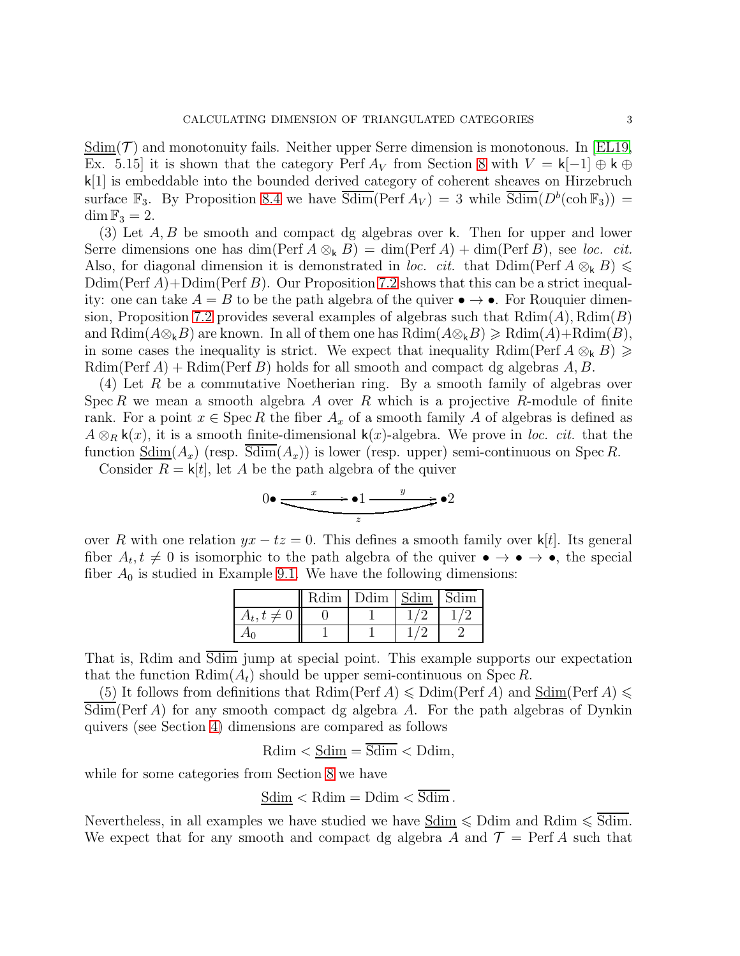$\text{Sdim}(\mathcal{T})$  and monotonuity fails. Neither upper Serre dimension is monotonous. In [\[EL19,](#page-38-0) Ex. 5.15] it is shown that the category Perf  $A_V$  from Section [8](#page-29-0) with  $V = k[-1] \oplus k \oplus$ k[1] is embeddable into the bounded derived category of coherent sheaves on Hirzebruch surface  $\mathbb{F}_3$ . By Proposition [8.4](#page-32-0) we have  $\overline{\text{Sdim}}(\text{Perf } A_V) = 3$  while  $\overline{\text{Sdim}}(D^b(\text{coh } \mathbb{F}_3)) =$  $\dim$   $\mathbb{F}_3 = 2$ .

(3) Let A, B be smooth and compact dg algebras over k. Then for upper and lower Serre dimensions one has  $\dim(\text{Perf }A \otimes_k B) = \dim(\text{Perf }A) + \dim(\text{Perf }B)$ , see loc. cit. Also, for diagonal dimension it is demonstrated in loc. cit. that  $\text{Ddim}(\text{Perf }A\otimes_k B)\leq$  $Ddim(Perf A) + Ddim(Perf B)$ . Our Proposition [7.2](#page-25-0) shows that this can be a strict inequality: one can take  $A = B$  to be the path algebra of the quiver  $\bullet \rightarrow \bullet$ . For Rouquier dimen-sion, Proposition [7.2](#page-25-0) provides several examples of algebras such that  $\text{Rdim}(A)$ ,  $\text{Rdim}(B)$ and  $\text{Rdim}(A\otimes_k B)$  are known. In all of them one has  $\text{Rdim}(A\otimes_k B)\geqslant \text{Rdim}(A)+\text{Rdim}(B)$ , in some cases the inequality is strict. We expect that inequality Rdim(Perf  $A \otimes_k B$ )  $\geq$ Rdim(Perf A) + Rdim(Perf B) holds for all smooth and compact dg algebras  $A, B$ .

(4) Let R be a commutative Noetherian ring. By a smooth family of algebras over Spec R we mean a smooth algebra A over R which is a projective R-module of finite rank. For a point  $x \in \text{Spec } R$  the fiber  $A_x$  of a smooth family A of algebras is defined as  $A \otimes_R \mathsf{k}(x)$ , it is a smooth finite-dimensional  $\mathsf{k}(x)$ -algebra. We prove in loc. cit. that the function  $\underline{\text{Sdim}}(A_x)$  (resp.  $\text{Sdim}(A_x)$ ) is lower (resp. upper) semi-continuous on Spec R.

Consider  $R = k[t]$ , let A be the path algebra of the quiver

$$
0 \bullet \xrightarrow{\phantom{a}x \phantom{a}} \bullet 1 \xrightarrow{\phantom{a}y \phantom{a}} \bullet 2
$$

over R with one relation  $yx - tz = 0$ . This defines a smooth family over k[t]. Its general fiber  $A_t, t \neq 0$  is isomorphic to the path algebra of the quiver  $\bullet \rightarrow \bullet \rightarrow \bullet$ , the special fiber  $A_0$  is studied in Example [9.1.](#page-33-1) We have the following dimensions:

| Rdim | Ddim. | Sdim | Sdim |
|------|-------|------|------|
|      |       |      |      |
|      |       |      |      |

That is, Rdim and Sdim jump at special point. This example supports our expectation that the function  $\text{Rdim}(A_t)$  should be upper semi-continuous on Spec R.

(5) It follows from definitions that  $\text{Rdim}(\text{Perf }A) \leq \text{Ddim}(\text{Perf }A)$  and  $\underline{\text{Sdim}}(\text{Perf }A) \leq$  $\overline{\text{Sdim}}$  (Perf A) for any smooth compact dg algebra A. For the path algebras of Dynkin quivers (see Section [4\)](#page-15-0) dimensions are compared as follows

$$
Rdim < \underline{Sdim} = \overline{Sdim} < Ddim,
$$

while for some categories from Section [8](#page-29-0) we have

$$
\underline{\text{Sdim}} < \text{Rdim} = \text{Ddim} < \overline{\text{Sdim}} \, .
$$

Nevertheless, in all examples we have studied we have  $\underline{Sdim} \leq \overline{Ddim}$  and  $Rdim \leq \overline{Sdim}$ . We expect that for any smooth and compact dg algebra A and  $\mathcal{T} = \text{Perf } A$  such that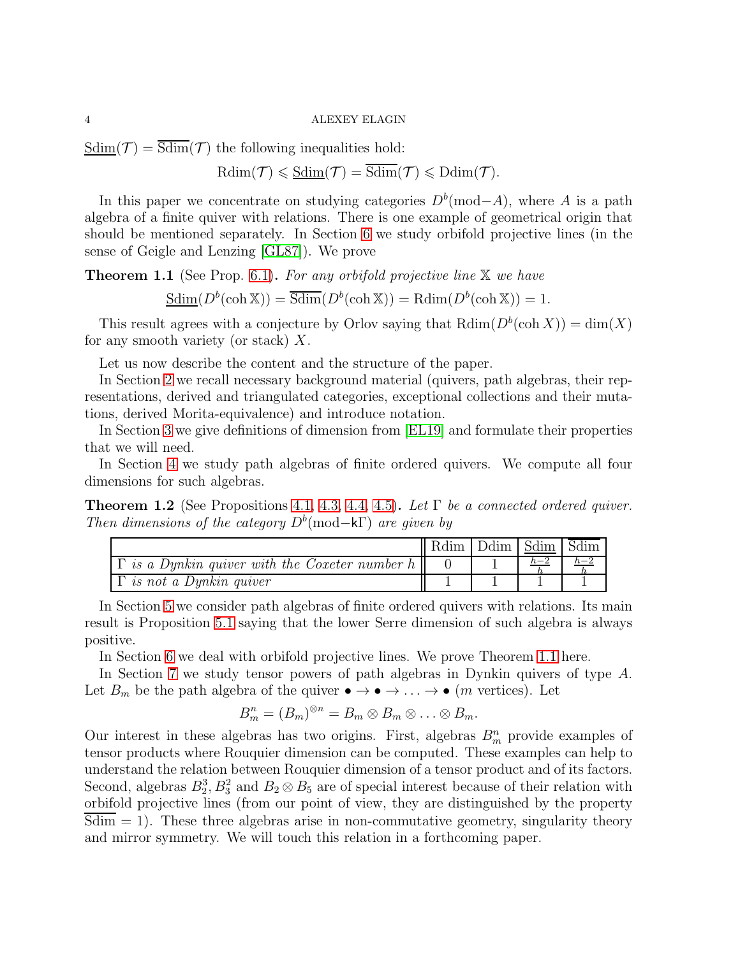$Sdim(\mathcal{T}) = \overline{Sdim}(\mathcal{T})$  the following inequalities hold:

 $\mathrm{Rdim}(\mathcal{T}) \leqslant \underline{\mathrm{Sdim}}(\mathcal{T}) = \overline{\mathrm{Sdim}}(\mathcal{T}) \leqslant \mathrm{Ddim}(\mathcal{T}).$ 

In this paper we concentrate on studying categories  $D<sup>b</sup>(mod-A)$ , where A is a path algebra of a finite quiver with relations. There is one example of geometrical origin that should be mentioned separately. In Section [6](#page-20-0) we study orbifold projective lines (in the sense of Geigle and Lenzing [\[GL87\]](#page-38-2)). We prove

<span id="page-3-0"></span>**Theorem 1.1** (See Prop. [6.1\)](#page-22-0). For any orbifold projective line  $X$  we have

 $\underline{\text{Sdim}}(D^b(\cosh \mathbb{X})) = \overline{\text{Sdim}}(D^b(\cosh \mathbb{X})) = \text{Rdim}(D^b(\cosh \mathbb{X})) = 1.$ 

This result agrees with a conjecture by Orlov saying that  $\text{Rdim}(D^b(\text{coh } X)) = \text{dim}(X)$ for any smooth variety (or stack)  $X$ .

Let us now describe the content and the structure of the paper.

In Section [2](#page-5-0) we recall necessary background material (quivers, path algebras, their representations, derived and triangulated categories, exceptional collections and their mutations, derived Morita-equivalence) and introduce notation.

In Section [3](#page-11-0) we give definitions of dimension from [\[EL19\]](#page-38-0) and formulate their properties that we will need.

In Section [4](#page-15-0) we study path algebras of finite ordered quivers. We compute all four dimensions for such algebras.

**Theorem 1.2** (See Propositions [4.1,](#page-16-0) [4.3,](#page-16-1) [4.4,](#page-17-0) [4.5\)](#page-17-1). Let  $\Gamma$  be a connected ordered quiver. Then dimensions of the category  $D^b$ (mod–kΓ) are given by

|                                                          | Ddim   Sdim   Sdim |  |
|----------------------------------------------------------|--------------------|--|
| is a Dynkin quiver with the Coxeter number $h \parallel$ |                    |  |
| <i>is not a Dynkin quiver</i>                            |                    |  |

In Section [5](#page-18-0) we consider path algebras of finite ordered quivers with relations. Its main result is Proposition [5.1](#page-18-1) saying that the lower Serre dimension of such algebra is always positive.

In Section [6](#page-20-0) we deal with orbifold projective lines. We prove Theorem [1.1](#page-3-0) here.

In Section [7](#page-24-0) we study tensor powers of path algebras in Dynkin quivers of type A. Let  $B_m$  be the path algebra of the quiver  $\bullet \to \bullet \to \dots \to \bullet$  (*m* vertices). Let

$$
B_m^n=(B_m)^{\otimes n}=B_m\otimes B_m\otimes\ldots\otimes B_m.
$$

Our interest in these algebras has two origins. First, algebras  $B_m^n$  provide examples of tensor products where Rouquier dimension can be computed. These examples can help to understand the relation between Rouquier dimension of a tensor product and of its factors. Second, algebras  $B_2^3$ ,  $B_3^2$  and  $B_2 \otimes B_5$  are of special interest because of their relation with orbifold projective lines (from our point of view, they are distinguished by the property  $Sdim = 1$ . These three algebras arise in non-commutative geometry, singularity theory and mirror symmetry. We will touch this relation in a forthcoming paper.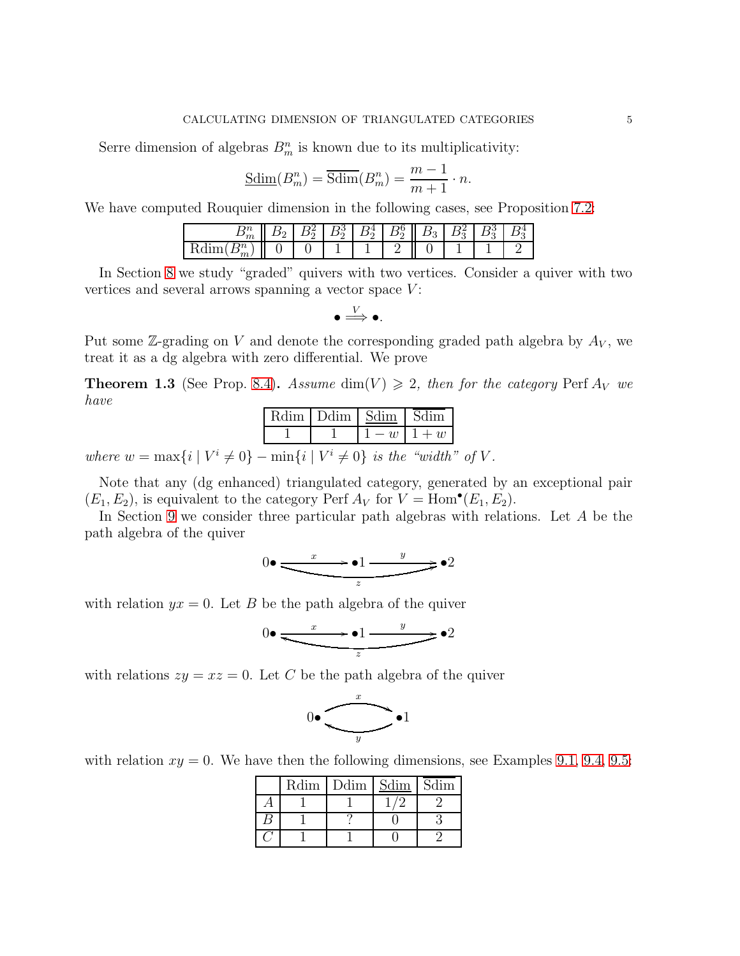Serre dimension of algebras  $B_m^n$  is known due to its multiplicativity:

$$
\underline{\text{Sdim}}(B_m^n) = \overline{\text{Sdim}}(B_m^n) = \frac{m-1}{m+1} \cdot n.
$$

We have computed Rouquier dimension in the following cases, see Proposition [7.2:](#page-25-0)

| ΊIι            |  | ∸ | ∼ | ø<br>u | -<br>$\cdot$ |  |
|----------------|--|---|---|--------|--------------|--|
| 0.1111<br>71 U |  |   |   |        |              |  |

In Section [8](#page-29-0) we study "graded" quivers with two vertices. Consider a quiver with two vertices and several arrows spanning a vector space  $V$ :

$$
\bullet \Longrightarrow^V \bullet.
$$

Put some  $\mathbb{Z}$ -grading on V and denote the corresponding graded path algebra by  $A_V$ , we treat it as a dg algebra with zero differential. We prove

**Theorem 1.3** (See Prop. [8.4\)](#page-32-0). Assume dim(V)  $\geq$  2, then for the category Perf  $A_V$  we have

|                                                                                                            | Rdim   Ddim   Sdim   Sdim |  |               |  |
|------------------------------------------------------------------------------------------------------------|---------------------------|--|---------------|--|
|                                                                                                            |                           |  | $1-w$   $1+w$ |  |
| $\begin{bmatrix} 1 & I/i & \end{bmatrix}$ (1) $\begin{bmatrix} 1 & I/i & \end{bmatrix}$ (1) is the "width" |                           |  |               |  |

where  $w = \max\{i \mid V^i \neq 0\} - \min\{i \mid V^i \neq 0\}$  is the "width" of V.

Note that any (dg enhanced) triangulated category, generated by an exceptional pair  $(E_1, E_2)$ , is equivalent to the category Perf  $A_V$  for  $V = \text{Hom}^{\bullet}(E_1, E_2)$ .

In Section [9](#page-33-0) we consider three particular path algebras with relations. Let A be the path algebra of the quiver

$$
0 \bullet \xrightarrow{\phantom{a}x \phantom{a}} \bullet 1 \xrightarrow{\phantom{a}y \phantom{a}} \bullet 2
$$

with relation  $yx = 0$ . Let B be the path algebra of the quiver

$$
0 \bullet \xrightarrow{\phantom{a}x \phantom{a}} \bullet 1 \xrightarrow{\phantom{a}y \phantom{a}} \bullet 2
$$

with relations  $zy = xz = 0$ . Let C be the path algebra of the quiver



with relation  $xy = 0$ . We have then the following dimensions, see Examples [9.1,](#page-33-1) [9.4,](#page-36-0) [9.5:](#page-37-0)

| Rdim | $\vert$ Ddim | Sdim | Sdim |
|------|--------------|------|------|
|      |              |      |      |
|      |              |      |      |
|      |              |      |      |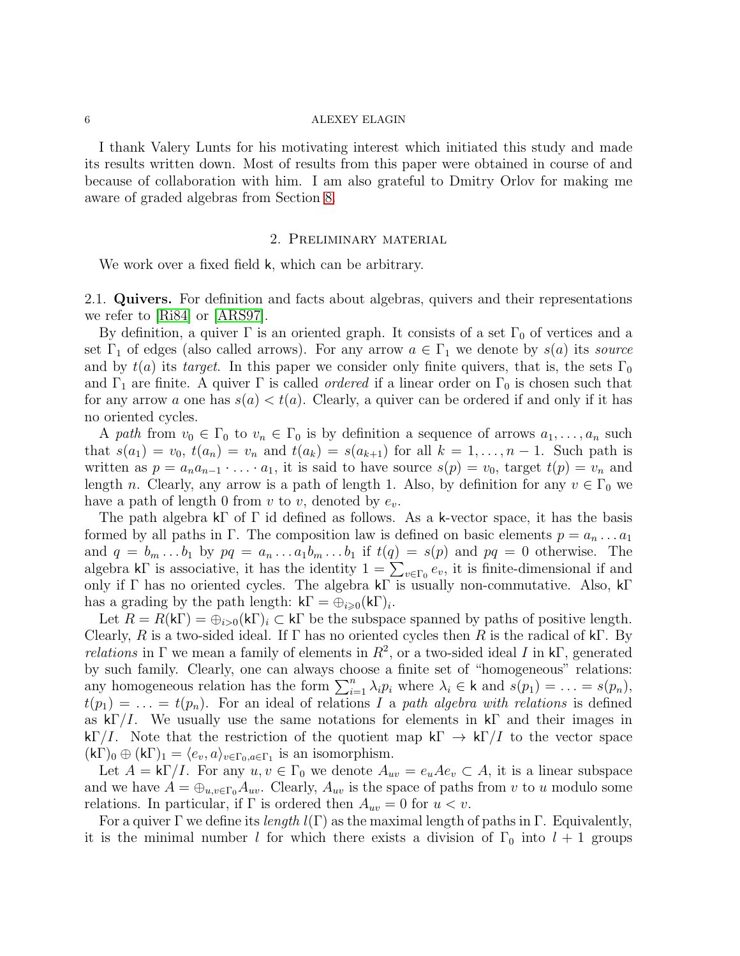#### $6$   $\hbox{ALEXEY ELAGIN}$

I thank Valery Lunts for his motivating interest which initiated this study and made its results written down. Most of results from this paper were obtained in course of and because of collaboration with him. I am also grateful to Dmitry Orlov for making me aware of graded algebras from Section [8.](#page-29-0)

## 2. Preliminary material

<span id="page-5-0"></span>We work over a fixed field k, which can be arbitrary.

2.1. Quivers. For definition and facts about algebras, quivers and their representations we refer to [\[Ri84\]](#page-38-3) or [\[ARS97\]](#page-38-4).

By definition, a quiver  $\Gamma$  is an oriented graph. It consists of a set  $\Gamma_0$  of vertices and a set  $\Gamma_1$  of edges (also called arrows). For any arrow  $a \in \Gamma_1$  we denote by  $s(a)$  its source and by  $t(a)$  its target. In this paper we consider only finite quivers, that is, the sets  $\Gamma_0$ and  $\Gamma_1$  are finite. A quiver  $\Gamma$  is called *ordered* if a linear order on  $\Gamma_0$  is chosen such that for any arrow a one has  $s(a) < t(a)$ . Clearly, a quiver can be ordered if and only if it has no oriented cycles.

A path from  $v_0 \in \Gamma_0$  to  $v_n \in \Gamma_0$  is by definition a sequence of arrows  $a_1, \ldots, a_n$  such that  $s(a_1) = v_0$ ,  $t(a_n) = v_n$  and  $t(a_k) = s(a_{k+1})$  for all  $k = 1, ..., n-1$ . Such path is written as  $p = a_n a_{n-1} \cdot \ldots \cdot a_1$ , it is said to have source  $s(p) = v_0$ , target  $t(p) = v_n$  and length n. Clearly, any arrow is a path of length 1. Also, by definition for any  $v \in \Gamma_0$  we have a path of length 0 from v to v, denoted by  $e_v$ .

The path algebra  $k\Gamma$  of  $\Gamma$  id defined as follows. As a k-vector space, it has the basis formed by all paths in Γ. The composition law is defined on basic elements  $p = a_n \dots a_1$ and  $q = b_m \dots b_1$  by  $pq = a_n \dots a_1 b_m \dots b_1$  if  $t(q) = s(p)$  and  $pq = 0$  otherwise. The algebra kΓ is associative, it has the identity  $1 = \sum_{v \in \Gamma_0} e_v$ , it is finite-dimensional if and only if  $\Gamma$  has no oriented cycles. The algebra k $\Gamma$  is usually non-commutative. Also, k $\Gamma$ has a grading by the path length:  $k\Gamma = \tilde{\bigoplus}_{i \geq 0} (k\Gamma)_i$ .

Let  $R = R(k\Gamma) = \bigoplus_{i>0} (k\Gamma)_i \subset k\Gamma$  be the subspace spanned by paths of positive length. Clearly, R is a two-sided ideal. If  $\Gamma$  has no oriented cycles then R is the radical of k $\Gamma$ . By *relations* in  $\Gamma$  we mean a family of elements in  $R^2$ , or a two-sided ideal I in k $\Gamma$ , generated by such family. Clearly, one can always choose a finite set of "homogeneous" relations: any homogeneous relation has the form  $\sum_{i=1}^{n} \lambda_i p_i$  where  $\lambda_i \in \mathsf{k}$  and  $s(p_1) = \ldots = s(p_n)$ ,  $t(p_1) = \ldots = t(p_n)$ . For an ideal of relations I a path algebra with relations is defined as  $k\Gamma/I$ . We usually use the same notations for elements in kΓ and their images in kΓ/I. Note that the restriction of the quotient map kΓ  $\rightarrow$  kΓ/I to the vector space  $(K\Gamma)_0 \oplus (k\Gamma)_1 = \langle e_v, a \rangle_{v \in \Gamma_0, a \in \Gamma_1}$  is an isomorphism.

Let  $A = k\Gamma/I$ . For any  $u, v \in \Gamma_0$  we denote  $A_{uv} = e_u A e_v \subset A$ , it is a linear subspace and we have  $A = \bigoplus_{u,v \in \Gamma_0} A_{uv}$ . Clearly,  $A_{uv}$  is the space of paths from v to u modulo some relations. In particular, if  $\Gamma$  is ordered then  $A_{uv} = 0$  for  $u < v$ .

For a quiver  $\Gamma$  we define its *length*  $l(\Gamma)$  as the maximal length of paths in  $\Gamma$ . Equivalently, it is the minimal number l for which there exists a division of  $\Gamma_0$  into  $l + 1$  groups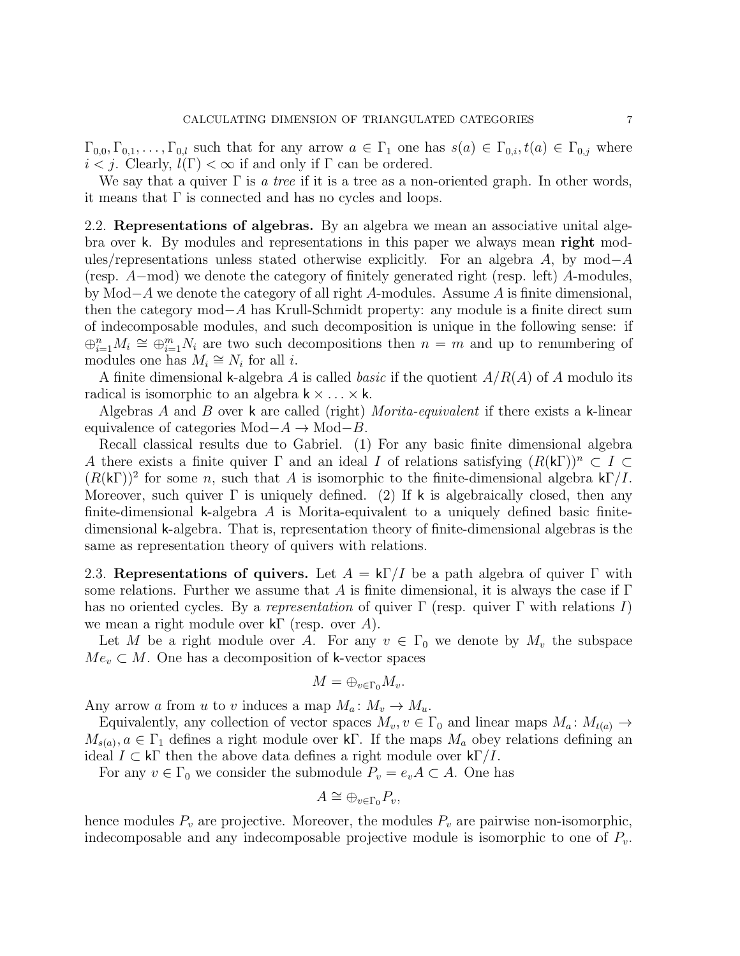$\Gamma_{0,0}, \Gamma_{0,1}, \ldots, \Gamma_{0,l}$  such that for any arrow  $a \in \Gamma_1$  one has  $s(a) \in \Gamma_{0,i}$ ,  $t(a) \in \Gamma_{0,i}$  where  $i < j$ . Clearly,  $l(\Gamma) < \infty$  if and only if  $\Gamma$  can be ordered.

We say that a quiver  $\Gamma$  is a tree if it is a tree as a non-oriented graph. In other words, it means that  $\Gamma$  is connected and has no cycles and loops.

2.2. Representations of algebras. By an algebra we mean an associative unital algebra over k. By modules and representations in this paper we always mean right modules/representations unless stated otherwise explicitly. For an algebra A, by mod–A (resp. A−mod) we denote the category of finitely generated right (resp. left) A-modules, by Mod−A we denote the category of all right A-modules. Assume A is finite dimensional, then the category mod−A has Krull-Schmidt property: any module is a finite direct sum of indecomposable modules, and such decomposition is unique in the following sense: if  $\bigoplus_{i=1}^n M_i \cong \bigoplus_{i=1}^m N_i$  are two such decompositions then  $n = m$  and up to renumbering of modules one has  $M_i \cong N_i$  for all *i*.

A finite dimensional k-algebra A is called basic if the quotient  $A/R(A)$  of A modulo its radical is isomorphic to an algebra  $k \times \ldots \times k$ .

Algebras A and B over  $\kappa$  are called (right) Morita-equivalent if there exists a  $\kappa$ -linear equivalence of categories Mod− $A \rightarrow$ Mod− $B$ .

Recall classical results due to Gabriel. (1) For any basic finite dimensional algebra A there exists a finite quiver  $\Gamma$  and an ideal I of relations satisfying  $(R(k\Gamma))^n \subset I \subset$  $(R(k\Gamma))^2$  for some n, such that A is isomorphic to the finite-dimensional algebra  $k\Gamma/I$ . Moreover, such quiver  $\Gamma$  is uniquely defined. (2) If k is algebraically closed, then any finite-dimensional k-algebra  $A$  is Morita-equivalent to a uniquely defined basic finitedimensional k-algebra. That is, representation theory of finite-dimensional algebras is the same as representation theory of quivers with relations.

2.3. Representations of quivers. Let  $A = k\Gamma/I$  be a path algebra of quiver  $\Gamma$  with some relations. Further we assume that A is finite dimensional, it is always the case if  $\Gamma$ has no oriented cycles. By a representation of quiver  $\Gamma$  (resp. quiver  $\Gamma$  with relations I) we mean a right module over  $k\Gamma$  (resp. over A).

Let M be a right module over A. For any  $v \in \Gamma_0$  we denote by  $M_v$  the subspace  $Me<sub>v</sub> \subset M$ . One has a decomposition of k-vector spaces

$$
M=\oplus_{v\in\Gamma_0}M_v.
$$

Any arrow a from u to v induces a map  $M_a: M_v \to M_u$ .

Equivalently, any collection of vector spaces  $M_v, v \in \Gamma_0$  and linear maps  $M_a: M_{t(a)} \to$  $M_{s(a)}, a \in \Gamma_1$  defines a right module over k<sub>F</sub>. If the maps  $M_a$  obey relations defining an ideal  $I \subset k\Gamma$  then the above data defines a right module over  $k\Gamma/I$ .

For any  $v \in \Gamma_0$  we consider the submodule  $P_v = e_v A \subset A$ . One has

$$
A \cong \bigoplus_{v \in \Gamma_0} P_v,
$$

hence modules  $P_v$  are projective. Moreover, the modules  $P_v$  are pairwise non-isomorphic, indecomposable and any indecomposable projective module is isomorphic to one of  $P_v$ .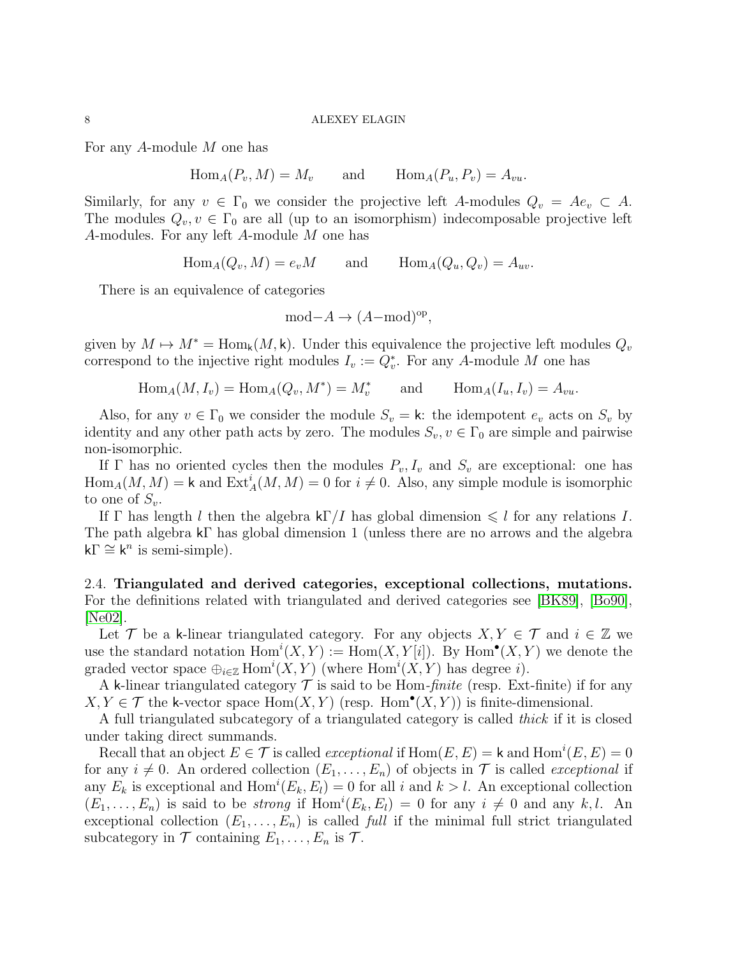For any A-module M one has

$$
\text{Hom}_A(P_v, M) = M_v
$$
 and  $\text{Hom}_A(P_u, P_v) = A_{vu}$ .

Similarly, for any  $v \in \Gamma_0$  we consider the projective left A-modules  $Q_v = Ae_v \subset A$ . The modules  $Q_v, v \in \Gamma_0$  are all (up to an isomorphism) indecomposable projective left A-modules. For any left A-module M one has

$$
\text{Hom}_A(Q_v, M) = e_v M
$$
 and  $\text{Hom}_A(Q_u, Q_v) = A_{uv}.$ 

There is an equivalence of categories

$$
\text{mod-}A \to (A-\text{mod})^{\text{op}},
$$

given by  $M \mapsto M^* = \text{Hom}_k(M, k)$ . Under this equivalence the projective left modules  $Q_v$ correspond to the injective right modules  $I_v := Q_v^*$ . For any A-module M one has

$$
\text{Hom}_A(M, I_v) = \text{Hom}_A(Q_v, M^*) = M_v^* \quad \text{and} \quad \text{Hom}_A(I_u, I_v) = A_{vu}.
$$

Also, for any  $v \in \Gamma_0$  we consider the module  $S_v = \mathsf{k}$ : the idempotent  $e_v$  acts on  $S_v$  by identity and any other path acts by zero. The modules  $S_v, v \in \Gamma_0$  are simple and pairwise non-isomorphic.

If  $\Gamma$  has no oriented cycles then the modules  $P_v, I_v$  and  $S_v$  are exceptional: one has  $\text{Hom}_A(M, M) = \mathsf{k}$  and  $\text{Ext}^i_A(M, M) = 0$  for  $i \neq 0$ . Also, any simple module is isomorphic to one of  $S_v$ .

If Γ has length l then the algebra  $k\Gamma/I$  has global dimension  $\leq l$  for any relations I. The path algebra kΓ has global dimension 1 (unless there are no arrows and the algebra  $k\Gamma \cong k^n$  is semi-simple).

2.4. Triangulated and derived categories, exceptional collections, mutations. For the definitions related with triangulated and derived categories see [\[BK89\]](#page-38-5), [\[Bo90\]](#page-38-6), [\[Ne02\]](#page-38-7).

Let T be a k-linear triangulated category. For any objects  $X, Y \in \mathcal{T}$  and  $i \in \mathbb{Z}$  we use the standard notation  $Hom<sup>i</sup>(X,Y) := Hom(X,Y[i])$ . By  $Hom<sup>•</sup>(X,Y)$  we denote the graded vector space  $\bigoplus_{i\in\mathbb{Z}}\text{Hom}^i(X,Y)$  (where  $\text{Hom}^i(X,Y)$  has degree i).

A k-linear triangulated category  $\mathcal T$  is said to be Hom-*finite* (resp. Ext-finite) if for any  $X, Y \in \mathcal{T}$  the k-vector space  $\text{Hom}(X, Y)$  (resp. Hom<sup>•</sup> $(X, Y)$ ) is finite-dimensional.

A full triangulated subcategory of a triangulated category is called thick if it is closed under taking direct summands.

Recall that an object  $E \in \mathcal{T}$  is called *exceptional* if  $\text{Hom}(E, E) = \text{k}$  and  $\text{Hom}^i(E, E) = 0$ for any  $i \neq 0$ . An ordered collection  $(E_1, \ldots, E_n)$  of objects in  $\mathcal T$  is called *exceptional* if any  $E_k$  is exceptional and  $Hom<sup>i</sup>(E_k, E_l) = 0$  for all i and  $k > l$ . An exceptional collection  $(E_1, \ldots, E_n)$  is said to be *strong* if  $Hom^i(E_k, E_l) = 0$  for any  $i \neq 0$  and any k, l. An exceptional collection  $(E_1, \ldots, E_n)$  is called full if the minimal full strict triangulated subcategory in  $\mathcal T$  containing  $E_1, \ldots, E_n$  is  $\mathcal T$ .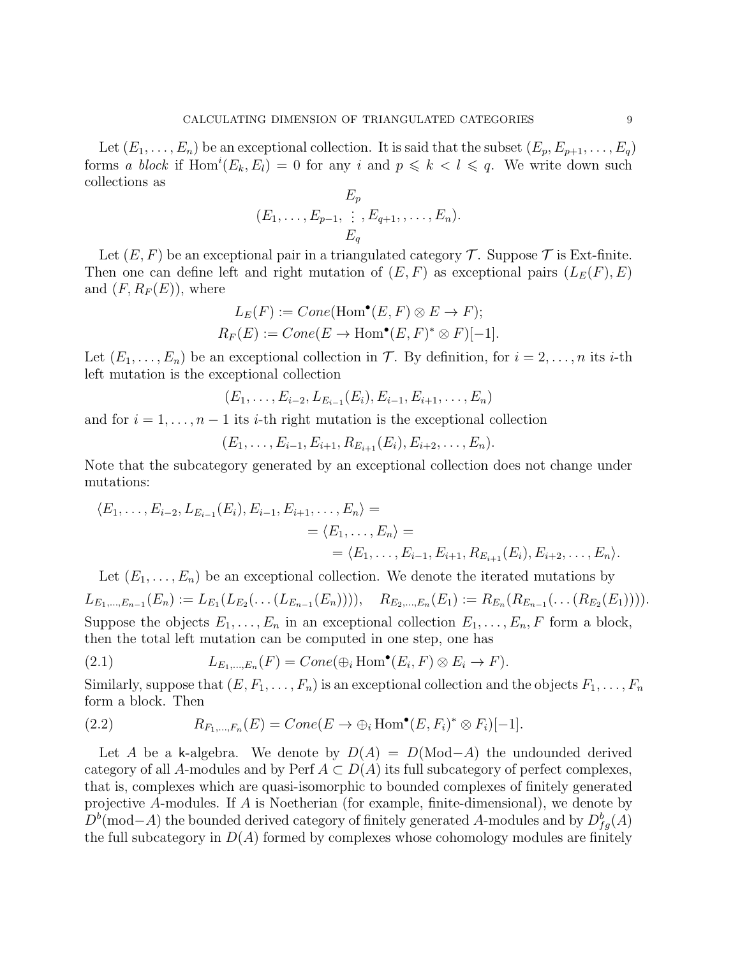Let  $(E_1, \ldots, E_n)$  be an exceptional collection. It is said that the subset  $(E_p, E_{p+1}, \ldots, E_q)$ forms a block if  $Hom^i(E_k, E_l) = 0$  for any i and  $p \leq k < l \leq q$ . We write down such collections as

$$
E_p\n(E_1, \ldots, E_{p-1}, \vdots, E_{q+1}, \ldots, E_n).
$$
  

$$
E_q
$$

Let  $(E, F)$  be an exceptional pair in a triangulated category  $\mathcal T$ . Suppose  $\mathcal T$  is Ext-finite. Then one can define left and right mutation of  $(E, F)$  as exceptional pairs  $(L_E(F), E)$ and  $(F, R_F(E))$ , where

$$
L_E(F) := Cone(\text{Hom}^{\bullet}(E, F) \otimes E \to F);
$$
  

$$
R_F(E) := Cone(E \to \text{Hom}^{\bullet}(E, F)^* \otimes F)[-1].
$$

Let  $(E_1, \ldots, E_n)$  be an exceptional collection in T. By definition, for  $i = 2, \ldots, n$  its *i*-th left mutation is the exceptional collection

$$
(E_1,\ldots,E_{i-2},L_{E_{i-1}}(E_i),E_{i-1},E_{i+1},\ldots,E_n)
$$

and for  $i = 1, \ldots, n - 1$  its *i*-th right mutation is the exceptional collection

$$
(E_1, \ldots, E_{i-1}, E_{i+1}, R_{E_{i+1}}(E_i), E_{i+2}, \ldots, E_n).
$$

Note that the subcategory generated by an exceptional collection does not change under mutations:

$$
\langle E_1, \ldots, E_{i-2}, L_{E_{i-1}}(E_i), E_{i-1}, E_{i+1}, \ldots, E_n \rangle =
$$
  
=  $\langle E_1, \ldots, E_n \rangle =$   
=  $\langle E_1, \ldots, E_{i-1}, E_{i+1}, R_{E_{i+1}}(E_i), E_{i+2}, \ldots, E_n \rangle.$ 

Let  $(E_1, \ldots, E_n)$  be an exceptional collection. We denote the iterated mutations by  $L_{E_1,...,E_{n-1}}(E_n) := L_{E_1}(L_{E_2}(\ldots (L_{E_{n-1}}(E_n))))$ ,  $R_{E_2,...,E_n}(E_1) := R_{E_n}(R_{E_{n-1}}(\ldots (R_{E_2}(E_1))))$ . Suppose the objects  $E_1, \ldots, E_n$  in an exceptional collection  $E_1, \ldots, E_n$ , F form a block, then the total left mutation can be computed in one step, one has

<span id="page-8-1"></span>(2.1) 
$$
L_{E_1,\dots,E_n}(F) = Cone(\bigoplus_i \text{Hom}^{\bullet}(E_i,F) \otimes E_i \to F).
$$

Similarly, suppose that  $(E, F_1, \ldots, F_n)$  is an exceptional collection and the objects  $F_1, \ldots, F_n$ form a block. Then

<span id="page-8-0"></span>(2.2) 
$$
R_{F_1,\ldots,F_n}(E) = Cone(E \to \bigoplus_i \text{Hom}^{\bullet}(E,F_i)^* \otimes F_i)[-1].
$$

Let A be a k-algebra. We denote by  $D(A) = D(\text{Mod}-A)$  the undounded derived category of all A-modules and by Perf  $A \subset D(A)$  its full subcategory of perfect complexes, that is, complexes which are quasi-isomorphic to bounded complexes of finitely generated projective A-modules. If A is Noetherian (for example, finite-dimensional), we denote by  $D<sup>b</sup>(\text{mod}-A)$  the bounded derived category of finitely generated A-modules and by  $D<sup>b</sup><sub>fg</sub>(A)$ the full subcategory in  $D(A)$  formed by complexes whose cohomology modules are finitely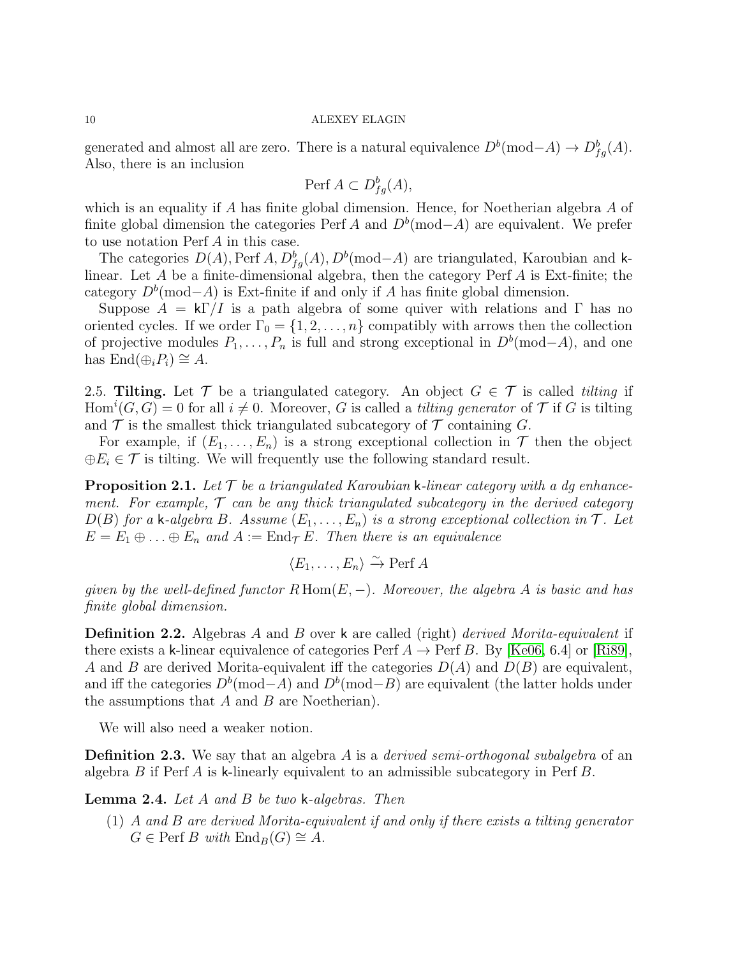generated and almost all are zero. There is a natural equivalence  $D^b(\text{mod}-A) \to D^b_{fg}(A)$ . Also, there is an inclusion

$$
\text{Perf}\,A \subset D_{fg}^b(A),
$$

which is an equality if A has finite global dimension. Hence, for Noetherian algebra A of finite global dimension the categories Perf A and  $D<sup>b</sup>(mod-A)$  are equivalent. We prefer to use notation Perf A in this case.

The categories  $D(A)$ , Perf  $A, D_{fg}^b(A), D^b(\text{mod}-A)$  are triangulated, Karoubian and klinear. Let A be a finite-dimensional algebra, then the category Perf A is Ext-finite; the category  $D<sup>b</sup>(mod-A)$  is Ext-finite if and only if A has finite global dimension.

Suppose  $A = k\Gamma/I$  is a path algebra of some quiver with relations and  $\Gamma$  has no oriented cycles. If we order  $\Gamma_0 = \{1, 2, ..., n\}$  compatibly with arrows then the collection of projective modules  $P_1, \ldots, P_n$  is full and strong exceptional in  $D^b(\text{mod}-A)$ , and one has  $\text{End}(\bigoplus_i P_i) \cong A$ .

2.5. Tilting. Let  $\mathcal T$  be a triangulated category. An object  $G \in \mathcal T$  is called tilting if Hom<sup>i</sup>(G, G) = 0 for all  $i \neq 0$ . Moreover, G is called a *tilting generator* of  $\mathcal T$  if G is tilting and  $\mathcal T$  is the smallest thick triangulated subcategory of  $\mathcal T$  containing G.

For example, if  $(E_1, \ldots, E_n)$  is a strong exceptional collection in  $\mathcal T$  then the object  $\oplus E_i \in \mathcal{T}$  is tilting. We will frequently use the following standard result.

<span id="page-9-1"></span>**Proposition 2.1.** Let  $\mathcal{T}$  be a triangulated Karoubian k-linear category with a dg enhancement. For example,  $\mathcal T$  can be any thick triangulated subcategory in the derived category  $D(B)$  for a k-algebra B. Assume  $(E_1, \ldots, E_n)$  is a strong exceptional collection in  $\mathcal T$ . Let  $E = E_1 \oplus \ldots \oplus E_n$  and  $A := \text{End}_{\mathcal{T}} E$ . Then there is an equivalence

 $\langle E_1,\ldots,E_n\rangle \xrightarrow{\sim} \text{Perf } A$ 

given by the well-defined functor  $R\text{ Hom}(E, -)$ . Moreover, the algebra A is basic and has finite global dimension.

**Definition 2.2.** Algebras A and B over k are called (right) derived Morita-equivalent if there exists a k-linear equivalence of categories Perf  $A \to \text{Perf } B$ . By [\[Ke06,](#page-38-8) 6.4] or [\[Ri89\]](#page-38-9), A and B are derived Morita-equivalent iff the categories  $D(A)$  and  $D(B)$  are equivalent, and iff the categories  $D^b(\text{mod}-A)$  and  $D^b(\text{mod}-B)$  are equivalent (the latter holds under the assumptions that  $A$  and  $B$  are Noetherian).

We will also need a weaker notion.

<span id="page-9-2"></span>**Definition 2.3.** We say that an algebra  $A$  is a *derived semi-orthogonal subalgebra* of an algebra B if Perf A is k-linearly equivalent to an admissible subcategory in Perf B.

<span id="page-9-0"></span>Lemma 2.4. Let A and B be two k-algebras. Then

(1) A and B are derived Morita-equivalent if and only if there exists a tilting generator  $G \in \text{Perf } B$  with  $\text{End}_B(G) \cong A$ .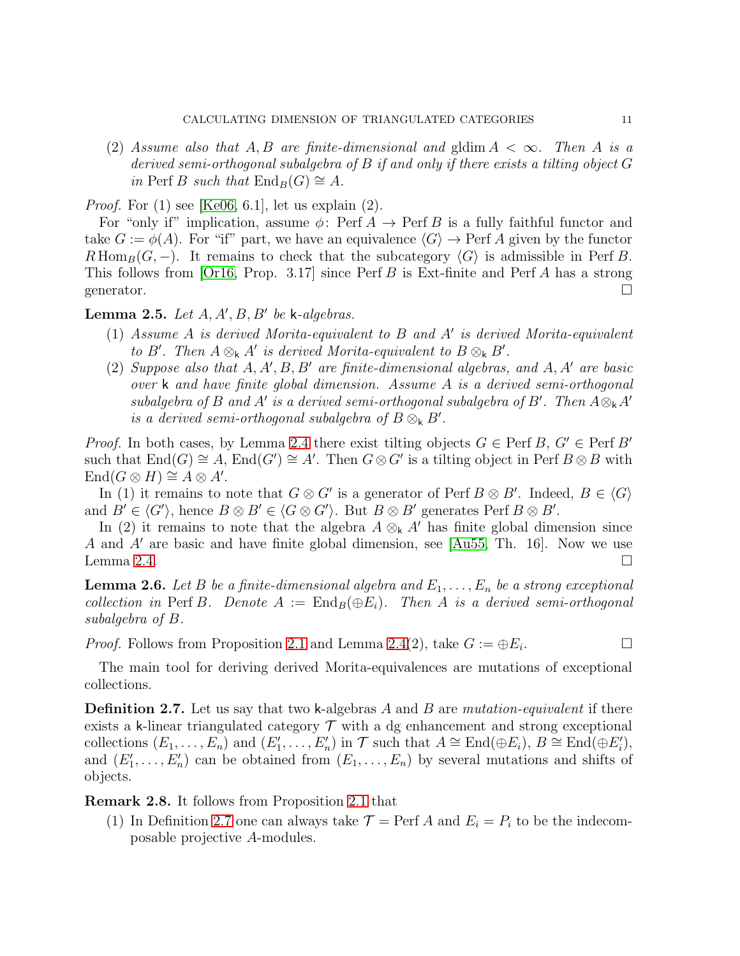(2) Assume also that A, B are finite-dimensional and gldim  $A < \infty$ . Then A is a derived semi-orthogonal subalgebra of B if and only if there exists a tilting object G in Perf B such that  $\text{End}_B(G) \cong A$ .

*Proof.* For  $(1)$  see [\[Ke06,](#page-38-8) 6.1], let us explain  $(2)$ .

For "only if" implication, assume  $\phi$ : Perf  $A \to$  Perf B is a fully faithful functor and take  $G := \phi(A)$ . For "if" part, we have an equivalence  $\langle G \rangle \to$  Perf A given by the functor  $R\operatorname{Hom}_B(G, -)$ . It remains to check that the subcategory  $\langle G \rangle$  is admissible in Perf B. This follows from  $\lbrack \text{Or}16, \text{ Prop. } 3.17 \rbrack$  since Perf B is Ext-finite and Perf A has a strong generator.  $\Box$ 

# <span id="page-10-2"></span>Lemma 2.5. Let  $A, A', B, B'$  be k-algebras.

- (1) Assume A is derived Morita-equivalent to B and A′ is derived Morita-equivalent to B'. Then  $A \otimes_k A'$  is derived Morita-equivalent to  $B \otimes_k B'$ .
- (2) Suppose also that  $A, A', B, B'$  are finite-dimensional algebras, and  $A, A'$  are basic over k and have finite global dimension. Assume A is a derived semi-orthogonal subalgebra of B and A' is a derived semi-orthogonal subalgebra of B'. Then  $A \otimes_k A'$ is a derived semi-orthogonal subalgebra of  $B \otimes_k B'$ .

*Proof.* In both cases, by Lemma [2.4](#page-9-0) there exist tilting objects  $G \in \text{Perf } B$ ,  $G' \in \text{Perf } B'$ such that  $\text{End}(G) \cong A$ ,  $\text{End}(G') \cong A'$ . Then  $G \otimes G'$  is a tilting object in Perf  $B \otimes B$  with  $\text{End}(G \otimes H) \cong A \otimes A'.$ 

In (1) it remains to note that  $G \otimes G'$  is a generator of Perf  $B \otimes B'$ . Indeed,  $B \in \langle G \rangle$ and  $B' \in \langle G' \rangle$ , hence  $B \otimes B' \in \langle G \otimes G' \rangle$ . But  $B \otimes B'$  generates Perf  $B \otimes B'$ .

In (2) it remains to note that the algebra  $A \otimes_k A'$  has finite global dimension since A and A′ are basic and have finite global dimension, see [\[Au55,](#page-38-11) Th. 16]. Now we use Lemma [2.4.](#page-9-0)  $\Box$ 

<span id="page-10-1"></span>**Lemma 2.6.** Let B be a finite-dimensional algebra and  $E_1, \ldots, E_n$  be a strong exceptional collection in Perf B. Denote  $A := \text{End}_B(\oplus E_i)$ . Then A is a derived semi-orthogonal subalgebra of B.

*Proof.* Follows from Proposition [2.1](#page-9-1) and Lemma [2.4\(](#page-9-0)2), take  $G := \bigoplus E_i$ . . — Первый проста в серверності в серверності в серверності в серверності в серверності в серверності в сервер<br>Перверності в серверності в серверності в серверності в серверності в серверності в серверності в серверності

The main tool for deriving derived Morita-equivalences are mutations of exceptional collections.

<span id="page-10-0"></span>**Definition 2.7.** Let us say that two k-algebras A and B are mutation-equivalent if there exists a k-linear triangulated category  $\mathcal T$  with a dg enhancement and strong exceptional collections  $(E_1, \ldots, E_n)$  and  $(E'_1, \ldots, E'_n)$  in  $\mathcal T$  such that  $A \cong \text{End}(\oplus E_i)$ ,  $B \cong \text{End}(\oplus E'_i)$ , and  $(E'_1, \ldots, E'_n)$  can be obtained from  $(E_1, \ldots, E_n)$  by several mutations and shifts of objects.

Remark 2.8. It follows from Proposition [2.1](#page-9-1) that

(1) In Definition [2.7](#page-10-0) one can always take  $\mathcal{T} = \text{Perf } A$  and  $E_i = P_i$  to be the indecomposable projective A-modules.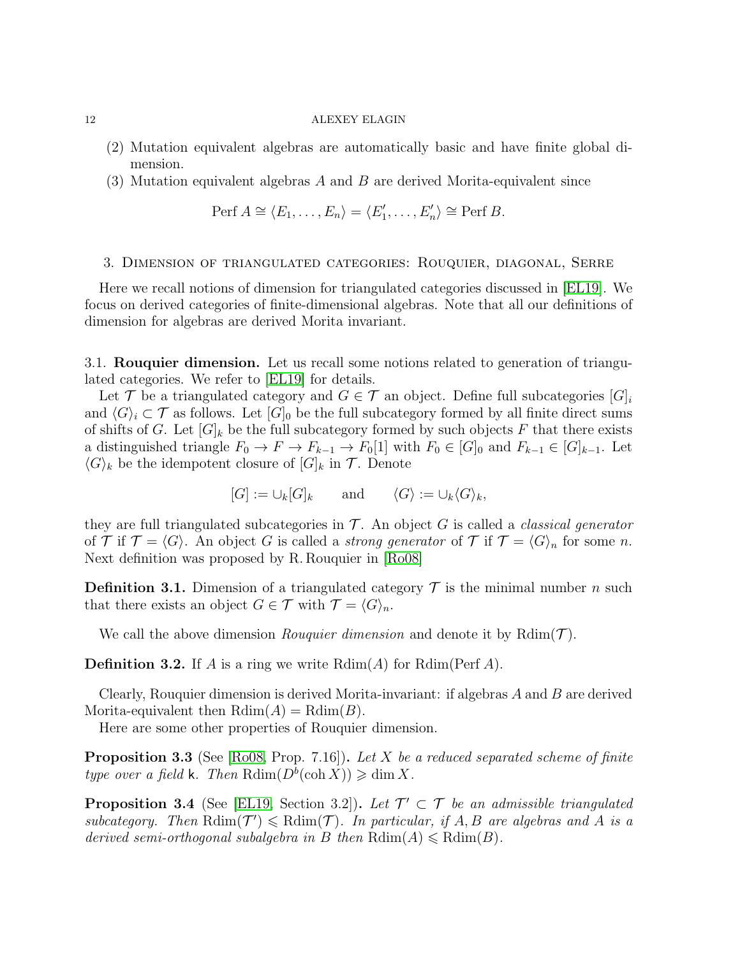- (2) Mutation equivalent algebras are automatically basic and have finite global dimension.
- (3) Mutation equivalent algebras A and B are derived Morita-equivalent since

$$
\text{Perf } A \cong \langle E_1, \ldots, E_n \rangle = \langle E'_1, \ldots, E'_n \rangle \cong \text{Perf } B.
$$

## <span id="page-11-0"></span>3. Dimension of triangulated categories: Rouquier, diagonal, Serre

Here we recall notions of dimension for triangulated categories discussed in [\[EL19\]](#page-38-0). We focus on derived categories of finite-dimensional algebras. Note that all our definitions of dimension for algebras are derived Morita invariant.

3.1. Rouquier dimension. Let us recall some notions related to generation of triangulated categories. We refer to [\[EL19\]](#page-38-0) for details.

Let T be a triangulated category and  $G \in \mathcal{T}$  an object. Define full subcategories  $|G|_i$ and  $\langle G \rangle_i \subset \mathcal{T}$  as follows. Let  $[G]_0$  be the full subcategory formed by all finite direct sums of shifts of G. Let  $[G]_k$  be the full subcategory formed by such objects F that there exists a distinguished triangle  $F_0 \to F \to F_{k-1} \to F_0[1]$  with  $F_0 \in [G]_0$  and  $F_{k-1} \in [G]_{k-1}$ . Let  $\langle G \rangle_k$  be the idempotent closure of  $[G]_k$  in  $\mathcal{T}$ . Denote

$$
[G] := \bigcup_k [G]_k
$$
 and  $\langle G \rangle := \bigcup_k \langle G \rangle_k$ ,

they are full triangulated subcategories in  $\mathcal T$ . An object G is called a *classical generator* of  $\mathcal T$  if  $\mathcal T = \langle G \rangle$ . An object G is called a strong generator of  $\mathcal T$  if  $\mathcal T = \langle G \rangle_n$  for some n. Next definition was proposed by R. Rouquier in [\[Ro08\]](#page-38-12)

**Definition 3.1.** Dimension of a triangulated category  $\mathcal{T}$  is the minimal number n such that there exists an object  $G \in \mathcal{T}$  with  $\mathcal{T} = \langle G \rangle_n$ .

We call the above dimension *Rouquier dimension* and denote it by  $Rdim(\mathcal{T})$ .

**Definition 3.2.** If A is a ring we write  $Rdim(A)$  for  $Rdim(Perf A)$ .

Clearly, Rouquier dimension is derived Morita-invariant: if algebras A and B are derived Morita-equivalent then  $Rdim(A) = Rdim(B)$ .

Here are some other properties of Rouquier dimension.

<span id="page-11-2"></span>**Proposition 3.3** (See [\[Ro08,](#page-38-12) Prop. 7.16]). Let X be a reduced separated scheme of finite type over a field k. Then  $\mathrm{Rdim}(D^{\overline{b}}(\mathrm{coh}\, X))\geqslant \dim X$ .

<span id="page-11-1"></span>**Proposition 3.4** (See [\[EL19,](#page-38-0) Section 3.2]). Let  $\mathcal{T}' \subset \mathcal{T}$  be an admissible triangulated subcategory. Then  $\text{Rdim}(\mathcal{T}') \leq \text{Rdim}(\mathcal{T})$ . In particular, if A, B are algebras and A is a derived semi-orthogonal subalgebra in B then  $Rdim(A) \leq Rdim(B)$ .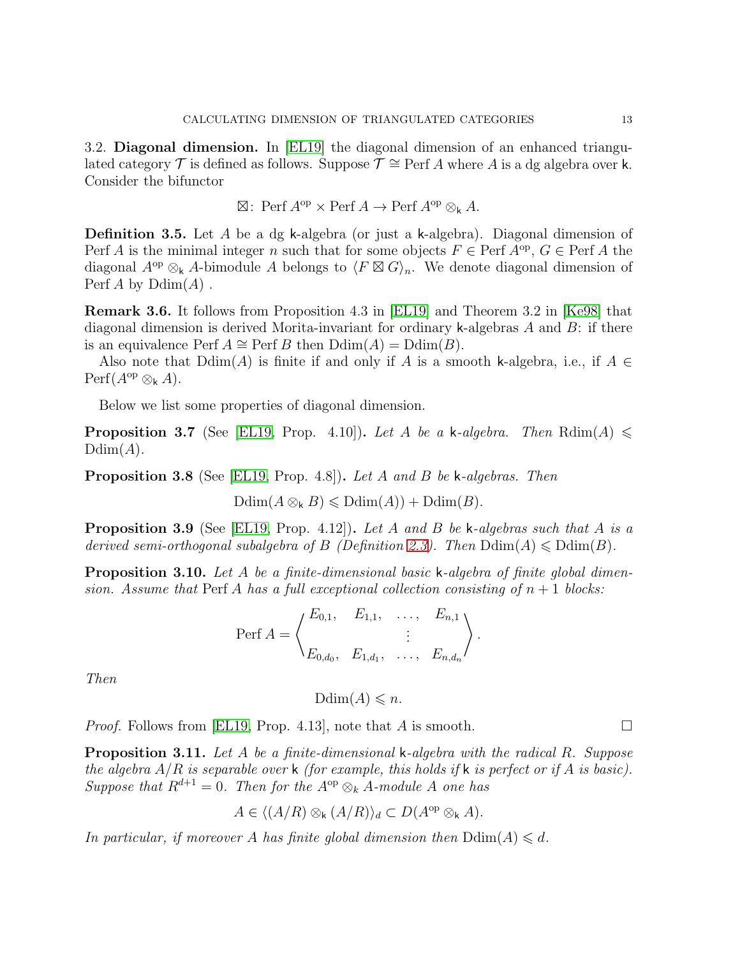3.2. Diagonal dimension. In [\[EL19\]](#page-38-0) the diagonal dimension of an enhanced triangulated category  $\mathcal T$  is defined as follows. Suppose  $\mathcal T \cong \operatorname{Perf} A$  where A is a dg algebra over k. Consider the bifunctor

$$
\boxtimes: \text{Perf } A^{\text{op}} \times \text{Perf } A \to \text{Perf } A^{\text{op}} \otimes_{\mathsf{k}} A.
$$

<span id="page-12-0"></span>**Definition 3.5.** Let A be a dg k-algebra (or just a k-algebra). Diagonal dimension of Perf A is the minimal integer n such that for some objects  $F \in \text{Perf } A^{\text{op}}$ ,  $G \in \text{Perf } A$  the diagonal  $A^{\rm op} \otimes_k A$ -bimodule A belongs to  $\langle F \boxtimes G \rangle_n$ . We denote diagonal dimension of Perf A by  $\mathrm{Ddim}(A)$ .

Remark 3.6. It follows from Proposition 4.3 in [\[EL19\]](#page-38-0) and Theorem 3.2 in [\[Ke98\]](#page-38-13) that diagonal dimension is derived Morita-invariant for ordinary k-algebras  $A$  and  $B$ : if there is an equivalence Perf  $A \cong \text{Perf } B$  then  $\text{Ddim}(A) = \text{Ddim}(B)$ .

Also note that  $Ddim(A)$  is finite if and only if A is a smooth k-algebra, i.e., if  $A \in$  $\text{Perf}(A^{\text{op}} \otimes_{\mathsf{k}} A).$ 

Below we list some properties of diagonal dimension.

<span id="page-12-1"></span>**Proposition 3.7** (See [\[EL19,](#page-38-0) Prop. 4.10]). Let A be a k-algebra. Then Rdim(A)  $\leq$  $Ddim(A)$ .

<span id="page-12-3"></span>Proposition 3.8 (See [\[EL19,](#page-38-0) Prop. 4.8]). Let A and B be k-algebras. Then

 $\mathrm{Ddim}(A \otimes_k B) \leqslant \mathrm{Ddim}(A) + \mathrm{Ddim}(B).$ 

<span id="page-12-2"></span>**Proposition 3.9** (See [\[EL19,](#page-38-0) Prop. 4.12]). Let A and B be k-algebras such that A is a derived semi-orthogonal subalgebra of B (Definition [2.3\)](#page-9-2). Then  $Ddim(A) \leq Ddim(B)$ .

<span id="page-12-5"></span>Proposition 3.10. Let A be a finite-dimensional basic k-algebra of finite global dimension. Assume that Perf A has a full exceptional collection consisting of  $n + 1$  blocks:

$$
\text{Perf } A = \begin{pmatrix} E_{0,1}, & E_{1,1}, & \dots, & E_{n,1} \\ & \vdots & & \\ E_{0,d_0}, & E_{1,d_1}, & \dots, & E_{n,d_n} \end{pmatrix}.
$$

Then

 $Ddim(A) \leq n$ .

*Proof.* Follows from [\[EL19,](#page-38-0) Prop. 4.13], note that A is smooth.  $\square$ 

<span id="page-12-4"></span>Proposition 3.11. Let A be a finite-dimensional k-algebra with the radical R. Suppose the algebra  $A/R$  is separable over k (for example, this holds if k is perfect or if A is basic). Suppose that  $R^{d+1} = 0$ . Then for the  $A^{op} \otimes_k A$ -module A one has

$$
A \in \langle (A/R) \otimes_{\mathsf{k}} (A/R) \rangle_d \subset D(A^{\mathrm{op}} \otimes_{\mathsf{k}} A).
$$

In particular, if moreover A has finite global dimension then  $\text{Ddim}(A) \leq d$ .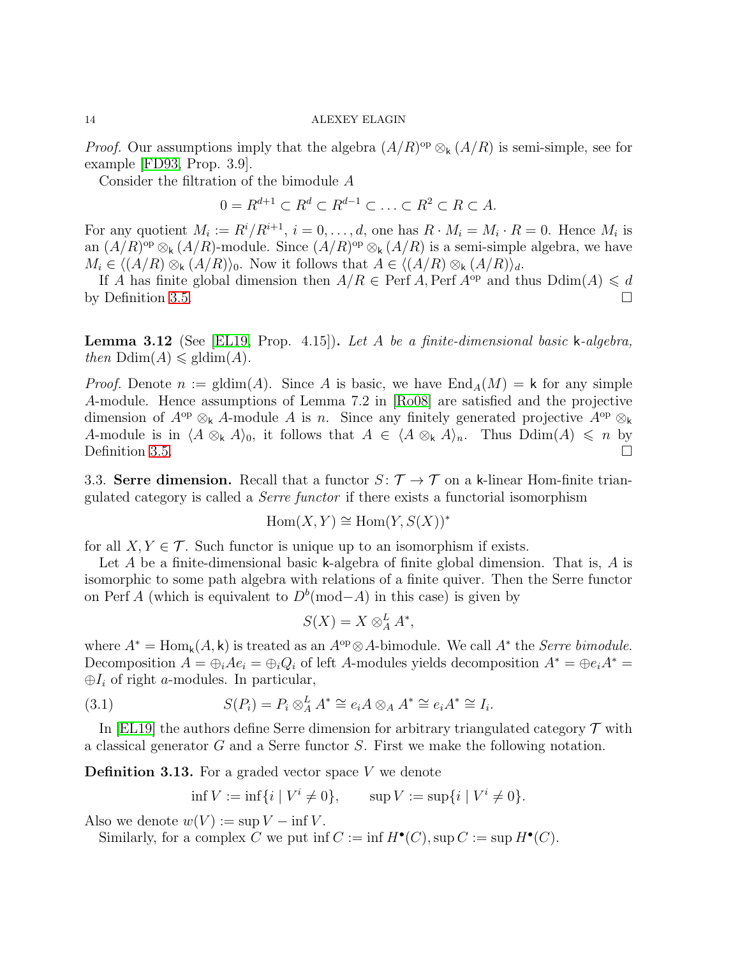*Proof.* Our assumptions imply that the algebra  $(A/R)^{op} \otimes_k (A/R)$  is semi-simple, see for example [\[FD93,](#page-38-14) Prop. 3.9].

Consider the filtration of the bimodule A

 $0 = R^{d+1} \subset R^d \subset R^{d-1} \subset \ldots \subset R^2 \subset R \subset A.$ 

For any quotient  $M_i := R^i/R^{i+1}$ ,  $i = 0, \ldots, d$ , one has  $R \cdot M_i = M_i \cdot R = 0$ . Hence  $M_i$  is an  $(A/R)^{op} \otimes_{\mathsf{k}} (A/R)$ -module. Since  $(A/R)^{op} \otimes_{\mathsf{k}} (A/R)$  is a semi-simple algebra, we have  $M_i \in \langle (A/R) \otimes_k (A/R) \rangle_0$ . Now it follows that  $A \in \langle (A/R) \otimes_k (A/R) \rangle_d$ .

If A has finite global dimension then  $A/R \in \text{Perf } A$ , Perf  $A^{\text{op}}$  and thus  $\text{Ddim}(A) \leq d$ by Definition [3.5.](#page-12-0)

<span id="page-13-0"></span>**Lemma 3.12** (See [\[EL19,](#page-38-0) Prop. 4.15]). Let A be a finite-dimensional basic k-algebra, then  $\text{Ddim}(A) \leq \text{gldim}(A)$ .

*Proof.* Denote  $n := \text{gldim}(A)$ . Since A is basic, we have  $\text{End}_A(M) = k$  for any simple A-module. Hence assumptions of Lemma 7.2 in [\[Ro08\]](#page-38-12) are satisfied and the projective dimension of  $A^{\rm op} \otimes_{\mathsf{k}} A$ -module A is n. Since any finitely generated projective  $A^{\rm op} \otimes_{\mathsf{k}} A$ A-module is in  $\langle A \otimes_k A \rangle_0$ , it follows that  $A \in \langle A \otimes_k A \rangle_n$ . Thus  $\text{Ddim}(A) \leq n$  by Definition [3.5.](#page-12-0)

3.3. Serre dimension. Recall that a functor  $S: \mathcal{T} \to \mathcal{T}$  on a k-linear Hom-finite triangulated category is called a Serre functor if there exists a functorial isomorphism

$$
Hom(X, Y) \cong Hom(Y, S(X))^*
$$

for all  $X, Y \in \mathcal{T}$ . Such functor is unique up to an isomorphism if exists.

Let A be a finite-dimensional basic k-algebra of finite global dimension. That is, A is isomorphic to some path algebra with relations of a finite quiver. Then the Serre functor on Perf A (which is equivalent to  $D^b$ (mod–A) in this case) is given by

$$
S(X) = X \otimes_A^L A^*,
$$

where  $A^* = \text{Hom}_k(A, k)$  is treated as an  $A^{\text{op}} \otimes A$ -bimodule. We call  $A^*$  the *Serre bimodule*. Decomposition  $A = \bigoplus_i Ae_i = \bigoplus_i Q_i$  of left A-modules yields decomposition  $A^* = \bigoplus_i A^* =$  $\oplus I_i$  of right a-modules. In particular,

(3.1) 
$$
S(P_i) = P_i \otimes_A^L A^* \cong e_i A \otimes_A A^* \cong e_i A^* \cong I_i.
$$

In [\[EL19\]](#page-38-0) the authors define Serre dimension for arbitrary triangulated category  $\mathcal T$  with a classical generator G and a Serre functor S. First we make the following notation.

<span id="page-13-2"></span>**Definition 3.13.** For a graded vector space  $V$  we denote

<span id="page-13-1"></span>
$$
\inf V := \inf \{ i \mid V^i \neq 0 \}, \qquad \sup V := \sup \{ i \mid V^i \neq 0 \}.
$$

Also we denote  $w(V) := \sup V - \inf V$ .

Similarly, for a complex C we put inf  $C := \inf H^{\bullet}(C)$ ,  $\sup C := \sup H^{\bullet}(C)$ .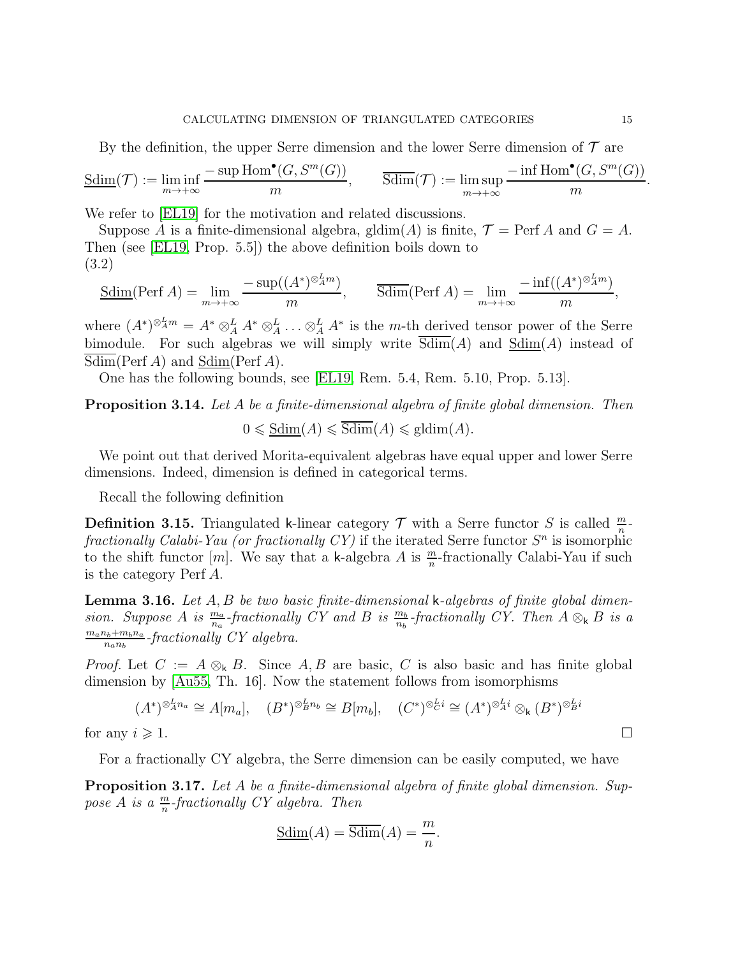By the definition, the upper Serre dimension and the lower Serre dimension of  $\mathcal T$  are

$$
\underline{\text{Sdim}}(\mathcal{T}) := \liminf_{m \to +\infty} \frac{-\sup \text{Hom}^{\bullet}(G, S^{m}(G))}{m}, \qquad \overline{\text{Sdim}}(\mathcal{T}) := \limsup_{m \to +\infty} \frac{-\inf \text{Hom}^{\bullet}(G, S^{m}(G))}{m}.
$$

We refer to [\[EL19\]](#page-38-0) for the motivation and related discussions.

Suppose A is a finite-dimensional algebra, gldim(A) is finite,  $\mathcal{T} = \text{Perf } A$  and  $G = A$ . Then (see [\[EL19,](#page-38-0) Prop. 5.5]) the above definition boils down to (3.2)

<span id="page-14-0"></span>
$$
\underline{\text{Sdim}}(\text{Perf } A) = \lim_{m \to +\infty} \frac{-\sup((A^*)^{\otimes_A^L m})}{m}, \qquad \overline{\text{Sdim}}(\text{Perf } A) = \lim_{m \to +\infty} \frac{-\inf((A^*)^{\otimes_A^L m})}{m},
$$

where  $(A^*)^{\otimes_A^L m} = A^* \otimes_A^L A^* \otimes_A^L \ldots \otimes_A^L A^*$  is the *m*-th derived tensor power of the Serre bimodule. For such algebras we will simply write  $\overline{\text{Sdim}}(A)$  and  $\underline{\text{Sdim}}(A)$  instead of Sdim(Perf A) and Sdim(Perf A).

One has the following bounds, see [\[EL19,](#page-38-0) Rem. 5.4, Rem. 5.10, Prop. 5.13].

<span id="page-14-3"></span>**Proposition 3.14.** Let A be a finite-dimensional algebra of finite global dimension. Then

$$
0 \leqslant \underline{\text{Sdim}}(A) \leqslant \overline{\text{Sdim}}(A) \leqslant \underline{\text{gldim}}(A).
$$

We point out that derived Morita-equivalent algebras have equal upper and lower Serre dimensions. Indeed, dimension is defined in categorical terms.

Recall the following definition

**Definition 3.15.** Triangulated k-linear category  $\mathcal T$  with a Serre functor S is called  $\frac{m}{n}$ . fractionally Calabi-Yau (or fractionally CY) if the iterated Serre functor  $S<sup>n</sup>$  is isomorphic to the shift functor  $[m]$ . We say that a k-algebra A is  $\frac{m}{n}$ -fractionally Calabi-Yau if such is the category Perf A.

<span id="page-14-1"></span>**Lemma 3.16.** Let  $A, B$  be two basic finite-dimensional k-algebras of finite global dimension. Suppose A is  $\frac{m_a}{n_a}$ -fractionally CY and B is  $\frac{m_b}{n_b}$ -fractionally CY. Then  $A \otimes_k B$  is a  $m_a n_b + m_b n_a$  $\frac{n_b+m_b n_a}{n_a n_b}$ -fractionally CY algebra.

*Proof.* Let  $C := A \otimes_k B$ . Since A, B are basic, C is also basic and has finite global dimension by [\[Au55,](#page-38-11) Th. 16]. Now the statement follows from isomorphisms

$$
(A^*)^{\otimes_A^L n_a} \cong A[m_a], \quad (B^*)^{\otimes_B^L n_b} \cong B[m_b], \quad (C^*)^{\otimes_C^L i} \cong (A^*)^{\otimes_A^L i} \otimes_k (B^*)^{\otimes_B^L i}
$$
  
for any  $i \ge 1$ .

For a fractionally CY algebra, the Serre dimension can be easily computed, we have

<span id="page-14-2"></span>Proposition 3.17. Let A be a finite-dimensional algebra of finite global dimension. Suppose A is a  $\frac{m}{n}$ -fractionally CY algebra. Then

$$
\underline{\text{Sdim}}(A) = \overline{\text{Sdim}}(A) = \frac{m}{n}.
$$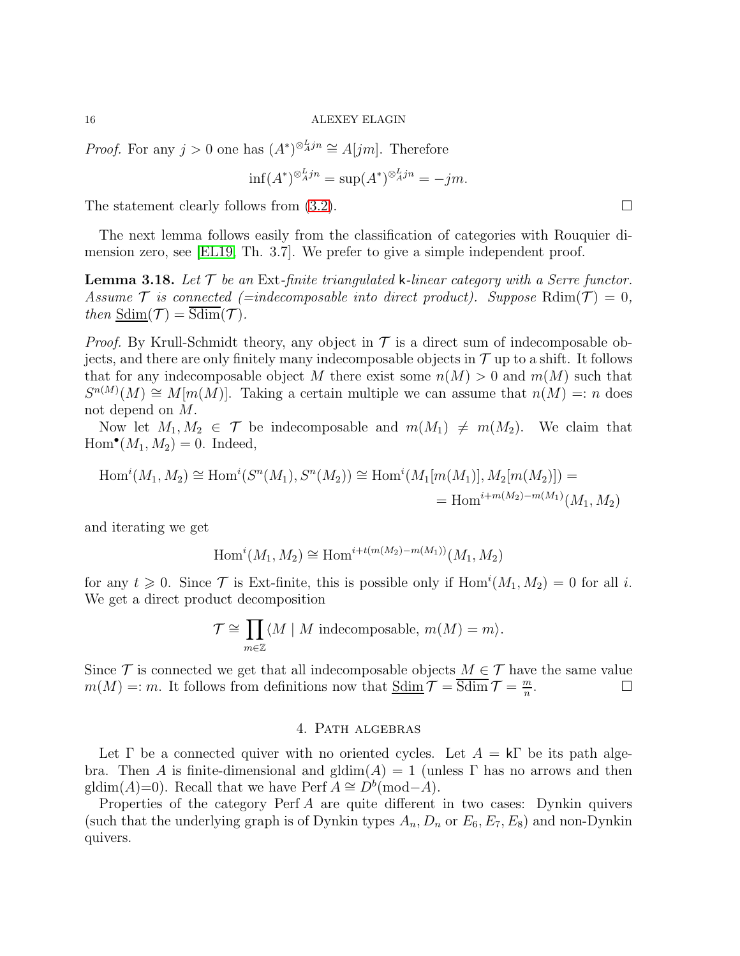*Proof.* For any  $j > 0$  one has  $(A^*)^{\otimes_A^L j n} \cong A[jm]$ . Therefore

$$
\inf(A^*)^{\otimes_A^L j n} = \sup(A^*)^{\otimes_A^L j n} = -jm.
$$

The statement clearly follows from  $(3.2)$ .

The next lemma follows easily from the classification of categories with Rouquier dimension zero, see [\[EL19,](#page-38-0) Th. 3.7]. We prefer to give a simple independent proof.

<span id="page-15-1"></span>**Lemma 3.18.** Let  $\mathcal T$  be an Ext-finite triangulated k-linear category with a Serre functor. Assume  $\mathcal T$  is connected (=indecomposable into direct product). Suppose Rdim( $\mathcal T$ ) = 0, then  $Sdim(\mathcal{T}) = \overline{Sdim}(\mathcal{T})$ .

*Proof.* By Krull-Schmidt theory, any object in  $\mathcal T$  is a direct sum of indecomposable objects, and there are only finitely many indecomposable objects in  $\mathcal T$  up to a shift. It follows that for any indecomposable object M there exist some  $n(M) > 0$  and  $m(M)$  such that  $S^{n(M)}(M) \cong M[m(M)]$ . Taking a certain multiple we can assume that  $n(M) =: n$  does not depend on M.

Now let  $M_1, M_2 \in \mathcal{T}$  be indecomposable and  $m(M_1) \neq m(M_2)$ . We claim that  $\text{Hom}^{\bullet}(M_1, M_2) = 0.$  Indeed,

$$
Hom^{i}(M_1, M_2) \cong Hom^{i}(S^{n}(M_1), S^{n}(M_2)) \cong Hom^{i}(M_1[m(M_1)], M_2[m(M_2)]) =
$$
  
= Hom<sup>i+m(M\_2)-m(M\_1)(M\_1, M\_2)</sup>

and iterating we get

$$
Homi(M1, M2) \cong Homi+t(m(M2)-m(M1))(M1, M2)
$$

for any  $t \geq 0$ . Since  $\mathcal T$  is Ext-finite, this is possible only if  $\text{Hom}^i(M_1, M_2) = 0$  for all i. We get a direct product decomposition

$$
\mathcal{T} \cong \prod_{m \in \mathbb{Z}} \langle M \mid M \text{ indecomposable}, m(M) = m \rangle.
$$

Since  $\mathcal T$  is connected we get that all indecomposable objects  $M \in \mathcal T$  have the same value  $m(M) =: m$ . It follows from definitions now that  $\underline{\text{Sdim}} \mathcal{T} = \overline{\text{Sdim}} \mathcal{T} = \frac{m}{n}$ n . — Первый проста в серверності в серверності в серверності в серверності в серверності в серверності в сервер<br>Перверності в серверності в серверності в серверності в серверності в серверності в серверності в серверності

## 4. Path algebras

<span id="page-15-0"></span>Let  $\Gamma$  be a connected quiver with no oriented cycles. Let  $A = k\Gamma$  be its path algebra. Then A is finite-dimensional and gldim $(A) = 1$  (unless  $\Gamma$  has no arrows and then gldim(A)=0). Recall that we have Perf  $A \cong D^b(\text{mod}-A)$ .

Properties of the category Perf A are quite different in two cases: Dynkin quivers (such that the underlying graph is of Dynkin types  $A_n, D_n$  or  $E_6, E_7, E_8$ ) and non-Dynkin quivers.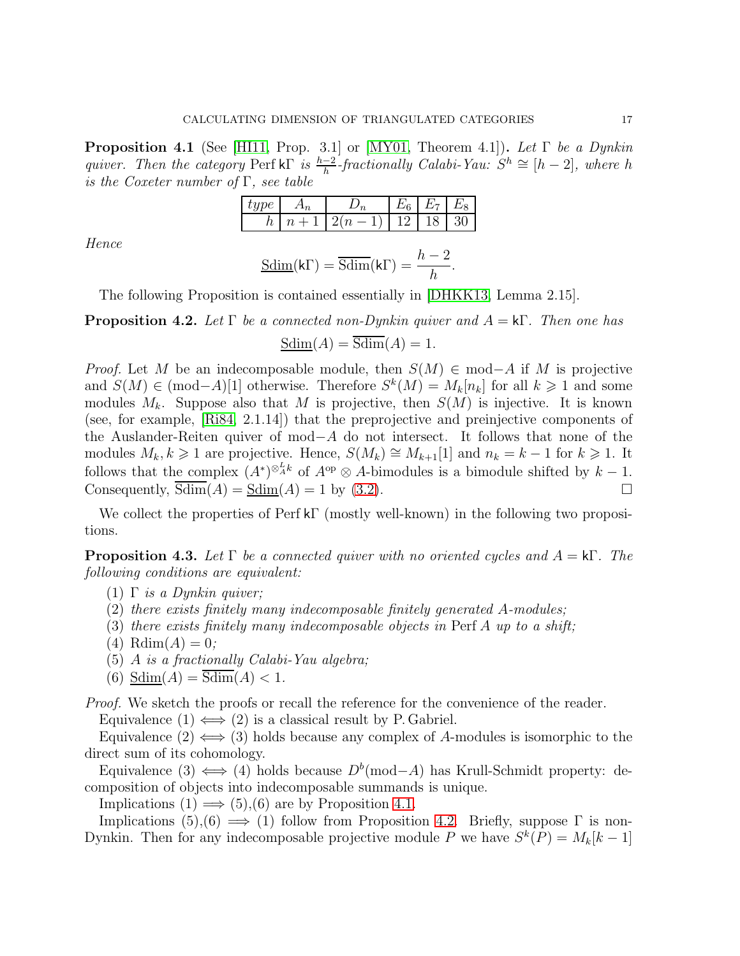<span id="page-16-0"></span>**Proposition 4.1** (See [\[HI11,](#page-38-15) Prop. 3.1] or [\[MY01,](#page-38-16) Theorem 4.1]). Let  $\Gamma$  be a Dynkin quiver. Then the category Perf kΓ is  $\frac{h-2}{h}$ -fractionally Calabi-Yau:  $S^h \cong [h-2]$ , where h is the Coxeter number of  $\Gamma$ , see table

|                      |                          | $\overline{ }$ | $\overline{a}$ |  |
|----------------------|--------------------------|----------------|----------------|--|
| $\boldsymbol{\iota}$ | $\overline{\phantom{a}}$ | .,             |                |  |

Hence

$$
\underline{\text{Sdim}}(\mathsf{k}\Gamma) = \overline{\text{Sdim}}(\mathsf{k}\Gamma) = \frac{h-2}{h}.
$$

The following Proposition is contained essentially in [\[DHKK13,](#page-38-17) Lemma 2.15].

<span id="page-16-2"></span>**Proposition 4.2.** Let  $\Gamma$  be a connected non-Dynkin quiver and  $A = k\Gamma$ . Then one has

$$
\underline{\text{Sdim}}(A) = \text{Sdim}(A) = 1.
$$

*Proof.* Let M be an indecomposable module, then  $S(M) \in \text{mod}-A$  if M is projective and  $S(M) \in \text{ (mod-}A)[1]$  otherwise. Therefore  $S^k(M) = M_k[n_k]$  for all  $k \geq 1$  and some modules  $M_k$ . Suppose also that M is projective, then  $S(M)$  is injective. It is known (see, for example, [\[Ri84,](#page-38-3) 2.1.14]) that the preprojective and preinjective components of the Auslander-Reiten quiver of mod−A do not intersect. It follows that none of the modules  $M_k, k \geq 1$  are projective. Hence,  $S(M_k) \cong M_{k+1}[1]$  and  $n_k = k-1$  for  $k \geq 1$ . It follows that the complex  $(A^*)^{\otimes_A^L k}$  of  $A^{\rm op} \otimes A$ -bimodules is a bimodule shifted by  $k-1$ . Consequently,  $Sdim(A) = Sdim(A) = 1$  by [\(3.2\)](#page-14-0).

We collect the properties of Perf kΓ (mostly well-known) in the following two propositions.

<span id="page-16-1"></span>**Proposition 4.3.** Let  $\Gamma$  be a connected quiver with no oriented cycles and  $A = k\Gamma$ . The following conditions are equivalent:

- (1)  $\Gamma$  is a Dynkin quiver;
- (2) there exists finitely many indecomposable finitely generated A-modules;
- (3) there exists finitely many indecomposable objects in Perf  $A$  up to a shift;
- (4)  $Rdim(A) = 0;$
- (5) A is a fractionally Calabi-Yau algebra;
- (6)  $Sdim(A) = Sdim(A) < 1$ .

*Proof.* We sketch the proofs or recall the reference for the convenience of the reader.

Equivalence  $(1) \iff (2)$  is a classical result by P. Gabriel.

Equivalence  $(2) \iff (3)$  holds because any complex of A-modules is isomorphic to the direct sum of its cohomology.

Equivalence (3)  $\Longleftrightarrow$  (4) holds because  $D^b$ (mod-A) has Krull-Schmidt property: decomposition of objects into indecomposable summands is unique.

Implications  $(1) \implies (5),(6)$  are by Proposition [4.1.](#page-16-0)

Implications  $(5),(6) \implies (1)$  follow from Proposition [4.2.](#page-16-2) Briefly, suppose  $\Gamma$  is non-Dynkin. Then for any indecomposable projective module P we have  $S^k(P) = M_k[k-1]$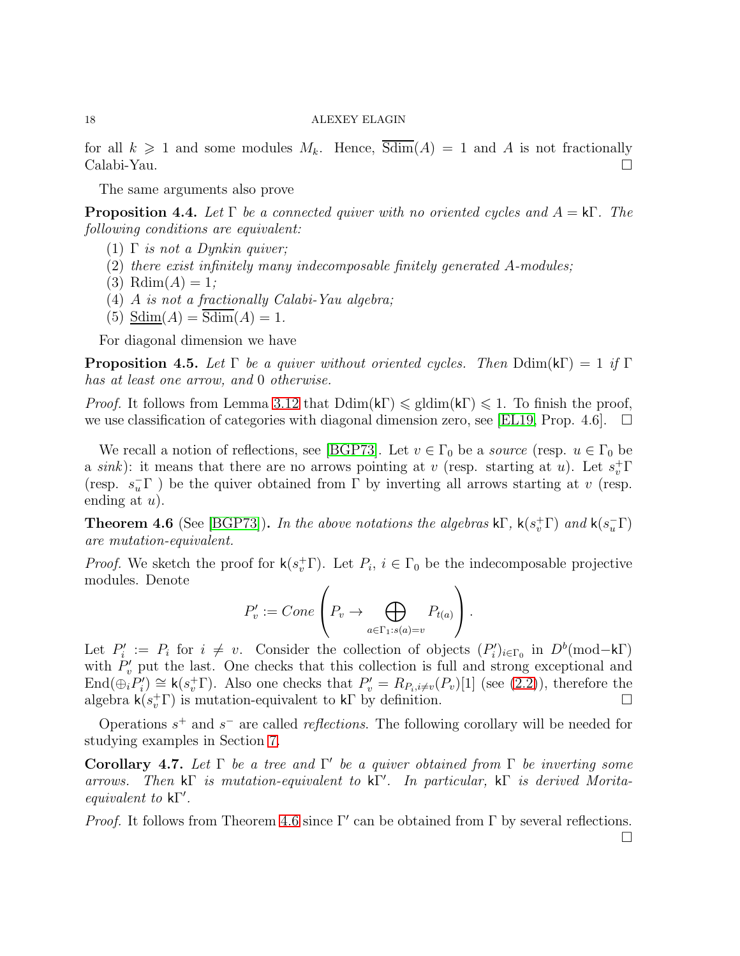for all  $k \geq 1$  and some modules  $M_k$ . Hence,  $\overline{\text{Sdim}}(A) = 1$  and A is not fractionally Calabi-Yau.

The same arguments also prove

<span id="page-17-0"></span>**Proposition 4.4.** Let  $\Gamma$  be a connected quiver with no oriented cycles and  $A = k\Gamma$ . The following conditions are equivalent:

- (1)  $\Gamma$  is not a Dynkin quiver;
- (2) there exist infinitely many indecomposable finitely generated A-modules;
- (3) Rdim $(A) = 1$ ;
- (4) A is not a fractionally Calabi-Yau algebra;
- (5)  $Sdim(A) = Sdim(A) = 1$ .

For diagonal dimension we have

<span id="page-17-1"></span>**Proposition 4.5.** Let  $\Gamma$  be a quiver without oriented cycles. Then  $\text{Ddim}(k\Gamma) = 1$  if  $\Gamma$ has at least one arrow, and 0 otherwise.

*Proof.* It follows from Lemma [3.12](#page-13-0) that  $Ddim(k\Gamma) \leq \text{gldim}(k\Gamma) \leq 1$ . To finish the proof, we use classification of categories with diagonal dimension zero, see [\[EL19,](#page-38-0) Prop. 4.6].  $\Box$ 

We recall a notion of reflections, see [\[BGP73\]](#page-38-18). Let  $v \in \Gamma_0$  be a *source* (resp.  $u \in \Gamma_0$  be a sink): it means that there are no arrows pointing at v (resp. starting at u). Let  $s_v^{\dagger} \Gamma$ (resp.  $s_u^-\Gamma$ ) be the quiver obtained from  $\Gamma$  by inverting all arrows starting at v (resp. ending at  $u$ ).

<span id="page-17-2"></span>**Theorem 4.6** (See [\[BGP73\]](#page-38-18)). In the above notations the algebras  $k\Gamma$ ,  $k(s_v^+\Gamma)$  and  $k(s_u^-\Gamma)$ are mutation-equivalent.

*Proof.* We sketch the proof for  $\mathsf{k}(s_v^+\Gamma)$ . Let  $P_i$ ,  $i \in \Gamma_0$  be the indecomposable projective modules. Denote

$$
P'_v := Cone\left(P_v \to \bigoplus_{a \in \Gamma_1 : s(a) = v} P_{t(a)}\right).
$$

Let  $P'_i := P_i$  for  $i \neq v$ . Consider the collection of objects  $(P'_i)_{i \in \Gamma_0}$  in  $D^b(\text{mod}-k\Gamma)$ with  $P'_v$  put the last. One checks that this collection is full and strong exceptional and  $\text{End}(\bigoplus_{i} P'_{i}) \cong \mathsf{k}(s_v^+ \Gamma)$ . Also one checks that  $P'_{v} = R_{P_i, i \neq v}(P_{v})[1]$  (see [\(2.2\)](#page-8-0)), therefore the algebra  $\mathsf{k}(s_v^+\Gamma)$  is mutation-equivalent to  $\mathsf{k}\Gamma$  by definition.

Operations  $s^+$  and  $s^-$  are called *reflections*. The following corollary will be needed for studying examples in Section [7.](#page-24-0)

<span id="page-17-3"></span>Corollary 4.7. Let  $\Gamma$  be a tree and  $\Gamma'$  be a quiver obtained from  $\Gamma$  be inverting some arrows. Then kΓ is mutation-equivalent to kΓ ′ . In particular, kΓ is derived Moritaequivalent to kΓ ′ .

Proof. It follows from Theorem [4.6](#page-17-2) since Γ' can be obtained from Γ by several reflections.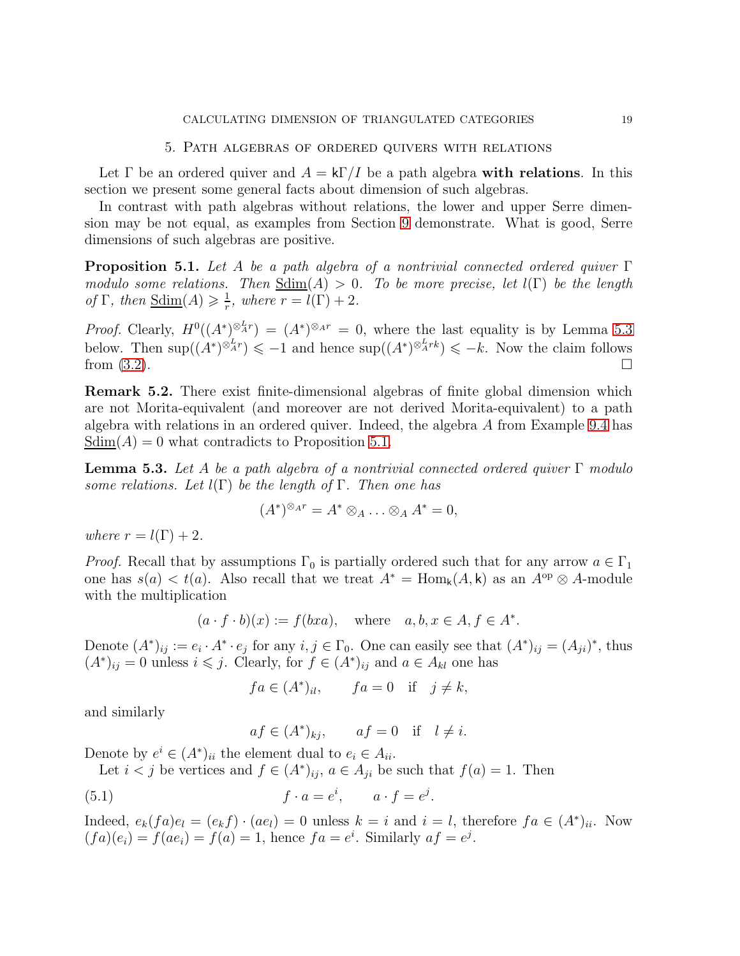#### 5. Path algebras of ordered quivers with relations

<span id="page-18-0"></span>Let  $\Gamma$  be an ordered quiver and  $A = k\Gamma/I$  be a path algebra with relations. In this section we present some general facts about dimension of such algebras.

In contrast with path algebras without relations, the lower and upper Serre dimension may be not equal, as examples from Section [9](#page-33-0) demonstrate. What is good, Serre dimensions of such algebras are positive.

<span id="page-18-1"></span>**Proposition 5.1.** Let A be a path algebra of a nontrivial connected ordered quiver  $\Gamma$ modulo some relations. Then  $Sdim(A) > 0$ . To be more precise, let  $l(\Gamma)$  be the length of  $\Gamma$ , then  $\underline{\text{Sdim}}(A) \geqslant \frac{1}{r}$  $\frac{1}{r}$ , where  $r = l(\Gamma) + 2$ .

*Proof.* Clearly,  $H^0((A^*)^{\otimes_{A}^{L}r}) = (A^*)^{\otimes_{A}r} = 0$ , where the last equality is by Lemma [5.3](#page-18-2) below. Then  $\sup((A^*)^{\otimes_A^L r}) \leq -1$  and hence  $\sup((A^*)^{\otimes_A^L rk}) \leq -k$ . Now the claim follows from  $(3.2)$ .

Remark 5.2. There exist finite-dimensional algebras of finite global dimension which are not Morita-equivalent (and moreover are not derived Morita-equivalent) to a path algebra with relations in an ordered quiver. Indeed, the algebra A from Example [9.4](#page-36-0) has  $Sdim(A) = 0$  what contradicts to Proposition [5.1.](#page-18-1)

<span id="page-18-2"></span>**Lemma 5.3.** Let A be a path algebra of a nontrivial connected ordered quiver  $\Gamma$  modulo some relations. Let  $l(\Gamma)$  be the length of  $\Gamma$ . Then one has

$$
(A^*)^{\otimes_A r} = A^* \otimes_A \ldots \otimes_A A^* = 0,
$$

where  $r = l(\Gamma) + 2$ .

*Proof.* Recall that by assumptions  $\Gamma_0$  is partially ordered such that for any arrow  $a \in \Gamma_1$ one has  $s(a) < t(a)$ . Also recall that we treat  $A^* = \text{Hom}_k(A, k)$  as an  $A^{\text{op}} \otimes A$ -module with the multiplication

$$
(a \cdot f \cdot b)(x) := f(bxa), \text{ where } a, b, x \in A, f \in A^*.
$$

Denote  $(A^*)_{ij} := e_i \cdot A^* \cdot e_j$  for any  $i, j \in \Gamma_0$ . One can easily see that  $(A^*)_{ij} = (A_{ji})^*$ , thus  $(A^*)_{ij} = 0$  unless  $i \leq j$ . Clearly, for  $f \in (A^*)_{ij}$  and  $a \in A_{kl}$  one has

$$
fa \in (A^*)_{il}, \qquad fa = 0 \quad \text{if} \quad j \neq k,
$$

and similarly

<span id="page-18-3"></span>
$$
af \in (A^*)_{kj}, \qquad af = 0 \quad \text{if} \quad l \neq i.
$$

Denote by  $e^i \in (A^*)_{ii}$  the element dual to  $e_i \in A_{ii}$ .

Let 
$$
i < j
$$
 be vertices and  $f \in (A^*)_{ij}$ ,  $a \in A_{ji}$  be such that  $f(a) = 1$ . Then

(5.1) 
$$
f \cdot a = e^i, \qquad a \cdot f = e^j.
$$

Indeed,  $e_k(fa)e_l = (e_k f) \cdot (ae_l) = 0$  unless  $k = i$  and  $i = l$ , therefore  $fa \in (A^*)_{ii}$ . Now  $(fa)(e_i) = f(ae_i) = f(a) = 1$ , hence  $fa = e^i$ . Similarly  $af = e^j$ .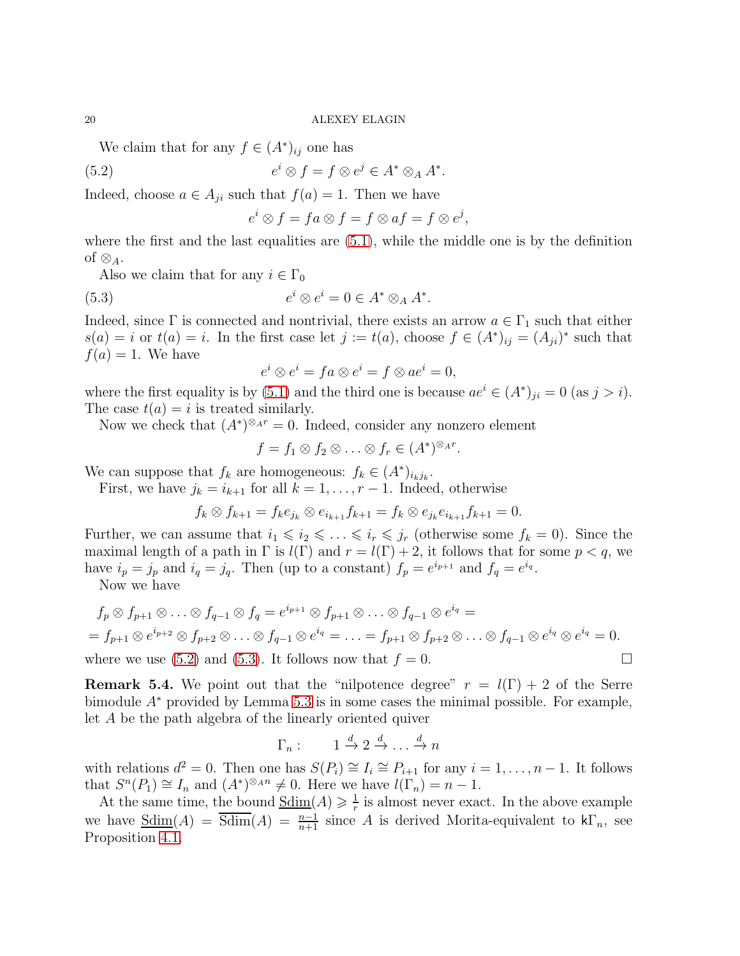We claim that for any  $f \in (A^*)_{ij}$  one has

(5.2) 
$$
e^i \otimes f = f \otimes e^j \in A^* \otimes_A A^*.
$$

Indeed, choose  $a \in A_{ji}$  such that  $f(a) = 1$ . Then we have

<span id="page-19-0"></span>
$$
e^i \otimes f = fa \otimes f = f \otimes af = f \otimes e^j,
$$

where the first and the last equalities are  $(5.1)$ , while the middle one is by the definition of  $\otimes_A$ .

Also we claim that for any  $i \in \Gamma_0$ 

(5.3) 
$$
e^i \otimes e^i = 0 \in A^* \otimes_A A^*.
$$

Indeed, since  $\Gamma$  is connected and nontrivial, there exists an arrow  $a \in \Gamma_1$  such that either  $s(a) = i$  or  $t(a) = i$ . In the first case let  $j := t(a)$ , choose  $f \in (A^*)_{ij} = (A_{ji})^*$  such that  $f(a) = 1$ . We have

<span id="page-19-1"></span>
$$
e^i \otimes e^i = fa \otimes e^i = f \otimes ae^i = 0,
$$

where the first equality is by [\(5.1\)](#page-18-3) and the third one is because  $ae^{i} \in (A^{*})_{ji} = 0$  (as  $j > i$ ). The case  $t(a) = i$  is treated similarly.

Now we check that  $(A^*)^{\otimes_{A} r} = 0$ . Indeed, consider any nonzero element

$$
f = f_1 \otimes f_2 \otimes \ldots \otimes f_r \in (A^*)^{\otimes_A r}.
$$

We can suppose that  $f_k$  are homogeneous:  $f_k \in (A^*)_{i_k j_k}$ .

First, we have  $j_k = i_{k+1}$  for all  $k = 1, \ldots, r-1$ . Indeed, otherwise

$$
f_k \otimes f_{k+1} = f_k e_{j_k} \otimes e_{i_{k+1}} f_{k+1} = f_k \otimes e_{j_k} e_{i_{k+1}} f_{k+1} = 0.
$$

Further, we can assume that  $i_1 \leq i_2 \leq \ldots \leq i_r \leq j_r$  (otherwise some  $f_k = 0$ ). Since the maximal length of a path in  $\Gamma$  is  $l(\Gamma)$  and  $r = l(\Gamma) + 2$ , it follows that for some  $p < q$ , we have  $i_p = j_p$  and  $i_q = j_q$ . Then (up to a constant)  $f_p = e^{i_{p+1}}$  and  $f_q = e^{i_q}$ .

Now we have

$$
f_p \otimes f_{p+1} \otimes \ldots \otimes f_{q-1} \otimes f_q = e^{i_{p+1}} \otimes f_{p+1} \otimes \ldots \otimes f_{q-1} \otimes e^{i_q} =
$$
  
=  $f_{p+1} \otimes e^{i_{p+2}} \otimes f_{p+2} \otimes \ldots \otimes f_{q-1} \otimes e^{i_q} = \ldots = f_{p+1} \otimes f_{p+2} \otimes \ldots \otimes f_{q-1} \otimes e^{i_q} \otimes e^{i_q} = 0.$   
where we use (5.2) and (5.3). It follows now that  $f = 0$ .

**Remark 5.4.** We point out that the "nilpotence degree"  $r = l(\Gamma) + 2$  of the Serre bimodule  $A^*$  provided by Lemma [5.3](#page-18-2) is in some cases the minimal possible. For example, let A be the path algebra of the linearly oriented quiver

$$
\Gamma_n: \qquad 1 \xrightarrow{d} 2 \xrightarrow{d} \dots \xrightarrow{d} n
$$

with relations  $d^2 = 0$ . Then one has  $S(P_i) \cong I_i \cong P_{i+1}$  for any  $i = 1, ..., n-1$ . It follows that  $S^{n}(P_1) \cong I_n$  and  $(A^*)^{\otimes_A n} \neq 0$ . Here we have  $l(\Gamma_n) = n - 1$ .

At the same time, the bound  $\underline{\text{Sdim}}(A) \geqslant \frac{1}{r}$  $\frac{1}{r}$  is almost never exact. In the above example we have  $\underline{\text{Sdim}}(A) = \overline{\text{Sdim}}(A) = \frac{n-1}{n+1}$  since A is derived Morita-equivalent to  $k\Gamma_n$ , see Proposition [4.1.](#page-16-0)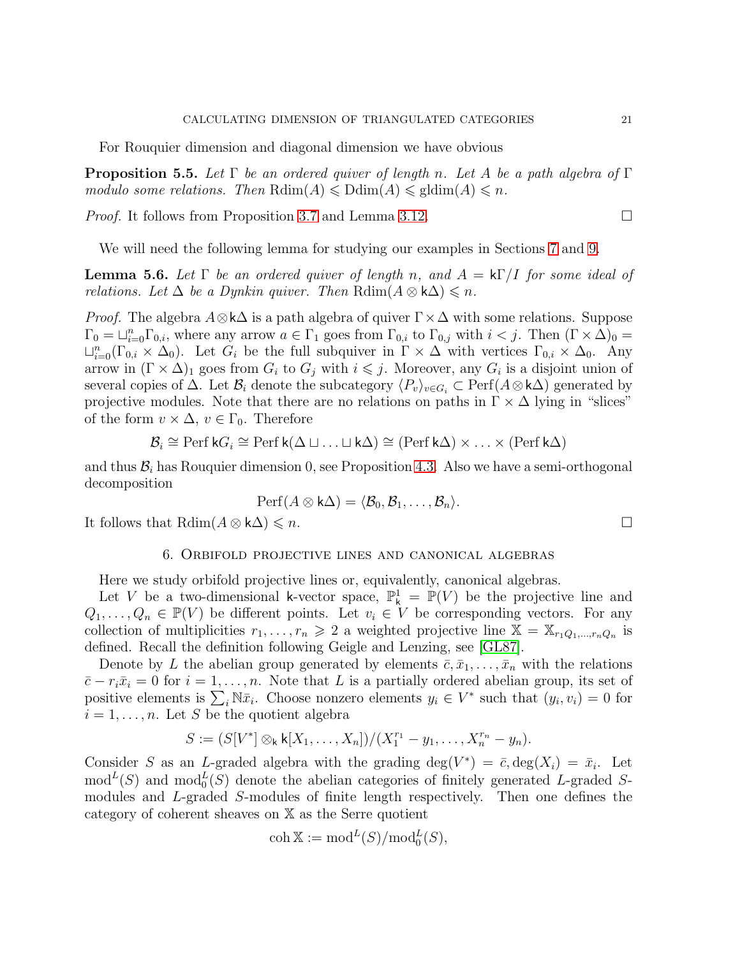For Rouquier dimension and diagonal dimension we have obvious

**Proposition 5.5.** Let  $\Gamma$  be an ordered quiver of length n. Let A be a path algebra of  $\Gamma$ modulo some relations. Then  $\mathrm{Rdim}(A) \leq \mathrm{Ddim}(A) \leq \mathrm{gldim}(A) \leq n$ .

*Proof.* It follows from Proposition [3.7](#page-12-1) and Lemma [3.12.](#page-13-0)

We will need the following lemma for studying our examples in Sections [7](#page-24-0) and [9.](#page-33-0)

<span id="page-20-1"></span>**Lemma 5.6.** Let  $\Gamma$  be an ordered quiver of length n, and  $A = k\Gamma/I$  for some ideal of relations. Let  $\Delta$  be a Dynkin quiver. Then  $\text{Rdim}(A \otimes k\Delta) \leq n$ .

*Proof.* The algebra  $A \otimes k\Delta$  is a path algebra of quiver  $\Gamma \times \Delta$  with some relations. Suppose  $\Gamma_0 = \sqcup_{i=0}^n \Gamma_{0,i}$ , where any arrow  $a \in \Gamma_1$  goes from  $\Gamma_{0,i}$  to  $\Gamma_{0,j}$  with  $i < j$ . Then  $(\Gamma \times \Delta)_0 =$  $\sqcup_{i=0}^n(\Gamma_{0,i}\times\Delta_0)$ . Let  $G_i$  be the full subquiver in  $\Gamma\times\Delta$  with vertices  $\Gamma_{0,i}\times\Delta_0$ . Any arrow in  $(\Gamma \times \Delta)$ <sub>1</sub> goes from  $G_i$  to  $G_j$  with  $i \leq j$ . Moreover, any  $G_i$  is a disjoint union of several copies of  $\Delta$ . Let  $\mathcal{B}_i$  denote the subcategory  $\langle P_v \rangle_{v \in G_i} \subset \text{Perf}(A \otimes k\Delta)$  generated by projective modules. Note that there are no relations on paths in  $\Gamma \times \Delta$  lying in "slices" of the form  $v \times \Delta$ ,  $v \in \Gamma_0$ . Therefore

$$
\mathcal{B}_i \cong \text{Perf } kG_i \cong \text{Perf } k(\Delta \sqcup \ldots \sqcup k\Delta) \cong (\text{Perf } k\Delta) \times \ldots \times (\text{Perf } k\Delta)
$$

and thus  $\mathcal{B}_i$  has Rouquier dimension 0, see Proposition [4.3.](#page-16-1) Also we have a semi-orthogonal decomposition

$$
\mathrm{Perf}(A\otimes \mathsf{k}\Delta)=\langle \mathcal{B}_0,\mathcal{B}_1,\ldots,\mathcal{B}_n\rangle.
$$

<span id="page-20-0"></span>It follows that  $\text{Rdim}(A \otimes k\Delta) \leq n$ .

## 6. Orbifold projective lines and canonical algebras

Here we study orbifold projective lines or, equivalently, canonical algebras.

Let V be a two-dimensional k-vector space,  $\mathbb{P}^1_k = \mathbb{P}(V)$  be the projective line and  $Q_1, \ldots, Q_n \in \mathbb{P}(V)$  be different points. Let  $v_i \in V$  be corresponding vectors. For any collection of multiplicities  $r_1, \ldots, r_n \geq 2$  a weighted projective line  $\mathbb{X} = \mathbb{X}_{r_1Q_1,\ldots,r_nQ_n}$  is defined. Recall the definition following Geigle and Lenzing, see [\[GL87\]](#page-38-2).

Denote by L the abelian group generated by elements  $\bar{c}, \bar{x}_1, \ldots, \bar{x}_n$  with the relations  $\bar{c} - r_i \bar{x}_i = 0$  for  $i = 1, \ldots, n$ . Note that L is a partially ordered abelian group, its set of positive elements is  $\sum_i \mathbb{N} \bar{x}_i$ . Choose nonzero elements  $y_i \in V^*$  such that  $(y_i, v_i) = 0$  for  $i = 1, \ldots, n$ . Let S be the quotient algebra

$$
S := (S[V^*] \otimes_{\mathsf{k}} \mathsf{k}[X_1, \ldots, X_n])/(X_1^{r_1} - y_1, \ldots, X_n^{r_n} - y_n).
$$

Consider S as an L-graded algebra with the grading  $\deg(V^*) = \bar{c}$ ,  $\deg(X_i) = \bar{x}_i$ . Let  $\text{mod}^L(S)$  and  $\text{mod}_0^L(S)$  denote the abelian categories of finitely generated L-graded Smodules and L-graded S-modules of finite length respectively. Then one defines the category of coherent sheaves on X as the Serre quotient

$$
\operatorname{coh} \mathbb{X} := \operatorname{mod}^L(S)/\operatorname{mod}_0^L(S),
$$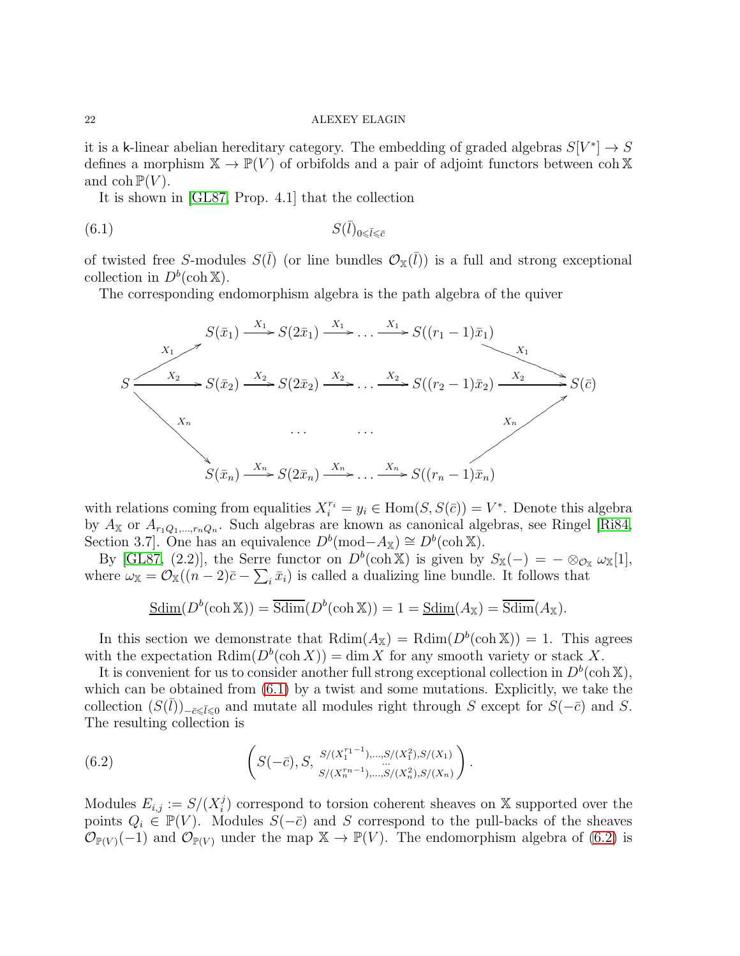it is a k-linear abelian hereditary category. The embedding of graded algebras  $S[V^*] \to S$ defines a morphism  $\mathbb{X} \to \mathbb{P}(V)$  of orbifolds and a pair of adjoint functors between coh X and  $\text{coh } \mathbb{P}(V)$ .

<span id="page-21-0"></span>It is shown in [\[GL87,](#page-38-2) Prop. 4.1] that the collection

$$
(6.1) \t S(l)_{0 \le \bar{l} \le \bar{c}}
$$

of twisted free S-modules  $S(\bar{l})$  (or line bundles  $\mathcal{O}_{\mathbb{X}}(\bar{l})$ ) is a full and strong exceptional collection in  $D^b(\operatorname{coh} \mathbb{X})$ .

The corresponding endomorphism algebra is the path algebra of the quiver



with relations coming from equalities  $X_i^{r_i} = y_i \in \text{Hom}(S, S(\bar{c})) = V^*$ . Denote this algebra by  $A_{\mathbb{X}}$  or  $A_{r_1Q_1,\dots,r_nQ_n}$ . Such algebras are known as canonical algebras, see Ringel [\[Ri84,](#page-38-3) Section 3.7]. One has an equivalence  $D^b(\text{mod}-A_{\mathbb{X}}) \cong D^b(\text{coh }\mathbb{X})$ .

By [\[GL87,](#page-38-2) (2.2)], the Serre functor on  $D^b(\text{coh } \mathbb{X})$  is given by  $S_{\mathbb{X}}(-) = -\otimes_{\mathcal{O}_{\mathbb{X}}} \omega_{\mathbb{X}}[1],$ where  $\omega_{\mathbb{X}} = \mathcal{O}_{\mathbb{X}}((n-2)\bar{c} - \sum_i \bar{x}_i)$  is called a dualizing line bundle. It follows that

$$
\underline{\text{Sdim}}(D^b(\operatorname{coh} \mathbb{X})) = \overline{\text{Sdim}}(D^b(\operatorname{coh} \mathbb{X})) = 1 = \underline{\text{Sdim}}(A_{\mathbb{X}}) = \overline{\text{Sdim}}(A_{\mathbb{X}}).
$$

In this section we demonstrate that  $\text{Rdim}(A_{\mathbb{X}}) = \text{Rdim}(D^b(\text{coh } \mathbb{X})) = 1$ . This agrees with the expectation  $\mathrm{Rdim}(D^b(\mathrm{coh}\, X)) = \dim X$  for any smooth variety or stack X.

It is convenient for us to consider another full strong exceptional collection in  $D^b(\text{coh }\mathbb{X}),$ which can be obtained from  $(6.1)$  by a twist and some mutations. Explicitly, we take the collection  $(S(\bar{l}))_{-\bar{c}\leqslant \bar{l}\leqslant 0}$  and mutate all modules right through S except for  $S(-\bar{c})$  and S. The resulting collection is

<span id="page-21-1"></span>(6.2) 
$$
\left(S(-\bar{c}), S, \begin{array}{l}S/(X_1^{r_1-1}), \ldots, S/(X_1^2), S/(X_1)\\ \ldots \ldots \ldots\\ S/(X_n^{r_n-1}), \ldots, S/(X_n^2), S/(X_n)\end{array}\right).
$$

Modules  $E_{i,j} := S/(X_i^j)$  $i$ ) correspond to torsion coherent sheaves on X supported over the points  $Q_i \in \mathbb{P}(V)$ . Modules  $S(-\bar{c})$  and S correspond to the pull-backs of the sheaves  $\mathcal{O}_{\mathbb{P}(V)}(-1)$  and  $\mathcal{O}_{\mathbb{P}(V)}$  under the map  $\mathbb{X} \to \mathbb{P}(V)$ . The endomorphism algebra of [\(6.2\)](#page-21-1) is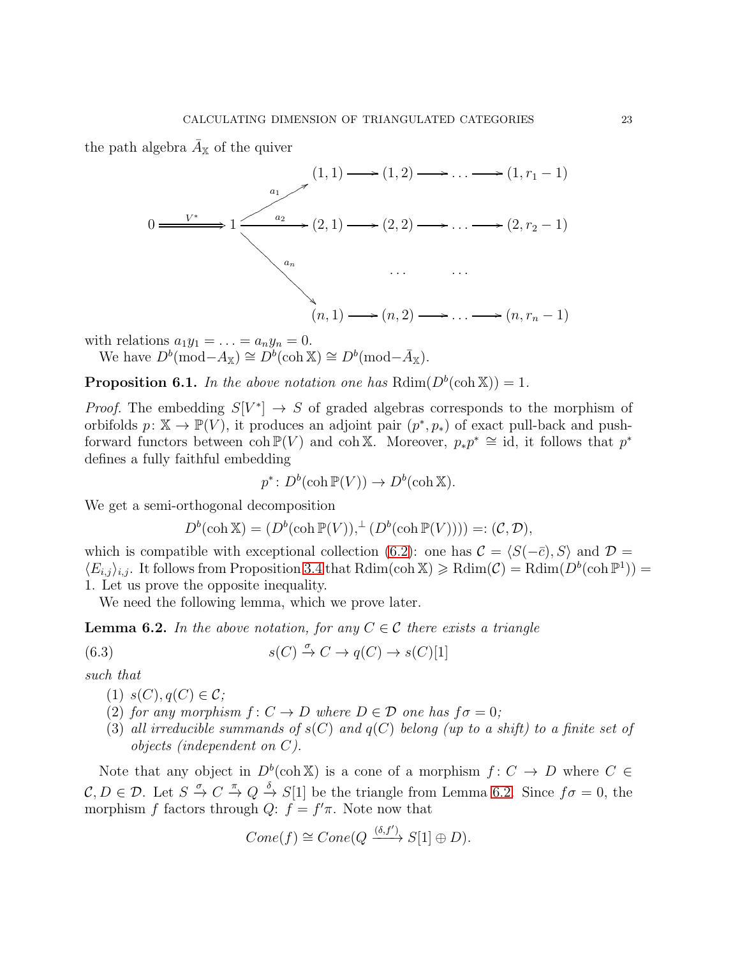the path algebra  $\bar{A}_{\mathbb{X}}$  of the quiver



with relations  $a_1y_1 = \ldots = a_ny_n = 0$ .

We have  $D^b(\text{mod}-A_{\mathbb{X}}) \cong D^b(\text{coh }\mathbb{X}) \cong D^b(\text{mod}-\overline{A}_{\mathbb{X}}).$ 

<span id="page-22-0"></span>**Proposition 6.1.** In the above notation one has  $\text{Rdim}(D^b(\text{coh }X)) = 1$ .

*Proof.* The embedding  $S[V^*] \to S$  of graded algebras corresponds to the morphism of orbifolds  $p: \mathbb{X} \to \mathbb{P}(V)$ , it produces an adjoint pair  $(p^*, p_*)$  of exact pull-back and pushforward functors between  $\coth \mathbb{P}(V)$  and  $\coth X$ . Moreover,  $p_*p^* \cong id$ , it follows that  $p^*$ defines a fully faithful embedding

 $p^* \colon D^b(\operatorname{coh} \mathbb{P}(V)) \to D^b(\operatorname{coh} \mathbb{X}).$ 

We get a semi-orthogonal decomposition

<span id="page-22-2"></span>
$$
D^{b}(\operatorname{coh} \mathbb{X}) = (D^{b}(\operatorname{coh} \mathbb{P}(V)), \perp (D^{b}(\operatorname{coh} \mathbb{P}(V)))) =: (C, \mathcal{D}),
$$

which is compatible with exceptional collection [\(6.2\)](#page-21-1): one has  $\mathcal{C} = \langle S(-\bar{c}), S \rangle$  and  $\mathcal{D} =$  $\langle E_{i,j} \rangle_{i,j}$ . It follows from Proposition [3.4](#page-11-1) that  $\text{Rdim}(\text{coh }\mathbb{X}) \geq \text{Rdim}(\mathcal{C}) = \text{Rdim}(D^b(\text{coh }\mathbb{P}^1)) =$ 1. Let us prove the opposite inequality.

We need the following lemma, which we prove later.

<span id="page-22-1"></span>**Lemma 6.2.** In the above notation, for any  $C \in \mathcal{C}$  there exists a triangle

(6.3) 
$$
s(C) \xrightarrow{\sigma} C \to q(C) \to s(C)[1]
$$

such that

- $(1)$   $s(C), q(C) \in \mathcal{C}$ ;
- (2) for any morphism  $f: C \to D$  where  $D \in \mathcal{D}$  one has  $f \sigma = 0$ ;
- (3) all irreducible summands of  $s(C)$  and  $q(C)$  belong (up to a shift) to a finite set of objects (independent on C).

Note that any object in  $D^b(\text{coh } \mathbb{X})$  is a cone of a morphism  $f: C \to D$  where  $C \in$  $\mathcal{C}, D \in \mathcal{D}$ . Let  $S \stackrel{\sigma}{\to} C \stackrel{\pi}{\to} Q \stackrel{\delta}{\to} S[1]$  be the triangle from Lemma [6.2.](#page-22-1) Since  $f \sigma = 0$ , the morphism f factors through  $Q: f = f'\pi$ . Note now that

$$
Cone(f) \cong Cone(Q \xrightarrow{\langle \delta, f' \rangle} S[1] \oplus D).
$$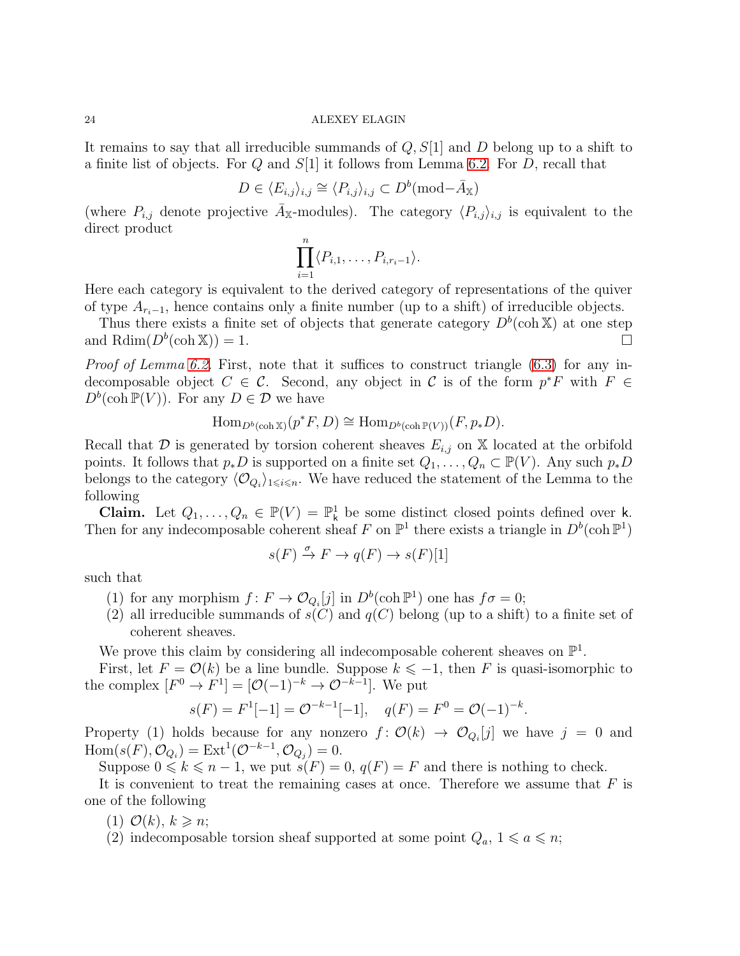It remains to say that all irreducible summands of  $Q, S[1]$  and D belong up to a shift to a finite list of objects. For  $Q$  and  $S[1]$  it follows from Lemma [6.2.](#page-22-1) For  $D$ , recall that

$$
D \in \langle E_{i,j} \rangle_{i,j} \cong \langle P_{i,j} \rangle_{i,j} \subset D^b(\text{mod} - \bar{A}_{\mathbb{X}})
$$

(where  $P_{i,j}$  denote projective  $\bar{A}_{\mathbb{X}}$ -modules). The category  $\langle P_{i,j}\rangle_{i,j}$  is equivalent to the direct product

$$
\prod_{i=1}^n \langle P_{i,1},\ldots,P_{i,r_i-1}\rangle.
$$

Here each category is equivalent to the derived category of representations of the quiver of type  $A_{r_i-1}$ , hence contains only a finite number (up to a shift) of irreducible objects.

Thus there exists a finite set of objects that generate category  $D^b(\text{coh } \mathbb{X})$  at one step and Rdim $(D^b(\text{coh } \mathbb{X})) = 1.$ 

Proof of Lemma [6.2.](#page-22-1) First, note that it suffices to construct triangle [\(6.3\)](#page-22-2) for any indecomposable object  $C \in \mathcal{C}$ . Second, any object in  $\mathcal{C}$  is of the form  $p^*F$  with  $F \in$  $D^b(\operatorname{coh} \mathbb{P}(V))$ . For any  $D \in \mathcal{D}$  we have

$$
\operatorname{Hom}_{D^b(\operatorname{coh} \mathbb{X})}(p^*F, D) \cong \operatorname{Hom}_{D^b(\operatorname{coh} \mathbb{P}(V))}(F, p_*D).
$$

Recall that  $\mathcal D$  is generated by torsion coherent sheaves  $E_{i,j}$  on X located at the orbifold points. It follows that  $p_*D$  is supported on a finite set  $Q_1, \ldots, Q_n \subset \mathbb{P}(V)$ . Any such  $p_*D$ belongs to the category  $\langle \mathcal{O}_{Q_i} \rangle_{1 \leq i \leq n}$ . We have reduced the statement of the Lemma to the following

**Claim.** Let  $Q_1, \ldots, Q_n \in \mathbb{P}(V) = \mathbb{P}^1$  be some distinct closed points defined over k. Then for any indecomposable coherent sheaf F on  $\mathbb{P}^1$  there exists a triangle in  $D^b(\text{coh } \mathbb{P}^1)$ 

$$
s(F) \xrightarrow{\sigma} F \to q(F) \to s(F)[1]
$$

such that

- (1) for any morphism  $f: F \to \mathcal{O}_{Q_i}[j]$  in  $D^b(\text{coh } \mathbb{P}^1)$  one has  $f \sigma = 0$ ;
- (2) all irreducible summands of  $s(C)$  and  $q(C)$  belong (up to a shift) to a finite set of coherent sheaves.

We prove this claim by considering all indecomposable coherent sheaves on  $\mathbb{P}^1$ .

First, let  $F = \mathcal{O}(k)$  be a line bundle. Suppose  $k \leq -1$ , then F is quasi-isomorphic to the complex  $[F^0 \to F^1] = [\mathcal{O}(-1)^{-k} \to \mathcal{O}^{-k-1}]$ . We put

$$
s(F) = F1[-1] = \mathcal{O}^{-k-1}[-1], \quad q(F) = F0 = \mathcal{O}(-1)^{-k}.
$$

Property (1) holds because for any nonzero  $f: \mathcal{O}(k) \to \mathcal{O}_{Q_i}[j]$  we have  $j = 0$  and  $Hom(s(F), \mathcal{O}_{Q_i}) = Ext^1(\mathcal{O}^{-k-1}, \mathcal{O}_{Q_j}) = 0.$ 

Suppose  $0 \leq k \leq n-1$ , we put  $s(F) = 0$ ,  $q(F) = F$  and there is nothing to check.

It is convenient to treat the remaining cases at once. Therefore we assume that  $F$  is one of the following

- (1)  $\mathcal{O}(k)$ ,  $k \geq n$ ;
- (2) indecomposable torsion sheaf supported at some point  $Q_a$ ,  $1 \leq a \leq n$ ;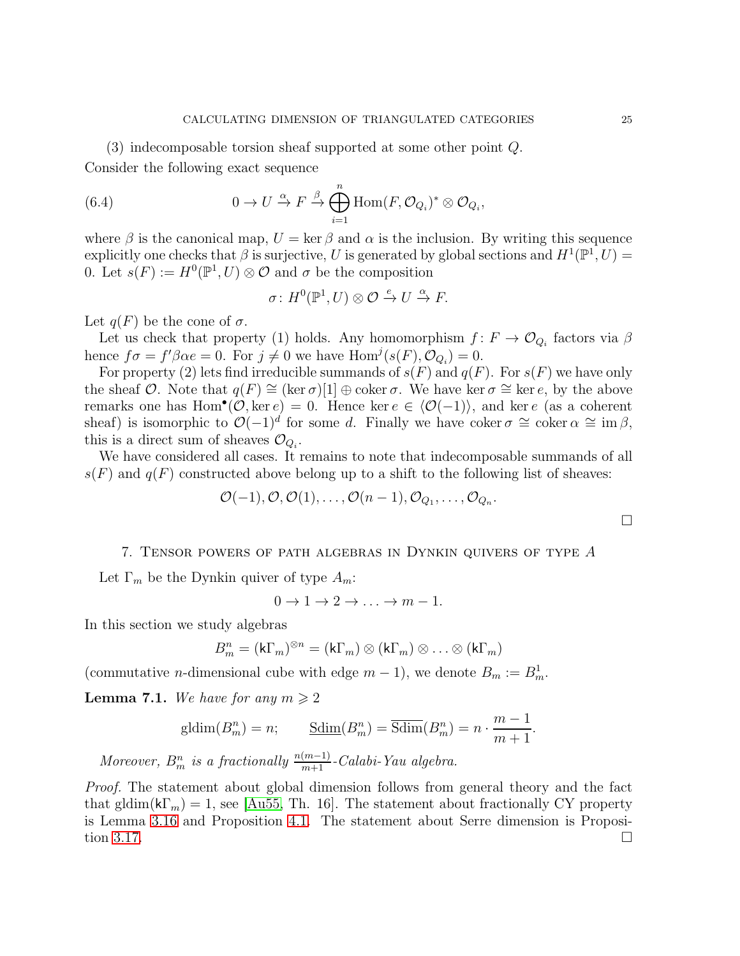(3) indecomposable torsion sheaf supported at some other point Q. Consider the following exact sequence

(6.4) 
$$
0 \to U \xrightarrow{\alpha} F \xrightarrow{\beta} \bigoplus_{i=1}^{n} \text{Hom}(F, \mathcal{O}_{Q_i})^* \otimes \mathcal{O}_{Q_i},
$$

where  $\beta$  is the canonical map,  $U = \ker \beta$  and  $\alpha$  is the inclusion. By writing this sequence explicitly one checks that  $\beta$  is surjective, U is generated by global sections and  $H^1(\mathbb{P}^1, U) =$ 0. Let  $s(F) := H^0(\mathbb{P}^1, U) \otimes \mathcal{O}$  and  $\sigma$  be the composition

$$
\sigma\colon H^0(\mathbb{P}^1,U)\otimes\mathcal{O}\xrightarrow{e} U\xrightarrow{\alpha} F.
$$

Let  $q(F)$  be the cone of  $\sigma$ .

Let us check that property (1) holds. Any homomorphism  $f: F \to \mathcal{O}_{Q_i}$  factors via  $\beta$ hence  $f \sigma = f' \beta \alpha e = 0$ . For  $j \neq 0$  we have  $\text{Hom}^j(s(F), \mathcal{O}_{Q_i}) = 0$ .

For property (2) lets find irreducible summands of  $s(F)$  and  $q(F)$ . For  $s(F)$  we have only the sheaf O. Note that  $q(F) \cong (\ker \sigma)[1] \oplus \operatorname{coker} \sigma$ . We have ker  $\sigma \cong \ker e$ , by the above remarks one has Hom<sup>•</sup>( $\mathcal{O}, \ker e$ ) = 0. Hence ker  $e \in \langle \mathcal{O}(-1) \rangle$ , and ker e (as a coherent sheaf) is isomorphic to  $\mathcal{O}(-1)^d$  for some d. Finally we have coker  $\sigma \cong \text{coker}\,\alpha \cong \text{im}\,\beta$ , this is a direct sum of sheaves  $\mathcal{O}_{Q_i}$ .

We have considered all cases. It remains to note that indecomposable summands of all  $s(F)$  and  $q(F)$  constructed above belong up to a shift to the following list of sheaves:

$$
\mathcal{O}(-1), \mathcal{O}, \mathcal{O}(1), \ldots, \mathcal{O}(n-1), \mathcal{O}_{Q_1}, \ldots, \mathcal{O}_{Q_n}.
$$

## <span id="page-24-0"></span>7. Tensor powers of path algebras in Dynkin quivers of type A

Let  $\Gamma_m$  be the Dynkin quiver of type  $A_m$ :

$$
0 \to 1 \to 2 \to \ldots \to m-1.
$$

In this section we study algebras

$$
B_m^n = (\mathsf{k}\Gamma_m)^{\otimes n} = (\mathsf{k}\Gamma_m) \otimes (\mathsf{k}\Gamma_m) \otimes \ldots \otimes (\mathsf{k}\Gamma_m)
$$

(commutative *n*-dimensional cube with edge  $m - 1$ ), we denote  $B_m := B_m^1$ .

<span id="page-24-1"></span>**Lemma 7.1.** We have for any  $m \geq 2$ 

$$
\mathrm{gldim}(B^n_m) = n; \qquad \underline{\mathrm{Sdim}}(B^n_m) = \overline{\mathrm{Sdim}}(B^n_m) = n \cdot \frac{m-1}{m+1}.
$$

Moreover,  $B^n_m$  is a fractionally  $\frac{n(m-1)}{m+1}$ -Calabi-Yau algebra.

Proof. The statement about global dimension follows from general theory and the fact that gldim( $k\Gamma_m$ ) = 1, see [\[Au55,](#page-38-11) Th. 16]. The statement about fractionally CY property is Lemma [3.16](#page-14-1) and Proposition [4.1.](#page-16-0) The statement about Serre dimension is Proposi-tion [3.17.](#page-14-2)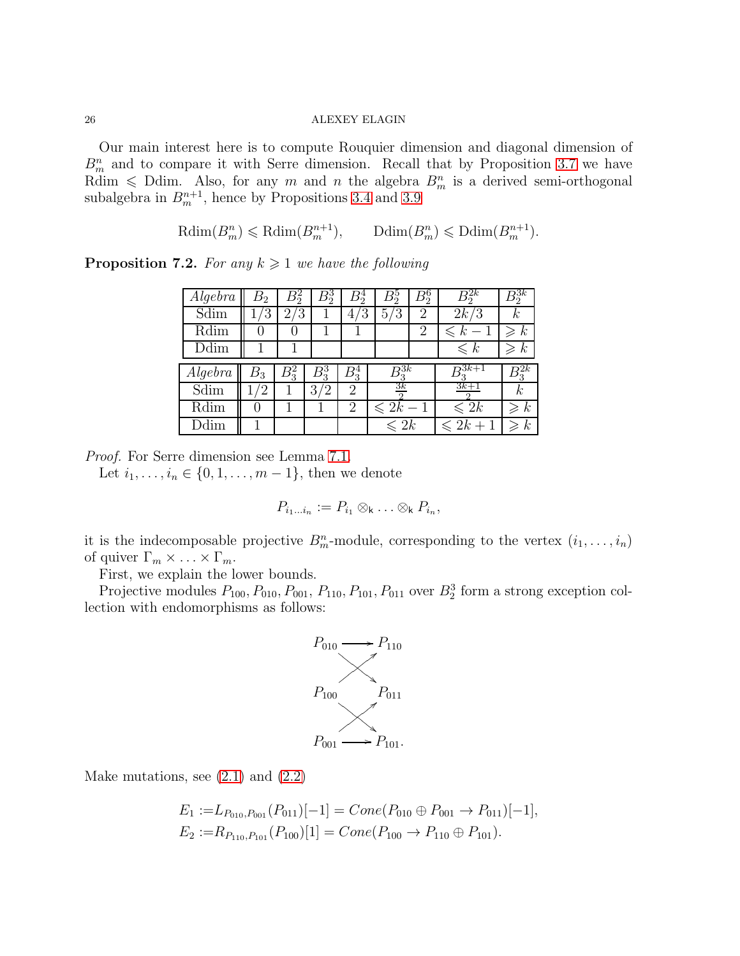Our main interest here is to compute Rouquier dimension and diagonal dimension of  $B_m^n$  and to compare it with Serre dimension. Recall that by Proposition [3.7](#page-12-1) we have Rdim  $\leq$  Ddim. Also, for any m and n the algebra  $B_m^n$  is a derived semi-orthogonal subalgebra in  $B_m^{n+1}$ , hence by Propositions [3.4](#page-11-1) and [3.9](#page-12-2)

$$
\mathrm{Rdim}(B^n_m) \leqslant \mathrm{Rdim}(B^{n+1}_m), \qquad \mathrm{Ddim}(B^n_m) \leqslant \mathrm{Ddim}(B^{n+1}_m).
$$

<span id="page-25-0"></span>**Proposition 7.2.** For any  $k \geq 1$  we have the following

| Algebra | B2      |                      | $B_2^3$              |                | B,                               | $B_2^{\circ}$ |                     | $\mathcal{B}^\mathtt{v}_2$ |
|---------|---------|----------------------|----------------------|----------------|----------------------------------|---------------|---------------------|----------------------------|
| Sdim    | 3       | ′3<br>$\overline{2}$ |                      | 3<br>4         | 5/<br>′3                         | 2             | 2k/3                | $\kappa$                   |
| Rdim    |         |                      |                      |                |                                  | 2             | $\leq k$            | $\kappa$                   |
| Ddim    |         |                      |                      |                |                                  |               | $\leq k$            | $\kappa$<br>$\geqslant$    |
|         |         |                      |                      |                |                                  |               |                     |                            |
| Algebra | $B_{3}$ | $B_{2}^{2}$          | B,                   | $B_3^4$        | $B^{3k}_{\scriptscriptstyle{2}}$ |               | $\mathsf{D}^{3k+1}$ |                            |
| Sdim    |         |                      | 3 <sub>l</sub><br>'2 | $\overline{2}$ | 3k                               |               | $3k+1$              | $\boldsymbol{k}$           |
| Rdim    |         |                      |                      | $\overline{2}$ | $\leqslant 2k-1$                 |               | $\leqslant 2k$      | $\it k$                    |

Proof. For Serre dimension see Lemma [7.1.](#page-24-1)

Let  $i_1, \ldots, i_n \in \{0, 1, \ldots, m-1\}$ , then we denote

$$
P_{i_1...i_n} := P_{i_1} \otimes_{\mathsf{k}} \ldots \otimes_{\mathsf{k}} P_{i_n},
$$

it is the indecomposable projective  $B_m^n$ -module, corresponding to the vertex  $(i_1, \ldots, i_n)$ of quiver  $\Gamma_m \times \ldots \times \Gamma_m$ .

First, we explain the lower bounds.

Projective modules  $P_{100}, P_{010}, P_{001}, P_{110}, P_{101}, P_{011}$  over  $B_2^3$  form a strong exception collection with endomorphisms as follows:



Make mutations, see  $(2.1)$  and  $(2.2)$ 

$$
E_1 := L_{P_{010}, P_{001}}(P_{011})[-1] = Cone(P_{010} \oplus P_{001} \rightarrow P_{011})[-1],
$$
  
\n
$$
E_2 := R_{P_{110}, P_{101}}(P_{100})[1] = Cone(P_{100} \rightarrow P_{110} \oplus P_{101}).
$$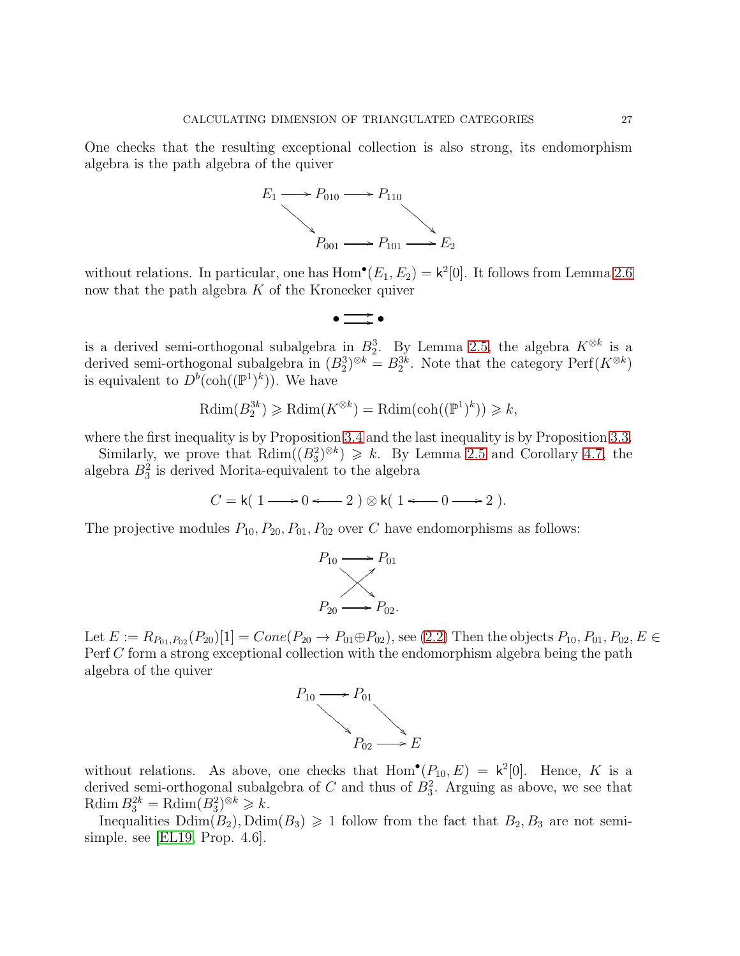One checks that the resulting exceptional collection is also strong, its endomorphism algebra is the path algebra of the quiver



without relations. In particular, one has  $Hom^{\bullet}(E_1, E_2) = \mathsf{k}^2[0]$ . It follows from Lemma [2.6](#page-10-1) now that the path algebra  $K$  of the Kronecker quiver



is a derived semi-orthogonal subalgebra in  $B_2^3$ . By Lemma [2.5,](#page-10-2) the algebra  $K^{\otimes k}$  is a derived semi-orthogonal subalgebra in  $(B_2^3)^{\otimes k} = B_2^{3k}$ . Note that the category  $\text{Perf}(K^{\otimes k})$ is equivalent to  $D^b(\text{coh}((\mathbb{P}^1)^k))$ . We have

$$
\mathrm{Rdim}(B_2^{3k}) \geqslant \mathrm{Rdim}(K^{\otimes k}) = \mathrm{Rdim}(\mathrm{coh}((\mathbb{P}^1)^k)) \geqslant k,
$$

where the first inequality is by Proposition [3.4](#page-11-1) and the last inequality is by Proposition [3.3.](#page-11-2)

Similarly, we prove that  $\text{Rdim}((B_3^2)^{\otimes k}) \geq k$ . By Lemma [2.5](#page-10-2) and Corollary [4.7,](#page-17-3) the algebra  $B_3^2$  is derived Morita-equivalent to the algebra

$$
C = \mathsf{k}(1 \longrightarrow 0 \longleftarrow 2) \otimes \mathsf{k}(1 \longleftarrow 0 \longrightarrow 2).
$$

The projective modules  $P_{10}, P_{20}, P_{01}, P_{02}$  over C have endomorphisms as follows:



Let  $E := R_{P_{01},P_{02}}(P_{20})[1] = Cone(P_{20} \rightarrow P_{01} \oplus P_{02}),$  see [\(2.2\)](#page-8-0) Then the objects  $P_{10}, P_{01}, P_{02}, E \in$ Perf C form a strong exceptional collection with the endomorphism algebra being the path algebra of the quiver



without relations. As above, one checks that  $Hom<sup>•</sup>(P<sub>10</sub>, E) = k<sup>2</sup>[0]$ . Hence, K is a derived semi-orthogonal subalgebra of  $C$  and thus of  $B_3^2$ . Arguing as above, we see that Rdim  $B_3^{2k} = \text{Rdim}(B_3^2)^{\otimes k} \geq k$ .

Inequalities  $Ddim(B_2)$ ,  $Ddim(B_3) \geq 1$  follow from the fact that  $B_2, B_3$  are not semisimple, see [\[EL19,](#page-38-0) Prop. 4.6].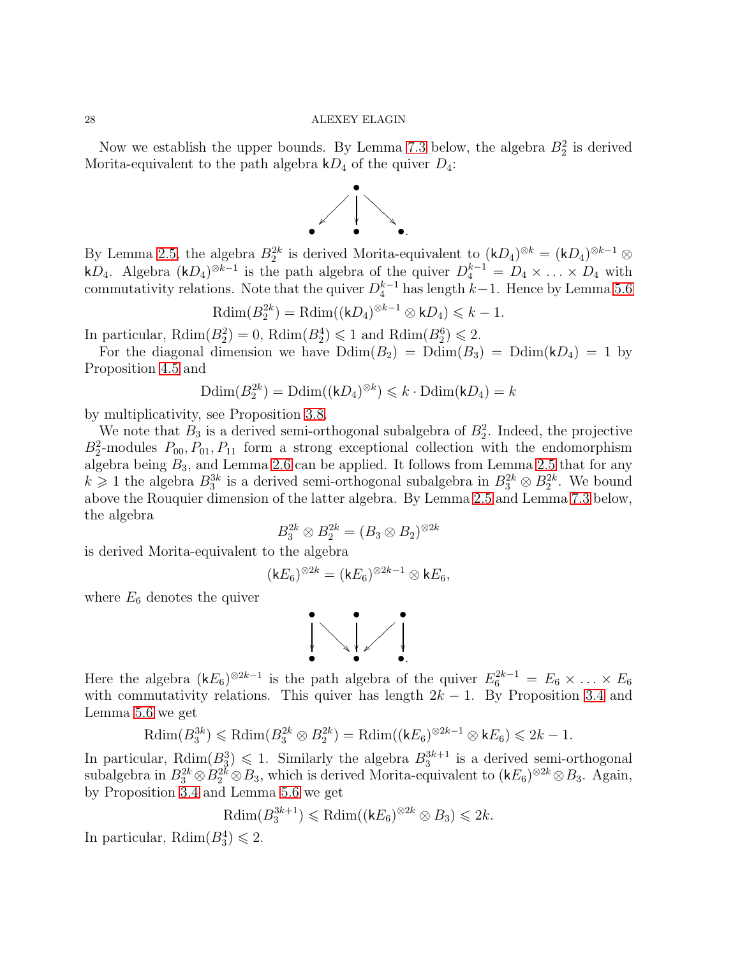Now we establish the upper bounds. By Lemma [7.3](#page-28-0) below, the algebra  $B_2^2$  is derived Morita-equivalent to the path algebra  $kD_4$  of the quiver  $D_4$ :



By Lemma [2.5,](#page-10-2) the algebra  $B_2^{2k}$  is derived Morita-equivalent to  $(kD_4)^{\otimes k} = (kD_4)^{\otimes k-1} \otimes$ kD<sub>4</sub>. Algebra  $(kD_4)^{\otimes k-1}$  is the path algebra of the quiver  $D_4^{k-1} = D_4 \times \ldots \times D_4$  with commutativity relations. Note that the quiver  $D_4^{k-1}$  has length  $k-1$ . Hence by Lemma [5.6](#page-20-1)

$$
\mathrm{Rdim}(B_2^{2k}) = \mathrm{Rdim}((kD_4)^{\otimes k-1} \otimes kD_4) \leq k-1.
$$

In particular,  $\text{Rdim}(B_2^2) = 0$ ,  $\text{Rdim}(B_2^4) \leq 1$  and  $\text{Rdim}(B_2^6) \leq 2$ .

For the diagonal dimension we have  $Ddim(B_2) = Ddim(B_3) = Ddim(kD_4) = 1$  by Proposition [4.5](#page-17-1) and

$$
\mathrm{Ddim}(B_2^{2k}) = \mathrm{Ddim}((\mathsf{k} D_4)^{\otimes k}) \leqslant k \cdot \mathrm{Ddim}(\mathsf{k} D_4) = k
$$

by multiplicativity, see Proposition [3.8.](#page-12-3)

We note that  $B_3$  is a derived semi-orthogonal subalgebra of  $B_2^2$ . Indeed, the projective  $B_2^2$ -modules  $P_{00}$ ,  $P_{01}$ ,  $P_{11}$  form a strong exceptional collection with the endomorphism algebra being  $B_3$ , and Lemma [2.6](#page-10-1) can be applied. It follows from Lemma [2.5](#page-10-2) that for any  $k \geq 1$  the algebra  $B_3^{3k}$  is a derived semi-orthogonal subalgebra in  $B_3^{2k} \otimes B_2^{2k}$ . We bound above the Rouquier dimension of the latter algebra. By Lemma [2.5](#page-10-2) and Lemma [7.3](#page-28-0) below, the algebra

$$
B_3^{2k} \otimes B_2^{2k} = (B_3 \otimes B_2)^{\otimes 2k}
$$

is derived Morita-equivalent to the algebra

$$
({\mathsf k} E_6)^{\otimes 2k} = ({\mathsf k} E_6)^{\otimes 2k-1} \otimes {\mathsf k} E_6,
$$

where  $E_6$  denotes the quiver



Here the algebra  $(kE_6)^{\otimes 2k-1}$  is the path algebra of the quiver  $E_6^{2k-1} = E_6 \times \ldots \times E_6$ with commutativity relations. This quiver has length  $2k - 1$ . By Proposition [3.4](#page-11-1) and Lemma [5.6](#page-20-1) we get

$$
\mathrm{Rdim}(B_3^{3k}) \leqslant \mathrm{Rdim}(B_3^{2k} \otimes B_2^{2k}) = \mathrm{Rdim}((kE_6)^{\otimes 2k-1} \otimes kE_6) \leqslant 2k-1.
$$

In particular,  $\text{Rdim}(B_3^3) \leq 1$ . Similarly the algebra  $B_3^{3k+1}$  is a derived semi-orthogonal subalgebra in  $B_3^{2k} \otimes B_2^{2k} \otimes B_3$ , which is derived Morita-equivalent to  $(kE_6)^{\otimes 2k} \otimes B_3$ . Again, by Proposition [3.4](#page-11-1) and Lemma [5.6](#page-20-1) we get

$$
\mathrm{Rdim}(B_3^{3k+1}) \leq \mathrm{Rdim}((kE_6)^{\otimes 2k} \otimes B_3) \leq 2k.
$$

In particular,  $\text{Rdim}(B_3^4) \leq 2$ .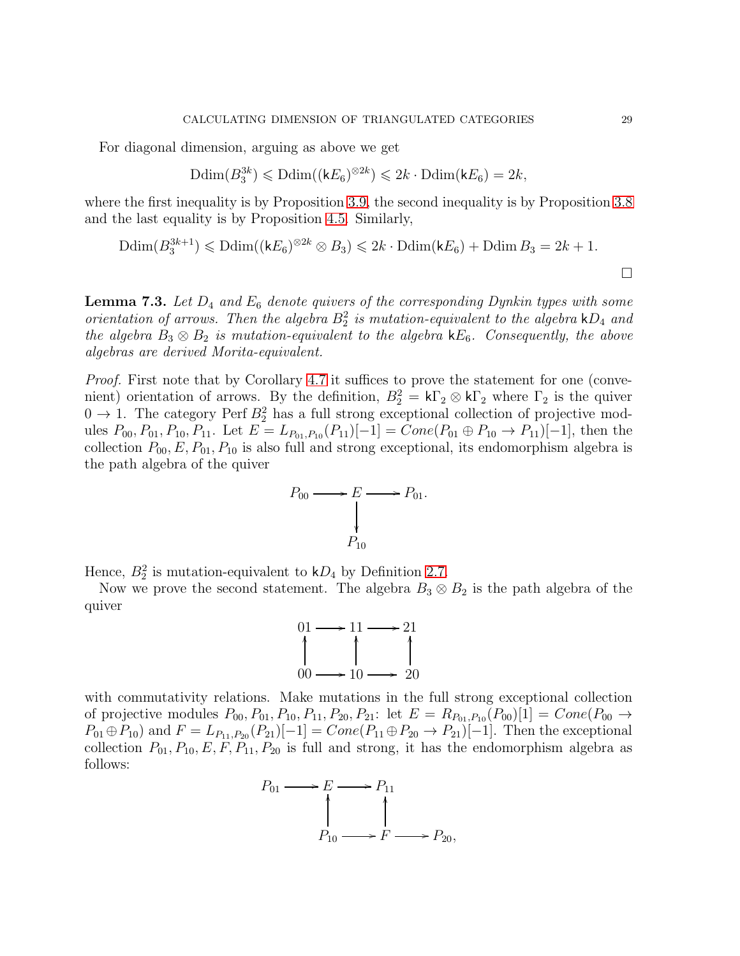For diagonal dimension, arguing as above we get

$$
\mathrm{Ddim}(B_3^{3k}) \leqslant \mathrm{Ddim}((\mathsf{k} E_6)^{\otimes 2k}) \leqslant 2k \cdot \mathrm{Ddim}(\mathsf{k} E_6) = 2k,
$$

where the first inequality is by Proposition [3.9,](#page-12-2) the second inequality is by Proposition [3.8](#page-12-3) and the last equality is by Proposition [4.5.](#page-17-1) Similarly,

$$
\text{Ddim}(B_3^{3k+1}) \leq \text{Ddim}((kE_6)^{\otimes 2k} \otimes B_3) \leq 2k \cdot \text{Ddim}(kE_6) + \text{Ddim}\,B_3 = 2k+1.
$$

<span id="page-28-0"></span>**Lemma 7.3.** Let  $D_4$  and  $E_6$  denote quivers of the corresponding Dynkin types with some orientation of arrows. Then the algebra  $B_2^2$  is mutation-equivalent to the algebra  $kD_4$  and the algebra  $B_3 \otimes B_2$  is mutation-equivalent to the algebra  $kE_6$ . Consequently, the above algebras are derived Morita-equivalent.

Proof. First note that by Corollary [4.7](#page-17-3) it suffices to prove the statement for one (convenient) orientation of arrows. By the definition,  $B_2^2 = k\Gamma_2 \otimes k\Gamma_2$  where  $\Gamma_2$  is the quiver  $0 \to 1$ . The category Perf  $B_2^2$  has a full strong exceptional collection of projective modules  $P_{00}, P_{01}, P_{10}, P_{11}$ . Let  $E = L_{P_{01}, P_{10}}(P_{11})[-1] = Cone(P_{01} \oplus P_{10} \rightarrow P_{11})[-1]$ , then the collection  $P_{00}$ ,  $E$ ,  $P_{01}$ ,  $P_{10}$  is also full and strong exceptional, its endomorphism algebra is the path algebra of the quiver



Hence,  $B_2^2$  is mutation-equivalent to  $kD_4$  by Definition [2.7.](#page-10-0)

Now we prove the second statement. The algebra  $B_3 \otimes B_2$  is the path algebra of the quiver



with commutativity relations. Make mutations in the full strong exceptional collection of projective modules  $P_{00}, P_{01}, P_{10}, P_{11}, P_{20}, P_{21}$ : let  $E = R_{P_{01}, P_{10}}(P_{00})[1] = Cone(P_{00} \rightarrow$  $P_{01} \oplus P_{10}$  and  $F = L_{P_{11},P_{20}}(P_{21})[-1] = Cone(P_{11} \oplus P_{20} \rightarrow P_{21})[-1]$ . Then the exceptional collection  $P_{01}, P_{10}, E, F, P_{11}, P_{20}$  is full and strong, it has the endomorphism algebra as follows:

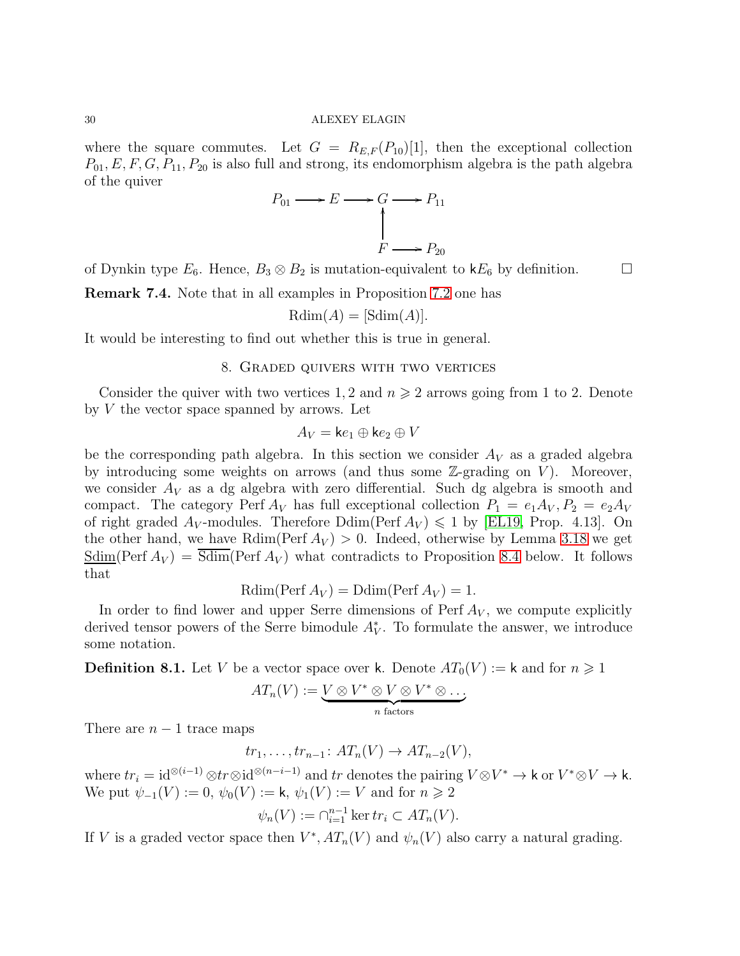where the square commutes. Let  $G = R_{E,F}(P_{10})[1]$ , then the exceptional collection  $P_{01}, E, F, G, P_{11}, P_{20}$  is also full and strong, its endomorphism algebra is the path algebra of the quiver

$$
P_{01} \longrightarrow E \longrightarrow G \longrightarrow P_{11}
$$
\n
$$
\uparrow
$$
\n
$$
F \longrightarrow P_{20}
$$

of Dynkin type  $E_6$ . Hence,  $B_3 \otimes B_2$  is mutation-equivalent to  $kE_6$  by definition.

Remark 7.4. Note that in all examples in Proposition [7.2](#page-25-0) one has

$$
Rdim(A) = [Sdim(A)].
$$

<span id="page-29-0"></span>It would be interesting to find out whether this is true in general.

## 8. Graded quivers with two vertices

Consider the quiver with two vertices 1, 2 and  $n \geq 2$  arrows going from 1 to 2. Denote by  $V$  the vector space spanned by arrows. Let

$$
A_V = \mathsf{k}e_1 \oplus \mathsf{k}e_2 \oplus V
$$

be the corresponding path algebra. In this section we consider  $A_V$  as a graded algebra by introducing some weights on arrows (and thus some  $\mathbb{Z}\text{-grading on } V$ ). Moreover, we consider  $A_V$  as a dg algebra with zero differential. Such dg algebra is smooth and compact. The category Perf  $A_V$  has full exceptional collection  $P_1 = e_1 A_V, P_2 = e_2 A_V$ of right graded  $A_V$ -modules. Therefore  $\text{Ddim}(\text{Perf } A_V) \leq 1$  by [\[EL19,](#page-38-0) Prop. 4.13]. On the other hand, we have Rdim(Perf  $A_V$ ) > 0. Indeed, otherwise by Lemma [3.18](#page-15-1) we get  $\underline{\text{Sdim}}(\text{Perf } A_V) = \overline{\text{Sdim}}(\text{Perf } A_V)$  what contradicts to Proposition [8.4](#page-32-0) below. It follows that

$$
Rdim(Perf A_V) = Ddim(Perf A_V) = 1.
$$

In order to find lower and upper Serre dimensions of Perf  $A_V$ , we compute explicitly derived tensor powers of the Serre bimodule  $A_V^*$ . To formulate the answer, we introduce some notation.

**Definition 8.1.** Let V be a vector space over k. Denote  $AT_0(V) := k$  and for  $n \geq 1$ 

$$
AT_n(V) := \underbrace{V \otimes V^* \otimes V \otimes V^* \otimes \dots}_{n \text{ factors}}
$$

There are  $n-1$  trace maps

$$
tr_1, \ldots, tr_{n-1} \colon AT_n(V) \to AT_{n-2}(V),
$$

where  $tr_i = id^{\otimes (i-1)} \otimes tr \otimes id^{\otimes (n-i-1)}$  and  $tr$  denotes the pairing  $V \otimes V^* \to \mathsf{k}$  or  $V^* \otimes V \to \mathsf{k}$ . We put  $\psi_{-1}(V) := 0$ ,  $\psi_0(V) := \mathsf{k}, \psi_1(V) := V$  and for  $n \geq 2$ 

$$
\psi_n(V) := \bigcap_{i=1}^{n-1} \ker tr_i \subset AT_n(V).
$$

If V is a graded vector space then  $V^*$ ,  $AT_n(V)$  and  $\psi_n(V)$  also carry a natural grading.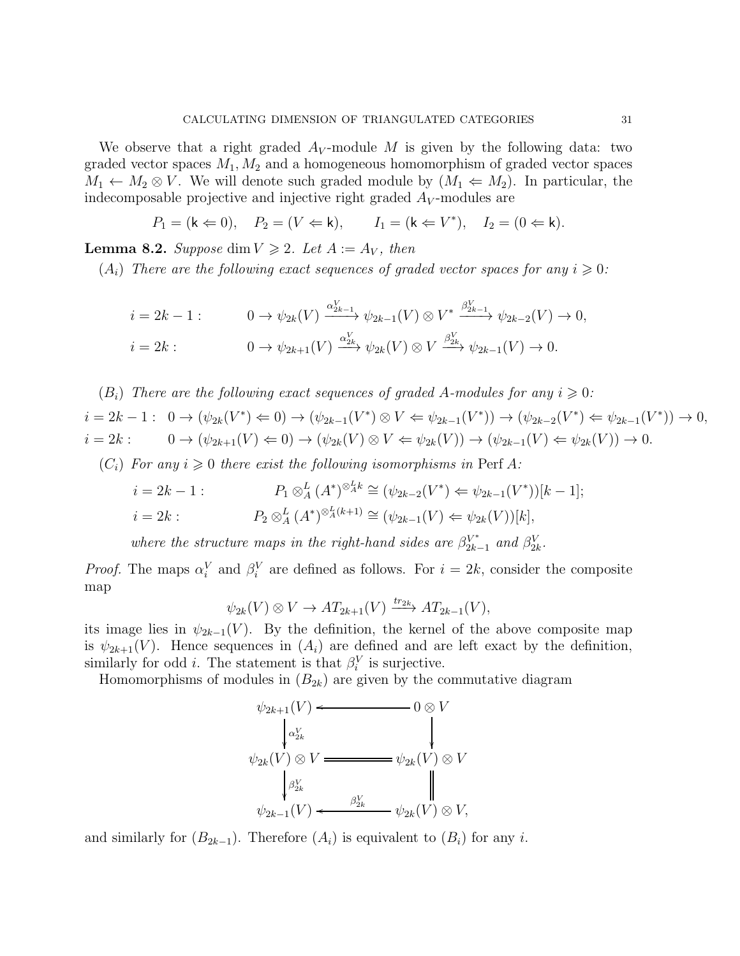We observe that a right graded  $A_V$ -module M is given by the following data: two graded vector spaces  $M_1, M_2$  and a homogeneous homomorphism of graded vector spaces  $M_1 \leftarrow M_2 \otimes V$ . We will denote such graded module by  $(M_1 \leftarrow M_2)$ . In particular, the indecomposable projective and injective right graded  $A_V$ -modules are

$$
P_1 = (\mathsf{k} \Leftarrow 0), \quad P_2 = (V \Leftarrow \mathsf{k}), \quad I_1 = (\mathsf{k} \Leftarrow V^*), \quad I_2 = (0 \Leftarrow \mathsf{k}).
$$

<span id="page-30-0"></span>**Lemma 8.2.** Suppose dim  $V \ge 2$ . Let  $A := A_V$ , then

 $(A_i)$  There are the following exact sequences of graded vector spaces for any  $i \geqslant 0$ :

$$
i = 2k - 1: \qquad 0 \to \psi_{2k}(V) \xrightarrow{\alpha_{2k-1}^V} \psi_{2k-1}(V) \otimes V^* \xrightarrow{\beta_{2k-1}^V} \psi_{2k-2}(V) \to 0,
$$
  

$$
i = 2k: \qquad 0 \to \psi_{2k+1}(V) \xrightarrow{\alpha_{2k}^V} \psi_{2k}(V) \otimes V \xrightarrow{\beta_{2k}^V} \psi_{2k-1}(V) \to 0.
$$

 $(B_i)$  There are the following exact sequences of graded A-modules for any  $i \geqslant 0$ :

 $i = 2k - 1: 0 \rightarrow (\psi_{2k}(V^*) \Leftrightarrow 0) \rightarrow (\psi_{2k-1}(V^*) \otimes V \Leftrightarrow \psi_{2k-1}(V^*)) \rightarrow (\psi_{2k-2}(V^*) \Leftrightarrow \psi_{2k-1}(V^*)) \rightarrow 0,$  $i = 2k$  :  $0 \rightarrow (\psi_{2k+1}(V) \Leftarrow 0) \rightarrow (\psi_{2k}(V) \otimes V \Leftarrow \psi_{2k}(V)) \rightarrow (\psi_{2k-1}(V) \Leftarrow \psi_{2k}(V)) \rightarrow 0.$ 

 $(C_i)$  For any  $i \geq 0$  there exist the following isomorphisms in Perf A:

$$
i = 2k - 1: \qquad P_1 \otimes_A^L (A^*)^{\otimes_A^L k} \cong (\psi_{2k-2}(V^*) \Leftrightarrow \psi_{2k-1}(V^*))[k-1];
$$
  
\n
$$
i = 2k: \qquad P_2 \otimes_A^L (A^*)^{\otimes_A^L (k+1)} \cong (\psi_{2k-1}(V) \Leftrightarrow \psi_{2k}(V))[k],
$$

where the structure maps in the right-hand sides are  $\beta_{2k}^{V^*}$ .  $\frac{V^*}{2k-1}$  and  $\beta_{2k}^V$ .

*Proof.* The maps  $\alpha_i^V$  and  $\beta_i^V$  are defined as follows. For  $i = 2k$ , consider the composite map

$$
\psi_{2k}(V) \otimes V \to AT_{2k+1}(V) \xrightarrow{tr_{2k}} AT_{2k-1}(V),
$$

its image lies in  $\psi_{2k-1}(V)$ . By the definition, the kernel of the above composite map is  $\psi_{2k+1}(V)$ . Hence sequences in  $(A_i)$  are defined and are left exact by the definition, similarly for odd *i*. The statement is that  $\beta_i^V$  is surjective.

Homomorphisms of modules in  $(B_{2k})$  are given by the commutative diagram

$$
\psi_{2k+1}(V) \longleftarrow 0 \otimes V
$$
\n
$$
\begin{array}{ccc}\n\downarrow \alpha_{2k}^V & & \\
\downarrow \alpha_{2k}^V & & \\
\downarrow \beta_{2k}^V & & \\
\downarrow \beta_{2k}^V & & \\
\downarrow \beta_{2k-1}^V(V) \longleftarrow \beta_{2k}^V & & \\
\end{array}
$$
\n
$$
\psi_{2k-1}(V) \longleftarrow \beta_{2k}^V \longrightarrow \psi_{2k}(V) \otimes V,
$$

and similarly for  $(B_{2k-1})$ . Therefore  $(A_i)$  is equivalent to  $(B_i)$  for any i.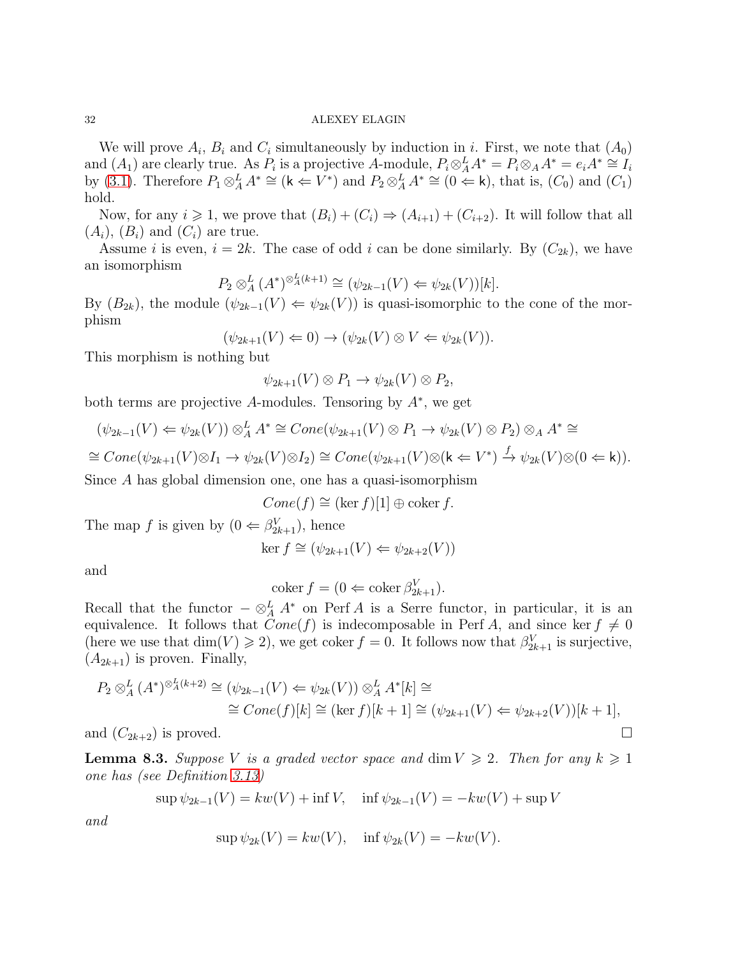We will prove  $A_i$ ,  $B_i$  and  $C_i$  simultaneously by induction in i. First, we note that  $(A_0)$ and  $(A_1)$  are clearly true. As  $P_i$  is a projective A-module,  $P_i \otimes_A^L A^* = P_i \otimes_A A^* = e_i A^* \cong I_i$ by [\(3.1\)](#page-13-1). Therefore  $P_1 \otimes_A^L A^* \cong (\mathsf{k} \Leftarrow V^*)$  and  $P_2 \otimes_A^L A^* \cong (0 \Leftarrow \mathsf{k})$ , that is,  $(C_0)$  and  $(C_1)$ hold.

Now, for any  $i \geq 1$ , we prove that  $(B_i) + (C_i) \Rightarrow (A_{i+1}) + (C_{i+2})$ . It will follow that all  $(A_i), (B_i)$  and  $(C_i)$  are true.

Assume i is even,  $i = 2k$ . The case of odd i can be done similarly. By  $(C_{2k})$ , we have an isomorphism

$$
P_2 \otimes_A^L (A^*)^{\otimes_A^L (k+1)} \cong (\psi_{2k-1}(V) \Leftarrow \psi_{2k}(V))[k].
$$

By  $(B_{2k})$ , the module  $(\psi_{2k-1}(V) \leftarrow \psi_{2k}(V))$  is quasi-isomorphic to the cone of the morphism

$$
(\psi_{2k+1}(V) \Leftarrow 0) \to (\psi_{2k}(V) \otimes V \Leftarrow \psi_{2k}(V)).
$$

This morphism is nothing but

$$
\psi_{2k+1}(V)\otimes P_1\to \psi_{2k}(V)\otimes P_2,
$$

both terms are projective A-modules. Tensoring by  $A^*$ , we get

$$
(\psi_{2k-1}(V) \Leftarrow \psi_{2k}(V)) \otimes_A^L A^* \cong Cone(\psi_{2k+1}(V) \otimes P_1 \to \psi_{2k}(V) \otimes P_2) \otimes_A A^* \cong
$$

 $\cong Cone(\psi_{2k+1}(V) \otimes I_1 \to \psi_{2k}(V) \otimes I_2) \cong Cone(\psi_{2k+1}(V) \otimes (k \Leftarrow V^*) \xrightarrow{f} \psi_{2k}(V) \otimes (0 \Leftarrow k)).$ 

Since A has global dimension one, one has a quasi-isomorphism

 $Cone(f) \cong (\ker f)[1] \oplus \operatorname{coker} f.$ 

The map f is given by  $(0 \leftarrow \beta_{2k+1}^V)$ , hence

$$
\ker f \cong (\psi_{2k+1}(V) \Leftarrow \psi_{2k+2}(V))
$$

and

$$
\operatorname{coker} f = (0 \Leftarrow \operatorname{coker} \beta_{2k+1}^V).
$$

Recall that the functor  $-\otimes^L_A A^*$  on Perf A is a Serre functor, in particular, it is an equivalence. It follows that  $Cone(f)$  is indecomposable in Perf A, and since ker  $f \neq 0$ (here we use that  $\dim(V) \geq 2$ ), we get coker  $f = 0$ . It follows now that  $\beta_{2k+1}^V$  is surjective,  $(A_{2k+1})$  is proven. Finally,

$$
P_2 \otimes_A^L (A^*)^{\otimes_A^L (k+2)} \cong (\psi_{2k-1}(V) \Leftrightarrow \psi_{2k}(V)) \otimes_A^L A^*[k] \cong
$$
  

$$
\cong Cone(f)[k] \cong (\ker f)[k+1] \cong (\psi_{2k+1}(V) \Leftrightarrow \psi_{2k+2}(V))[k+1],
$$

and  $(C_{2k+2})$  is proved.

<span id="page-31-0"></span>**Lemma 8.3.** Suppose V is a graded vector space and  $\dim V \geq 2$ . Then for any  $k \geq 1$ one has (see Definition [3.13\)](#page-13-2)

$$
\sup \psi_{2k-1}(V) = kw(V) + \inf V, \quad \inf \psi_{2k-1}(V) = -kw(V) + \sup V
$$

and

$$
\sup \psi_{2k}(V) = kw(V), \quad \inf \psi_{2k}(V) = -kw(V).
$$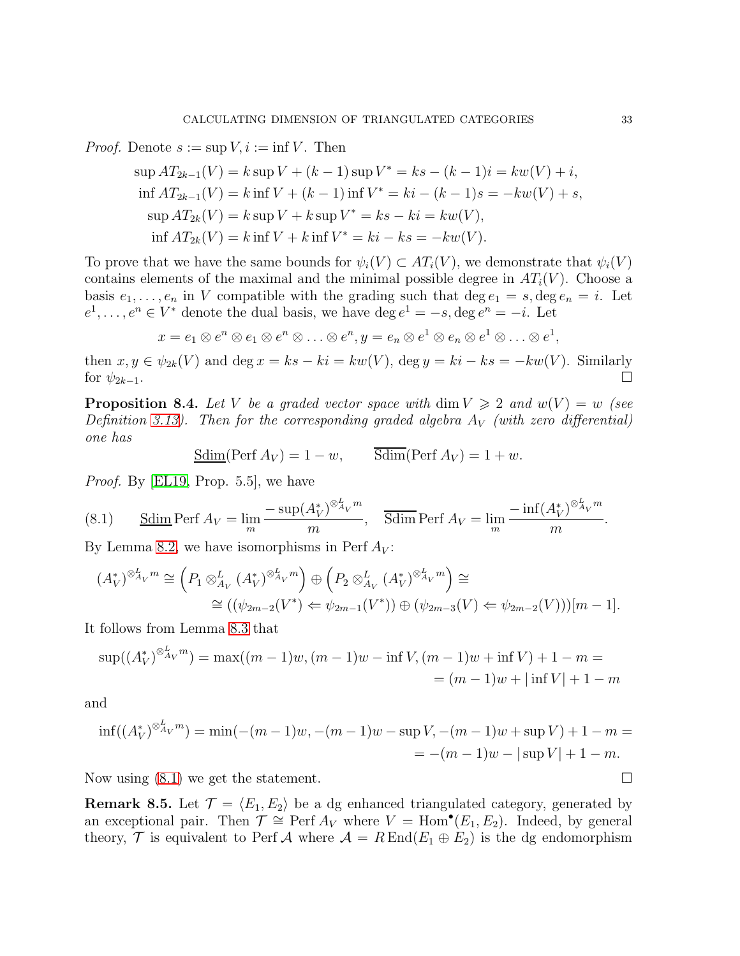*Proof.* Denote  $s := \sup V, i := \inf V$ . Then

$$
\sup A T_{2k-1}(V) = k \sup V + (k-1) \sup V^* = ks - (k-1)i = kw(V) + i,
$$
  
if  $A T_{2k-1}(V) = k$  inf  $V + (k-1)$  inf  $V^* = ki - (k-1)s = -kw(V) + s$ ,  

$$
\sup A T_{2k}(V) = k \sup V + k \sup V^* = ks - ki = kw(V),
$$
  
if  $A T_{2k}(V) = k$  inf  $V + k$  inf  $V^* = ki - ks = -kw(V)$ .

To prove that we have the same bounds for  $\psi_i(V) \subset AT_i(V)$ , we demonstrate that  $\psi_i(V)$ contains elements of the maximal and the minimal possible degree in  $AT_i(V)$ . Choose a basis  $e_1, \ldots, e_n$  in V compatible with the grading such that  $\deg e_1 = s, \deg e_n = i$ . Let  $e^1, \ldots, e^n \in V^*$  denote the dual basis, we have  $\deg e^1 = -s, \deg e^n = -i$ . Let

$$
x = e_1 \otimes e^n \otimes e_1 \otimes e^n \otimes \ldots \otimes e^n, y = e_n \otimes e^1 \otimes e_n \otimes e^1 \otimes \ldots \otimes e^1,
$$

then  $x, y \in \psi_{2k}(V)$  and  $\deg x = ks - ki = kw(V)$ ,  $\deg y = ki - ks = -kw(V)$ . Similarly for  $\psi_{2k-1}$ .

<span id="page-32-0"></span>**Proposition 8.4.** Let V be a graded vector space with dim  $V \ge 2$  and  $w(V) = w$  (see Definition [3.13\)](#page-13-2). Then for the corresponding graded algebra  $A_V$  (with zero differential) one has

$$
\underline{\text{Sdim}}(\text{Perf } A_V) = 1 - w, \qquad \overline{\text{Sdim}}(\text{Perf } A_V) = 1 + w.
$$

*Proof.* By [\[EL19,](#page-38-0) Prop. 5.5], we have

<span id="page-32-1"></span>(8.1) 
$$
\underline{\text{Sdim}} \operatorname{Perf} A_V = \lim_{m} \frac{-\sup(A_V^*)^{\otimes_{A_V}^L m}}{m}, \quad \overline{\text{Sdim}} \operatorname{Perf} A_V = \lim_{m} \frac{-\inf(A_V^*)^{\otimes_{A_V}^L m}}{m}.
$$

By Lemma [8.2,](#page-30-0) we have isomorphisms in Perf  $A_V$ :

$$
(A_V^*)^{\otimes_{A_V}^L m} \cong \left(P_1 \otimes_{A_V}^L (A_V^*)^{\otimes_{A_V}^L m}\right) \oplus \left(P_2 \otimes_{A_V}^L (A_V^*)^{\otimes_{A_V}^L m}\right) \cong
$$
  

$$
\cong ((\psi_{2m-2}(V^*) \Leftrightarrow \psi_{2m-1}(V^*)) \oplus (\psi_{2m-3}(V) \Leftrightarrow \psi_{2m-2}(V)))[m-1].
$$

It follows from Lemma [8.3](#page-31-0) that

$$
\sup((A_V^*)^{\otimes_{A_V}^L m}) = \max((m-1)w, (m-1)w - \inf V, (m-1)w + \inf V) + 1 - m =
$$
  
= (m-1)w + |\inf V| + 1 - m

and

$$
\inf((A_V^*)^{\otimes_{A_V}^L m}) = \min(-(m-1)w, -(m-1)w - \sup V, -(m-1)w + \sup V) + 1 - m = - (m-1)w - |\sup V| + 1 - m.
$$

Now using  $(8.1)$  we get the statement.

**Remark 8.5.** Let  $\mathcal{T} = \langle E_1, E_2 \rangle$  be a dg enhanced triangulated category, generated by an exceptional pair. Then  $\mathcal{T} \cong \text{Perf } A_V$  where  $V = \text{Hom}^{\bullet}(E_1, E_2)$ . Indeed, by general theory,  $\mathcal T$  is equivalent to Perf  $\mathcal A$  where  $\mathcal A = R \operatorname{End}(E_1 \oplus E_2)$  is the dg endomorphism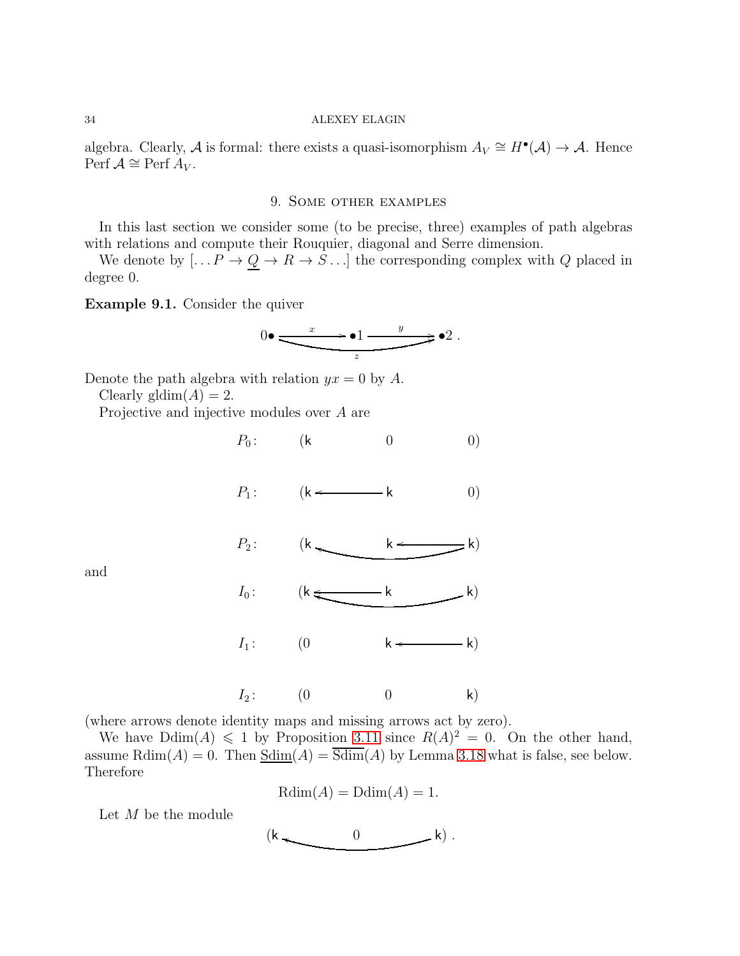<span id="page-33-0"></span>algebra. Clearly, A is formal: there exists a quasi-isomorphism  $A_V \cong H^{\bullet}(\mathcal{A}) \to \mathcal{A}$ . Hence Perf  $\mathcal{A} \cong$  Perf  $A_V$ .

## 9. Some other examples

In this last section we consider some (to be precise, three) examples of path algebras with relations and compute their Rouquier, diagonal and Serre dimension.

We denote by  $[...P \to Q \to R \to S...]$  the corresponding complex with Q placed in degree 0.

<span id="page-33-1"></span>Example 9.1. Consider the quiver

$$
0 \bullet \xrightarrow{\begin{array}{c} x \\ \hline \hline \end{array}} \bullet 1 \xrightarrow{\begin{array}{c} y \\ \hline \end{array}} \bullet 2 \ .
$$

Denote the path algebra with relation  $yx = 0$  by A.

Clearly gldim $(A) = 2$ .

Projective and injective modules over A are



and

(where arrows denote identity maps and missing arrows act by zero).

We have  $\text{Ddim}(A) \leq 1$  by Proposition [3.11](#page-12-4) since  $R(A)^2 = 0$ . On the other hand, assume  $\text{Rdim}(A) = 0$ . Then  $\underline{\text{Sdim}}(A) = \overline{\text{Sdim}}(A)$  by Lemma [3.18](#page-15-1) what is false, see below. Therefore

$$
Rdim(A) = Ddim(A) = 1.
$$

Let M be the module

$$
(k \begin{matrix} & & 0 & \\ & & & k \end{matrix}) \, .
$$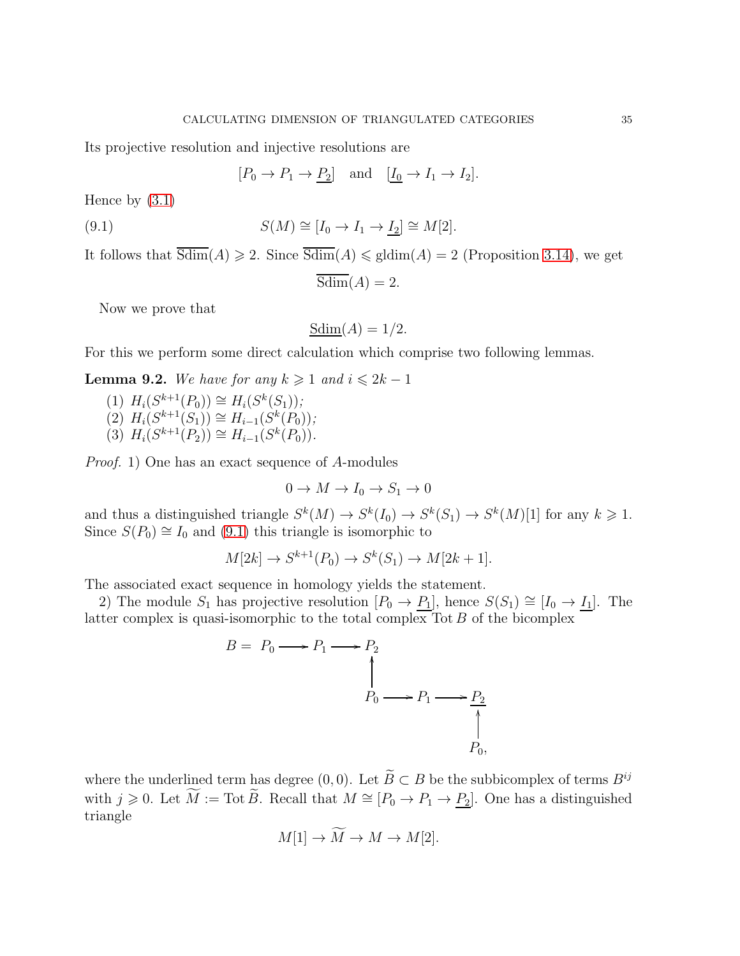Its projective resolution and injective resolutions are

<span id="page-34-0"></span> $[P_0 \to P_1 \to P_2]$  and  $[I_0 \to I_1 \to I_2]$ .

Hence by [\(3.1\)](#page-13-1)

(9.1) 
$$
S(M) \cong [I_0 \to I_1 \to \underline{I_2}] \cong M[2].
$$

It follows that  $\overline{\text{Sdim}}(A) \geq 2$ . Since  $\overline{\text{Sdim}}(A) \leq \text{gldim}(A) = 2$  (Proposition [3.14\)](#page-14-3), we get

$$
\overline{\text{Sdim}}(A) = 2.
$$

Now we prove that

$$
\underline{\text{Sdim}}(A) = 1/2.
$$

For this we perform some direct calculation which comprise two following lemmas.

<span id="page-34-1"></span>**Lemma 9.2.** We have for any  $k \geq 1$  and  $i \leq 2k - 1$ 

- (1)  $H_i(S^{k+1}(P_0)) \cong H_i(S^k(S_1));$
- $(2)$   $H_i(S^{k+1}(S_1)) \cong H_{i-1}(S^k(P_0));$
- (3)  $H_i(S^{k+1}(P_2)) \cong H_{i-1}(S^k(P_0)).$

Proof. 1) One has an exact sequence of A-modules

$$
0 \to M \to I_0 \to S_1 \to 0
$$

and thus a distinguished triangle  $S^k(M) \to S^k(I_0) \to S^k(S_1) \to S^k(M)[1]$  for any  $k \geq 1$ . Since  $S(P_0) \cong I_0$  and [\(9.1\)](#page-34-0) this triangle is isomorphic to

$$
M[2k] \to S^{k+1}(P_0) \to S^k(S_1) \to M[2k+1].
$$

The associated exact sequence in homology yields the statement.

2) The module S<sub>1</sub> has projective resolution  $[P_0 \to P_1]$ , hence  $S(S_1) \cong [I_0 \to I_1]$ . The latter complex is quasi-isomorphic to the total complex  $\text{Tot } B$  of the bicomplex

$$
B = P_0 \longrightarrow P_1 \longrightarrow P_2
$$
\n
$$
\uparrow
$$
\n
$$
P_0 \longrightarrow P_1 \longrightarrow P_2
$$
\n
$$
\uparrow
$$
\n
$$
P_0,
$$
\n
$$
P_0,
$$

where the underlined term has degree  $(0, 0)$ . Let  $\widetilde{B} \subset B$  be the subbicomplex of terms  $B^{ij}$ with  $j \geq 0$ . Let  $\widetilde{M} := \text{Tot }\widetilde{B}$ . Recall that  $M \cong [P_0 \to P_1 \to \underline{P_2}]$ . One has a distinguished triangle

$$
M[1] \to M \to M \to M[2].
$$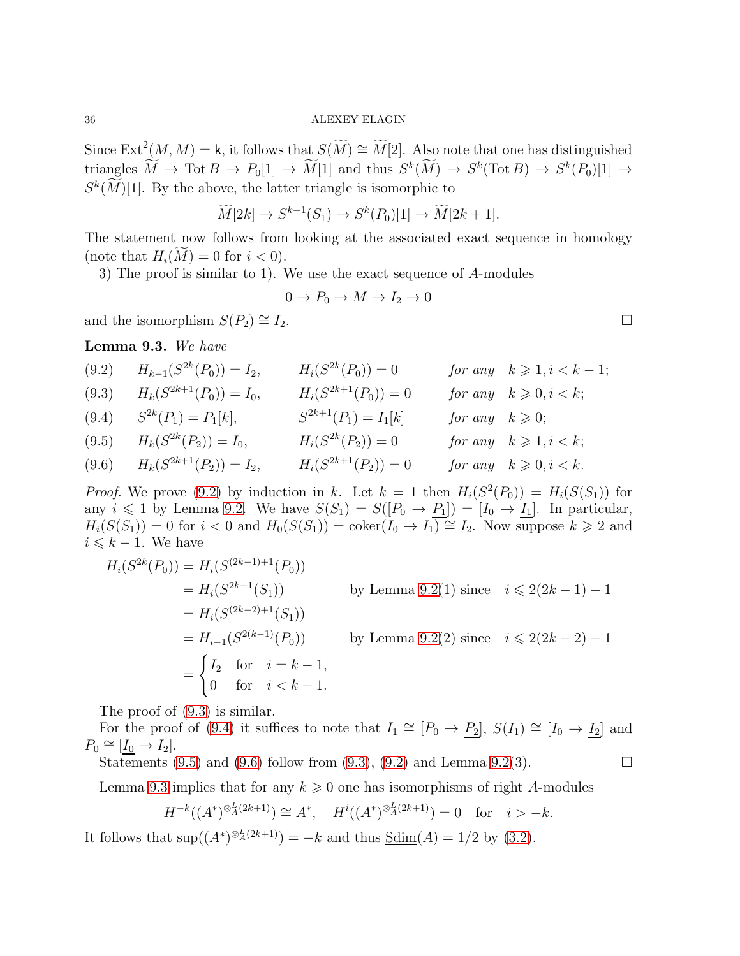Since  $\text{Ext}^2(M,M) = \mathsf{k}$ , it follows that  $S(\widetilde{M}) \cong \widetilde{M}[2]$ . Also note that one has distinguished triangles  $M \to \text{Tot } B \to P_0[1] \to M[1]$  and thus  $S^k(M) \to S^k(\text{Tot } B) \to S^k(P_0)[1] \to$  $S<sup>k</sup>(M)[1]$ . By the above, the latter triangle is isomorphic to

$$
\widetilde{M}[2k] \to S^{k+1}(S_1) \to S^k(P_0)[1] \to \widetilde{M}[2k+1].
$$

The statement now follows from looking at the associated exact sequence in homology (note that  $H_i(M) = 0$  for  $i < 0$ ).

3) The proof is similar to 1). We use the exact sequence of A-modules

$$
0 \to P_0 \to M \to I_2 \to 0
$$

and the isomorphism  $S(P_2) \cong I_2$ .

<span id="page-35-5"></span>Lemma 9.3. We have

<span id="page-35-2"></span><span id="page-35-1"></span><span id="page-35-0"></span>(9.2) 
$$
H_{k-1}(S^{2k}(P_0)) = I_2
$$
,  $H_i(S^{2k}(P_0)) = 0$  for any  $k \ge 1, i < k - 1$ ;  
\n(9.3)  $H_k(S^{2k+1}(P_0)) = I_0$ ,  $H_i(S^{2k+1}(P_0)) = 0$  for any  $k \ge 0, i < k$ ;  
\n(9.4)  $S^{2k}(P_1) = P_1[k]$ ,  $S^{2k+1}(P_1) = I_1[k]$  for any  $k \ge 0$ ;  
\n(9.5)  $H_k(S^{2k}(P_2)) = I_0$ ,  $H_i(S^{2k}(P_2)) = 0$  for any  $k \ge 1, i < k$ ;  
\n(9.6)  $H_k(S^{2k+1}(P_2)) = I_2$ ,  $H_i(S^{2k+1}(P_2)) = 0$  for any  $k \ge 0, i < k$ .

<span id="page-35-4"></span><span id="page-35-3"></span>*Proof.* We prove [\(9.2\)](#page-35-0) by induction in k. Let  $k = 1$  then  $H_i(S^2(P_0)) = H_i(S(S_1))$  for any  $i \leq 1$  by Lemma [9.2.](#page-34-1) We have  $S(S_1) = S([P_0 \to P_1]) = [I_0 \to I_1]$ . In particular,  $H_i(S(S_1)) = 0$  for  $i < 0$  and  $H_0(S(S_1)) = \text{coker}(I_0 \to I_1) \cong I_2$ . Now suppose  $k \geq 2$  and  $i \leq k - 1$ . We have

$$
H_i(S^{2k}(P_0)) = H_i(S^{(2k-1)+1}(P_0))
$$
  
=  $H_i(S^{2k-1}(S_1))$  by Lemma 9.2(1) since  $i \le 2(2k-1) - 1$   
=  $H_i(S^{(2k-2)+1}(S_1))$   
=  $H_{i-1}(S^{2(k-1)}(P_0))$  by Lemma 9.2(2) since  $i \le 2(2k-2) - 1$   
=  $\begin{cases} I_2 \text{ for } i = k - 1, \\ 0 \text{ for } i < k - 1. \end{cases}$ 

The proof of [\(9.3\)](#page-35-1) is similar.

For the proof of [\(9.4\)](#page-35-2) it suffices to note that  $I_1 \cong [P_0 \to P_2]$ ,  $S(I_1) \cong [I_0 \to I_2]$  and  $P_0 \cong [I_0 \to I_2].$ 

Statements [\(9.5\)](#page-35-3) and [\(9.6\)](#page-35-4) follow from [\(9.3\)](#page-35-1), [\(9.2\)](#page-35-0) and Lemma [9.2\(](#page-34-1)3).

Lemma [9.3](#page-35-5) implies that for any  $k \geq 0$  one has isomorphisms of right A-modules

$$
H^{-k}((A^*)^{\otimes_A^L(2k+1)}) \cong A^*, \quad H^i((A^*)^{\otimes_A^L(2k+1)}) = 0 \quad \text{for} \quad i > -k.
$$

It follows that  $\sup((A^*)^{\otimes_A^L(2k+1)}) = -k$  and thus  $\underline{\text{Sdim}}(A) = 1/2$  by [\(3.2\)](#page-14-0).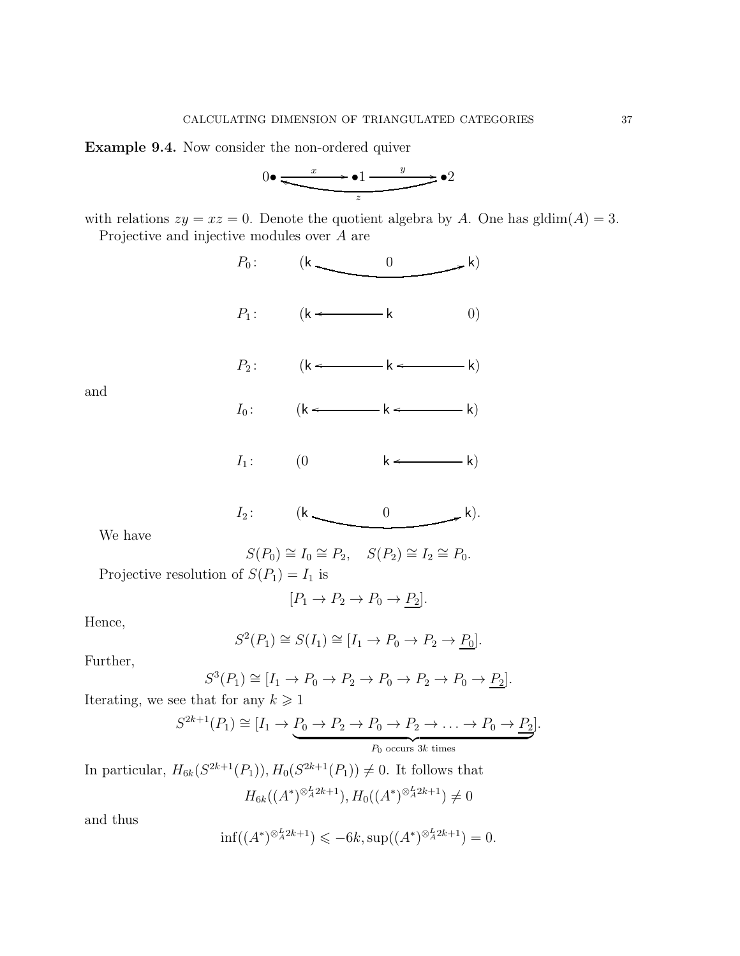<span id="page-36-0"></span>Example 9.4. Now consider the non-ordered quiver

$$
0 \bullet \xrightarrow{\phantom{0}\smash{x \phantom{1}} \phantom{0}} \bullet 1 \xrightarrow{\phantom{0}\smash{y \phantom{1}} \phantom{0}} \bullet 2
$$

with relations  $zy = xz = 0$ . Denote the quotient algebra by A. One has gldim $(A) = 3$ . Projective and injective modules over A are



 $I_1$ :  $(0 \qquad k \leftarrow k)$ 

$$
I_2: \qquad (k \qquad 0 \qquad k).
$$

We have

$$
S(P_0) \cong I_0 \cong P_2, \quad S(P_2) \cong I_2 \cong P_0.
$$

Projective resolution of  $S(P_1) = I_1$  is

$$
[P_1 \to P_2 \to P_0 \to \underline{P_2}].
$$

Hence,

$$
S^2(P_1) \cong S(I_1) \cong [I_1 \to P_0 \to P_2 \to \underline{P_0}].
$$

Further,

$$
S^3(P_1) \cong [I_1 \to P_0 \to P_2 \to P_0 \to P_2 \to P_0 \to \underline{P_2}].
$$

Iterating, we see that for any  $k \geq 1$ 

$$
S^{2k+1}(P_1) \cong [I_1 \to P_0 \to P_2 \to P_0 \to P_2 \to \dots \to P_0 \to P_2].
$$
  

$$
P_0 \text{ occurs } 3k \text{ times}
$$

In particular,  $H_{6k}(S^{2k+1}(P_1)), H_0(S^{2k+1}(P_1)) \neq 0$ . It follows that  $H_{6k}((A^*)^{\otimes_A^L 2k+1}), H_0((A^*)^{\otimes_A^L 2k+1}) \neq 0$ 

and thus

$$
\inf((A^*)^{\otimes_A^L 2k+1}) \leq -6k, \sup((A^*)^{\otimes_A^L 2k+1}) = 0.
$$

and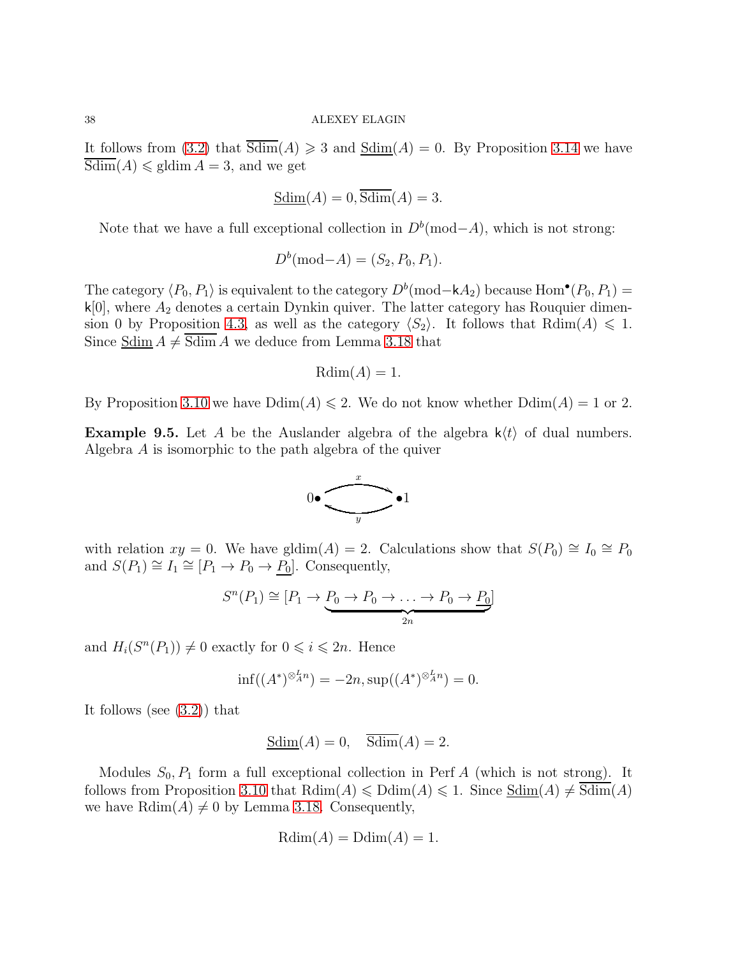It follows from [\(3.2\)](#page-14-0) that  $Sdim(A) \geq 3$  and  $Sdim(A) = 0$ . By Proposition [3.14](#page-14-3) we have  $Sdim(A) \leq \text{gldim } A = 3$ , and we get

$$
\underline{\text{Sdim}}(A) = 0, \overline{\text{Sdim}}(A) = 3.
$$

Note that we have a full exceptional collection in  $D<sup>b</sup>(mod-A)$ , which is not strong:

$$
D^{b}(\text{mod-}A) = (S_2, P_0, P_1).
$$

The category  $\langle P_0, P_1 \rangle$  is equivalent to the category  $D^b(\text{mod}-kA_2)$  because  $\text{Hom}^{\bullet}(P_0, P_1)$  =  $k[0]$ , where  $A_2$  denotes a certain Dynkin quiver. The latter category has Rouquier dimen-sion 0 by Proposition [4.3,](#page-16-1) as well as the category  $\langle S_2 \rangle$ . It follows that Rdim(A)  $\leq 1$ . Since Sdim  $A \neq$  Sdim A we deduce from Lemma [3.18](#page-15-1) that

$$
Rdim(A) = 1.
$$

By Proposition [3.10](#page-12-5) we have  $\text{Ddim}(A) \leq 2$ . We do not know whether  $\text{Ddim}(A) = 1$  or 2.

<span id="page-37-0"></span>**Example 9.5.** Let A be the Auslander algebra of the algebra  $k(t)$  of dual numbers. Algebra A is isomorphic to the path algebra of the quiver



with relation  $xy = 0$ . We have gldim(A) = 2. Calculations show that  $S(P_0) \cong I_0 \cong P_0$ and  $S(P_1) \cong I_1 \cong [P_1 \to P_0 \to P_0]$ . Consequently,

$$
S^{n}(P_1) \cong [P_1 \to \underbrace{P_0 \to P_0 \to \ldots \to P_0 \to P_0}_{2n}]
$$

and  $H_i(S^n(P_1)) \neq 0$  exactly for  $0 \leq i \leq 2n$ . Hence

$$
\inf((A^*)^{\otimes_A^L n}) = -2n, \sup((A^*)^{\otimes_A^L n}) = 0.
$$

It follows (see [\(3.2\)](#page-14-0)) that

$$
Sdim(A) = 0, \quad \overline{Sdim}(A) = 2.
$$

Modules  $S_0$ ,  $P_1$  form a full exceptional collection in Perf A (which is not strong). It follows from Proposition [3.10](#page-12-5) that  $Rdim(A) \leq \text{Ddim}(A) \leq 1$ . Since  $Sdim(A) \neq \overline{Sdim}(A)$ we have  $\text{Rdim}(A) \neq 0$  by Lemma [3.18.](#page-15-1) Consequently,

$$
Rdim(A) = Ddim(A) = 1.
$$